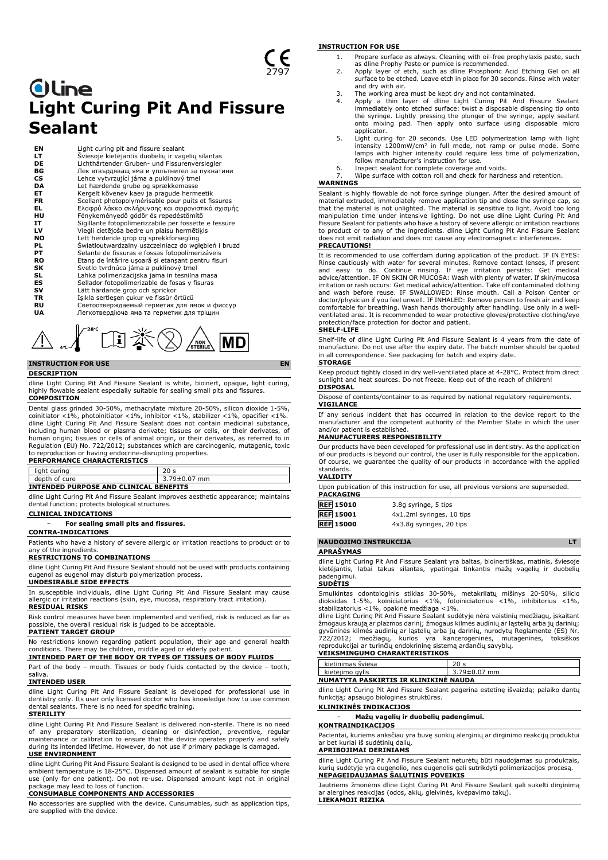# **Oline Light Curing Pit And Fissure Sealant**

| ΕN        | Light curing pit and fissure sealant                  |
|-----------|-------------------------------------------------------|
| LТ        | Šviesoje kietėjantis duobelių ir vagelių silantas     |
| <b>DE</b> | Lichthärtender Gruben- und Fissurenversiegler         |
| ВG        | Лек втвърдяващ яма и уплътнител за пукнатини          |
| <b>CS</b> | Lehce vytvrzující jáma a puklinový tmel               |
| DA        | Let hærdende grube og sprækkemasse                    |
| ET        | Kergelt kõvenev kaev ja pragude hermeetik             |
| <b>FR</b> | Scellant photopolymérisable pour puits et fissures    |
| EL.       | Ελαφρύ λάκκο σκλήρυνσης και σφραγιστικό σχισμής       |
| HU        | Fénykeményedő gödör és repedéstömítő                  |
| IT        | Sigillante fotopolimerizzabile per fossette e fessure |
| LV        | Viegli cietējoša bedre un plaisu hermētiķis           |
| NO        | Lett herdende grop og sprekkforsegling                |
| PL        | Światłoutwardzalny uszczelniacz do wgłębień i bruzd   |
| PТ        | Selante de fissuras e fossas fotopolimerizáveis       |
| RO        | Etanș de întărire ușoară și etanșant pentru fisuri    |
| SK        | Svetlo tvrdnúca jáma a puklinový tmel                 |
| SL        | Lahka polimerizacijska jama in tesnilna masa          |
| ES        | Sellador fotopolimerizable de fosas y fisuras         |
| sv        | Lätt härdande grop och sprickor                       |
| TR        | Işıkla sertleşen çukur ve fissür örtücü               |
| RU        | Светоотверждаемый герметик для ямок и фиссур          |
| UA        | Легкотвердіюча яма та герметик для тріщин             |



## **INSTRUCTION FOR USE EN**

#### **DESCRIPTION**

dline Light Curing Pit And Fissure Sealant is white, bioinert, opaque, light curing, highly flowable sealant especially suitable for sealing small pits and fissures. **COMPOSITION**

Dental glass grinded 30-50%, methacrylate mixture 20-50%, silicon dioxide 1-5%, coinitiator <1%, photoinitiator <1%, inhibitor <1%, stabilizer <1%, opacifier <1%. dline Light Curing Pit And Fissure Sealant does not contain medicinal substance, including human blood or plasma derivate; tissues or cells, or their derivates, of human origin; tissues or cells of animal origin, or their derivates, as referred to in Regulation (EU) No. 722/2012; substances which are carcinogenic, mutagenic, toxic to reproduction or having endocrine-disrupting properties. **PERFORMANCE CHARACTERISTICS**

| LEN VINTANUL UHAIVAUTEIN JITUS         |                 |  |  |  |  |
|----------------------------------------|-----------------|--|--|--|--|
| light curing                           | 20 <sub>s</sub> |  |  |  |  |
| depth of cure                          | 3.79±0.07 mm    |  |  |  |  |
| INTENDED PURPOSE AND CLINICAL BENEFITS |                 |  |  |  |  |

dline Light Curing Pit And Fissure Sealant improves aesthetic appearance; maintains dental function; protects biological structures.

#### **CLINICAL INDICATIONS**

− **For sealing small pits and fissures.**

**CONTRA-INDICATIONS**

Patients who have a history of severe allergic or irritation reactions to product or to any of the ingredients

### **RESTRICTIONS TO COMBINATIONS**

dline Light Curing Pit And Fissure Sealant should not be used with products containing eugenol as eugenol may disturb polymerization process. **UNDESIRABLE SIDE EFFECTS**

In susceptible individuals, dline Light Curing Pit And Fissure Sealant may cause allergic or irritation reactions (skin, eye, mucosa, respiratory tract irritation). **RESIDUAL RISKS**

Risk control measures have been implemented and verified, risk is reduced as far as possible, the overall residual risk is judged to be acceptable. **PATIENT TARGET GROUP**

No restrictions known regarding patient population, their age and general health conditions. There may be children, middle aged or elderly patient. **INTENDED PART OF THE BODY OR TYPES OF TISSUES OF BODY FLUIDS**

Part of the body – mouth. Tissues or body fluids contacted by the device – tooth, saliva.

## **INTENDED USER**

dline Light Curing Pit And Fissure Sealant is developed for professional use in dentistry only. Its user only licensed doctor who has knowledge how to use common dental sealants. There is no need for specific training.

#### **STERILITY**

dline Light Curing Pit And Fissure Sealant is delivered non-sterile. There is no need of any preparatory sterilization, cleaning or disinfection, preventive, regular maintenance or calibration to ensure that the device operates properly and safely during its intended lifetime. However, do not use if primary package is damaged. **USE ENVIRONMENT**

dline Light Curing Pit And Fissure Sealant is designed to be used in dental office where ambient temperature is 18-25°C. Dispensed amount of sealant is suitable for single use (only for one patient). Do not re-use. Dispensed amount kept not in original package may lead to loss of function. **CONSUMABLE COMPONENTS AND ACCESSORIES**

No accessories are supplied with the device. Cunsumables, such as application tips, are supplied with the device.

#### **INSTRUCTION FOR USE**

- 1. Prepare surface as always. Cleaning with oil-free prophylaxis paste, such
- as dline Prophy Paste or pumice is recommended. 2. Apply layer of etch, such as dline Phosphoric Acid Etching Gel on all surface to be etched. Leave etch in place for 30 seconds. Rinse with water and dry with air.
- 
- 3. The working area must be kept dry and not contaminated. 4. Apply a thin layer of dline Light Curing Pit And Fissure Sealant immediately onto etched surface: twist a disposable dispensing tip onto the syringe. Lightly pressing the plunger of the syringe, apply sealant onto mixing pad. Then apply onto surface using disposable micro applicator.
- 5. Light curing for 20 seconds. Use LED polymerization lamp with light intensity 1200mW/cm<sup>2</sup> in full mode, not ramp or pulse mode. Some lamps with higher intensity could require less time of polymerization, follow manufacturer's instruction for use.
- 6. Inspect sealant for complete coverage and voids. Wipe surface with cotton roll and check for hardness and retention.

### **WARNINGS**

Sealant is highly flowable do not force syringe plunger. After the desired amount of material extruded, immediately remove application tip and close the syringe cap, so that the material is not unlighted. The material is sensitive to light. Avoid too long manipulation time under intensive lighting. Do not use dline Light Curing Pit And Fissure Sealant for patients who have a history of severe allergic or irritation reactions to product or to any of the ingredients. dline Light Curing Pit And Fissure Sealant does not emit radiation and does not cause any electromagnetic interferences. **PRECAUTIONS!**

It is recommended to use cofferdam during application of the product. IF IN EYES: Rinse cautiously with water for several minutes. Remove contact lenses, if present<br>and easy to do. Continue rinsing. If eye irritation persists: Get medical<br>advice/attention. IF ON SKIN OR MUCOSA: Wash with plen irritation or rash occurs: Get medical advice/attention. Take off contaminated clothing and wash before reuse. IF SWALLOWED: Rinse mouth. Call a Poison Center or doctor/physician if you feel unwell. IF INHALED: Remove person to fresh air and keep comfortable for breathing. Wash hands thoroughly after handling. Use only in a well-ventilated area. It is recommended to wear protective gloves/protective clothing/eye protection/face protection for doctor and patient.

#### **SHELF-LIFE**

Shelf-life of dline Light Curing Pit And Fissure Sealant is 4 years from the date of manufacture. Do not use after the expiry date. The batch number should be quoted in all correspondence. See packaging for batch and expiry date. **STORAGE**

Keep product tightly closed in dry well-ventilated place at 4-28°C. Protect from direct sunlight and heat sources. Do not freeze. Keep out of the reach of children! **DISPOSAL**

Dispose of contents/container to as required by national regulatory requirements. **VIGILANCE**

If any serious incident that has occurred in relation to the device report to the manufacturer and the competent authority of the Member State in which the user and/or patient is established.

#### **MANUFACTURERS RESPONSIBILITY**

Our products have been developed for professional use in dentistry. As the application of our products is beyond our control, the user is fully responsible for the application. Of course, we guarantee the quality of our products in accordance with the applied standards.

#### **VALIDITY**

Upon publication of this instruction for use, all previous versions are superseded. **PACKAGING**

| <b>REF 15010</b> | 3.8q syringe, 5 tips      |
|------------------|---------------------------|
| <b>REF</b> 15001 | 4x1.2ml syringes, 10 tips |
| <b>REF</b> 15000 | 4x3.8g syringes, 20 tips  |

#### **NAUDOJIMO INSTRUKCIJA LT APRAŠYMAS**

dline Light Curing Pit And Fissure Sealant yra baltas, bioinertiškas, matinis, šviesoje kietėjantis, labai takus silantas, ypatingai tinkantis mažų vagelių ir duobelių padengimui.

### **SUDĖTIS**

Smulkintas odontologinis stiklas 30-50%, metakrilatų mišinys 20-50%, silicio dioksidas 1-5%, koiniciatorius <1%, fotoiniciatorius <1%, inhibitorius <1%, stabilizatorius <1%, opakinė medžiaga <1%.

dline Light Curing Pit And Fissure Sealant sudėtyje nėra vaistinių medžiagų, įskaitant žmogaus kraują ar plazmos darinį; žmogaus kilmės audinių ar ląstelių arba jų darinių; gyvūninės kilmės audinių ar ląstelių arba jų darinių, nurodytų Reglamente (ES) Nr. 722/2012; medžiagų, kurios yra kancerogeninės, mutageninės, toksiškos reprodukcijai ar turinčių endokrininę sistemą ardančių savybių. **VEIKSMINGUMO CHARAKTERISTIKOS**

## kietinimas šviesa 20 s kietėjimo gylis 3.79±0.07 mm

**NUMATYTA PASKIRTIS IR KLINIKINĖ NAUDA**

dline Light Curing Pit And Fissure Sealant pagerina estetinę išvaizdą; palaiko dantų funkciją; apsaugo biologines struktūras.

## **KLINIKINĖS INDIKACIJOS**

− **Mažų vagelių ir duobelių padengimui.**

## **KONTRAINDIKACIJOS**

Pacientai, kuriems anksčiau yra buvę sunkių alerginių ar dirginimo reakcijų produktui ar bet kuriai iš sudėtinių dalių.

### **APRIBOJIMAI DERINIAMS**

dline Light Curing Pit And Fissure Sealant neturėtų būti naudojamas su produktais, kurių sudėtyje yra eugenolio, nes eugenolis gali sutrikdyti polimerizacijos procesą. **NEPAGEIDAUJAMAS ŠALUTINIS POVEIKIS**

Jautriems žmonėms dline Light Curing Pit And Fissure Sealant gali sukelti dirginimą ar alergines reakcijas (odos, akių, gleivinės, kvėpavimo takų). **LIEKAMOJI RIZIKA**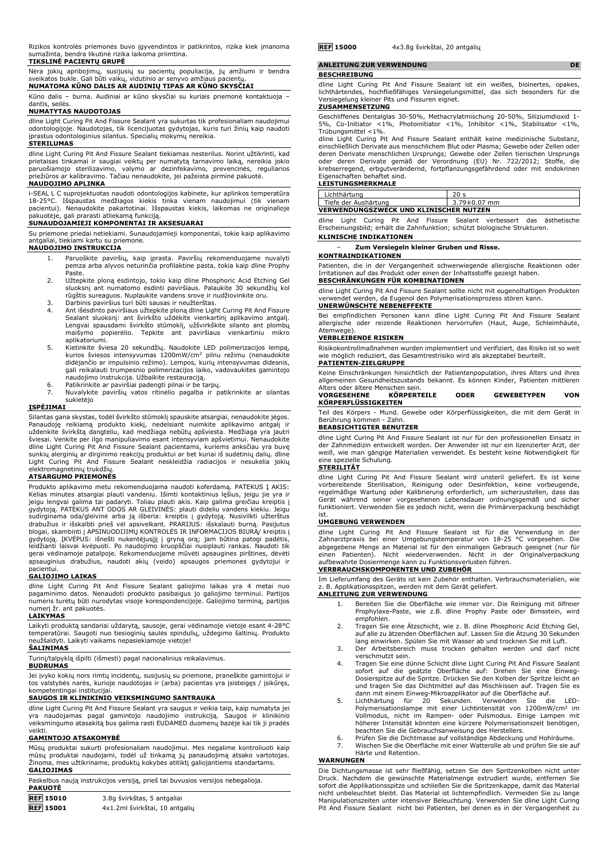Rizikos kontrolės priemonės buvo įgyvendintos ir patikrintos, rizika kiek įmanoma sumažinta, bendra likutinė rizika laikoma priimtina.

### **TIKSLINĖ PACIENTŲ GRUPĖ**

Nėra jokių apribojimų, susijusių su pacientų populiacija, jų amžiumi ir bendra sveikatos bukle. Gali būti vaikų, vidutinio ar senyvo amžiaus pacientų. **NUMATOMA KŪNO DALIS AR AUDINIŲ TIPAS AR KŪNO SKYSČIAI**

Kūno dalis – burna. Audiniai ar kūno skysčiai su kuriais priemonė kontaktuoja – dantis, seilės.

#### **NUMATYTAS NAUDOTOJAS**

dline Light Curing Pit And Fissure Sealant yra sukurtas tik profesionaliam naudojimui odontologijoje. Naudotojas, tik licencijuotas gydytojas, kuris turi žinių kaip naudoti įprastus odontologinius silantus. Specialių mokymų nereikia.

#### **STERILUMAS**

dline Light Curing Pit And Fissure Sealant tiekiamas nesterilus. Norint užtikrinti, kad prietaisas tinkamai ir saugiai veiktų per numatytą tarnavimo laiką, nereikia jokio paruošiamojo sterilizavimo, valymo ar dezinfekavimo, prevencinės, reguliarios priežiūros ar kalibravimo. Tačiau nenaudokite, jei pažeista pirminė pakuotė.

## **NAUDOJIMO APLINKA**

i-SEAL L C suprojektuotas naudoti odontologijos kabinete, kur aplinkos temperatūra<br>18-25°C. Išspaustas medžiagos kiekis tinka vienam naudojimui (tik vienam<br>pacientui). Nenaudokite pakartotinai. Išspaustas kiekis, laikomas

Su priemone priedai netiekiami. Sunaudojamieji komponentai, tokie kaip aplikavimo antgaliai, tiekiami kartu su priemone.

#### **NAUDOJIMO INSTRUKCIJA**

- 1. Paruoškite paviršių, kaip įprasta. Paviršių rekomenduojame nuvalyti pemza arba alyvos neturinčia profilaktine pasta, tokia kaip dline Prophy Paste.
- 2. Užtepkite ploną ėsdintojo, tokio kaip dline Phosphoric Acid Etching Gel sluoksnį ant numatomo ėsdinti paviršiaus. Palaukite 30 sekundžių kol rūgštis sureaguos. Nuplaukite vandens srove ir nudžiovinkite oru.
- 
- 3. Darbinis paviršius turi būti sausas ir neužterštas. 4. Ant išėsdinto paviršiaus užtepkite ploną dline Light Curing Pit And Fissure Sealant sluoksnį: ant švirkšto uždėkite vienkartinį aplikavimo antgalį. Lengvai spausdami švirkšto stūmoklį, užšvirkškite silanto ant plombų maišymo popierėlio. Tepkite ant paviršiaus vienkartiniu mikro aplikatoriumi.
- 5. Kietinkite šviesa 20 sekundžių. Naudokite LED polimerizacijos lempą,<br>kurios šviesos intensyvumas 1200mW/cm<sup>2</sup> pilnu režimu (nenaudokite<br>didėjančio ar impulsinio režimo). Lempos, kurių intensyvumas didesnis,<br>gali reikala
- 
- naudojimo instrukcija. Užbaikite restauraciją. 6. Patikrinkite ar paviršiai padengti pilnai ir be tarpų. 7. Nuvalykite paviršių vatos ritinėlio pagalba ir patikrinkite ar silantas sukietėjo

### **ĮSPĖJIMAI**

Silantas gana skystas, todėl švirkšto stūmoklį spauskite atsargiai, nenaudokite jėgos.<br>Panaudoję reikiamą produkto kiekį, nedelsiant nuimkite aplikavimo antgalį ir<br>uždenkite švirkštą dangteliu, kad medžiaga nebūtų apšviest elektromagnetinių trukdžių.

#### **ATSARGUMO PRIEMONĖS**

Produkto aplikavimo metu rekomenduojama naudoti koferdamą. PATEKUS Į AKIS:<br>Kelias minutes atsargiai plauti vandeniu. Išimti kontaktinius lęšius, jeigu jie yra ir<br>jeigu lengvai galima tai padaryti. Toliau plauti akis. Kaip gydytoją. PATEKUS ANT ODOS AR GLEIVINES: plauti dideliu vandens kiekiu. Jeigu<br>sudirginama oda/gleivinė arba ją išberia: kreiptis į gydytoją. Nusivilkti užterštus<br>drabužius ir išskalbti prieš vėl apsivelkant. PRARIJUS: išsk gydytoją. ĮKVEPUS: išnešti nukentėjusįjį į gryną orą; jam būtina patogi padėtis,<br>leidžianti laisvai kvėpuoti. Po naudojimo kruopščiai nusiplauti rankas. Naudoti tik<br>gerai vėdinamoje patalpoje. Rekomenduojame mūvėti apsaugi apsauginius drabužius, naudoti akių (veido) apsaugos priemones gydytojui ir

# pacientui. **GALIOJIMO LAIKAS**

dline Light Curing Pit And Fissure Sealant galiojimo laikas yra 4 metai nuo pagaminimo datos. Nenaudoti produkto pasibaigus jo galiojimo terminui. Partijos numeris turėtų būti nurodytas visoje korespondencijoje. Galiojimo terminą, partijos numerį žr. ant pakuotės.

#### **LAIKYMAS**

Laikyti produktą sandariai uždarytą, sausoje, gerai vėdinamoje vietoje esant 4-28°C temperatūrai. Saugoti nuo tiesioginių saulės spindulių, uždegimo šaltinių. Produkto neužšaldyti. Laikyti vaikams nepasiekiamoje vietoje!

# **ŠALINIMAS**

Turinį/talpyklą išpilti (išmesti) pagal nacionalinius reikalavimus.

### **BUDRUMAS**

Jei įvyko kokių nors rimtų incidentų, susijusių su priemone, praneškite gamintojui ir tos valstybės narės, kurioje naudotojas ir (arba) pacientas yra įsisteigęs / įsikūręs, kompetentingai institucijai.

## **SAUGOS IR KLINIKINIO VEIKSMINGUMO SANTRAUKA**

dline Light Curing Pit And Fissure Sealant yra saugus ir veikia taip, kaip numatyta jei<br>yra naudojamas pagal gamintojo naudojimo instrukciją. Saugos ir klinikinio<br>veiksmingumo atasakitą bus galima rasti EUDAMED veikti.

### **GAMINTOJO ATSAKOMYBĖ**

Mūsų produktai sukurti profesionaliam naudojimui. Mes negalime kontroliuoti kaip<br>mūsų produktai naudojami, todėl už tinkamą jų panaudojimą atsako vartotojas.<br>Žinoma, mes užtikriname, produktų kokybės atitiktį galiojantiems **GALIOJIMAS**

Paskelbus naują instrukcijos versiją, prieš tai buvusios versijos nebegalioja.

| <b>PAKUOTE</b>   |                                |
|------------------|--------------------------------|
| <b>REF</b> 15010 | 3.8g švirkštas, 5 antgaliai    |
| <b>REF</b> 15001 | 4x1.2ml švirkštai, 10 antgalių |

## **ANLEITUNG ZUR VERWENDUNG DE**

**BESCHREIBUNG**

dline Light Curing Pit And Fissure Sealant ist ein weißes, bioinertes, opakes, lichthärtendes, hochfließfähiges Versiegelungsmittel, das sich besonders für die Versiegelung kleiner Pits und Fissuren eignet.

#### **ZUSAMMENSETZUNG**

Geschliffenes Dentalglas 30-50%, Methacrylatmischung 20-50%, Siliziumdioxid 1- 5%, Co-Initiator <1%, Photoinitiator <1%, Inhibitor <1%, Stabilisator <1%, Trübungsmittel <1%.

dline Light Curing Pit And Fissure Sealant enthält keine medizinische Substanz, einschließlich Derivate aus menschlichem Blut oder Plasma; Gewebe oder Zellen oder deren Derivate menschlichen Ursprungs; Gewebe oder Zellen tierischen Ursprungs oder deren Derivate gemäß der Verordnung (EU) Nr. 722/2012; Stoffe, die krebserregend, erbgutverändernd, fortpflanzungsgefährdend oder mit endokrinen Eigenschaften behaftet sind.

### **LEISTUNGSMERKMALE**

| Lichthärtung                                  |                    |  |  |  |
|-----------------------------------------------|--------------------|--|--|--|
| Tiefe der Aushärtung                          | $3.79 \pm 0.07$ mm |  |  |  |
| <b>VERWENDUNGSZWECK UND KLINISCHER NUTZEN</b> |                    |  |  |  |

dline Light Curing Pit And Fissure Sealant verbessert das ästhetische Erscheinungsbild; erhält die Zahnfunktion; schützt biologische Strukturen. **KLINISCHE INDIKATIONEN**

#### − **Zum Versiegeln kleiner Gruben und Risse.**

#### **KONTRAINDIKATIONEN**

Patienten, die in der Vergangenheit schwerwiegende allergische Reaktionen oder Irritationen auf das Produkt oder einen der Inhaltsstoffe gezeigt haben. **BESCHRÄNKUNGEN FÜR KOMBINATIONEN**

dline Light Curing Pit And Fissure Sealant sollte nicht mit eugenolhaltigen Produkten verwendet werden, da Eugenol den Polymerisationsprozess stören kann. **UNERWÜNSCHTE NEBENEFFEKTE**

Bei empfindlichen Personen kann dline Light Curing Pit And Fissure Sealant allergische oder reizende Reaktionen hervorrufen (Haut, Auge, Schleimhäute, Atemwege).

## **VERBLEIBENDE RISIKEN**

Risikokontrollmaßnahmen wurden implementiert und verifiziert, das Risiko ist so weit wie möglich reduziert, das Gesamtrestrisiko wird als akzeptabel beurteilt. **PATIENTEN-ZIELGRUPPE**

Keine Einschränkungen hinsichtlich der Patientenpopulation, ihres Alters und ihres allgemeinen Gesundheitszustands bekannt. Es können Kinder, Patienten mittleren Alters oder ältere Menschen sein.

**VORGESEHENE KÖRPERTEILE ODER GEWEBETYPEN VON KÖRPERFLÜSSIGKEITEN**

Teil des Körpers - Mund. Gewebe oder Körperflüssigkeiten, die mit dem Gerät in Berührung kommen - Zahn. **BEABSICHTIGTER BENUTZER**

dline Light Curing Pit And Fissure Sealant ist nur für den professionellen Einsatz in der Zahnmedizin entwickelt worden. Der Anwender ist nur ein lizenzierter Arzt, der weiß, wie man gängige Materialien verwendet. Es besteht keine Notwendigkeit für eine spezielle Schulung.

## **STERILITÄT**

dline Light Curing Pit And Fissure Sealant wird unsteril geliefert. Es ist keine vorbereitende Sterilisation, Reinigung oder Desinfektion, keine vorbeugende, regelmäßige Wartung oder Kalibrierung erforderlich, um sicherzustellen, dass das Gerät während seiner vorgesehenen Lebensdauer ordnungsgemäß und sicher funktioniert. Verwenden Sie es jedoch nicht, wenn die Primärverpackung beschädigt ist.

#### **UMGEBUNG VERWENDEN**

dline Light Curing Pit And Fissure Sealant ist für die Verwendung in der Zahnarztpraxis bei einer Umgebungstemperatur von 18-25 °C vorgesehen. Die abgegebene Menge an Material ist für den einmaligen Gebrauch geeignet (nur für einen Patienten). Nicht wiederverwenden. Nicht in der Originalverpackung aufbewahrte Dosiermenge kann zu Funktionsverlusten führen.

#### **VERBRAUCHSKOMPONENTEN UND ZUBEHÖR**

Im Lieferumfang des Geräts ist kein Zubehör enthalten. Verbrauchsmaterialien, wie z. B. Applikationsspitzen, werden mit dem Gerät geliefert. **ANLEITUNG ZUR VERWENDUNG**

- 1. Bereiten Sie die Oberfläche wie immer vor. Die Reinigung mit ölfreier Prophylaxe-Paste, wie z.B. dline Prophy Paste oder Bimsstein, wird empfohlen.
- 2. Tragen Sie eine Ätzschicht, wie z. B. dline Phosphoric Acid Etching Gel, auf alle zu ätzenden Oberflächen auf. Lassen Sie die Ätzung 30 Sekunden
- lang einwirken. Spülen Sie mit Wasser ab und trocknen Sie mit Luft. 3. Der Arbeitsbereich muss trocken gehalten werden und darf nicht verschmutzt sein.
- 4. Tragen Sie eine dünne Schicht dline Light Curing Pit And Fissure Sealant<br>sofort auf die geätzte Oberfläche auf: Drehen Sie eine Einweg-<br>Dosierspitze auf die Spritze. Drücken Sie den Kolben der Spritze leicht an<br>und trag
- dann mit einem Einweg-Mikroapplikator auf die Oberfläche auf.<br>5. Lichthärtung für 20 Sekunden. Verwenden Sie LED-<br>Polymerisationslampe mit einer Lichtintensität von 1200mW/cm<sup>2</sup> im Vollmodus, nicht im Rampen- oder Pulsmodus. Einige Lampen mit höherer Intensität könnten eine kürzere Polymerisationszeit benötigen, beachten Sie die Gebrauchsanweisung des Herstellers.
- 6. Prüfen Sie die Dichtmasse auf vollständige Abdeckung und Hohlräume. 7. Wischen Sie die Oberfläche mit einer Watterolle ab und prüfen Sie sie auf
- Härte und Retention.

#### **WARNUNGEN**

Die Dichtungsmasse ist sehr fließfähig, setzen Sie den Spritzenkolben nicht unter Druck. Nachdem die gewünschte Materialmenge extrudiert wurde, entfernen Sie sofort die Applikationsspitze und schließen Sie die Spritzenkappe, damit das Material nicht unbeleuchtet bleibt. Das Material ist lichtempfindlich. Vermeiden Sie zu lange Manipulationszeiten unter intensiver Beleuchtung. Verwenden Sie dline Light Curing Pit And Fissure Sealant nicht bei Patienten, bei denen es in der Vergangenheit zu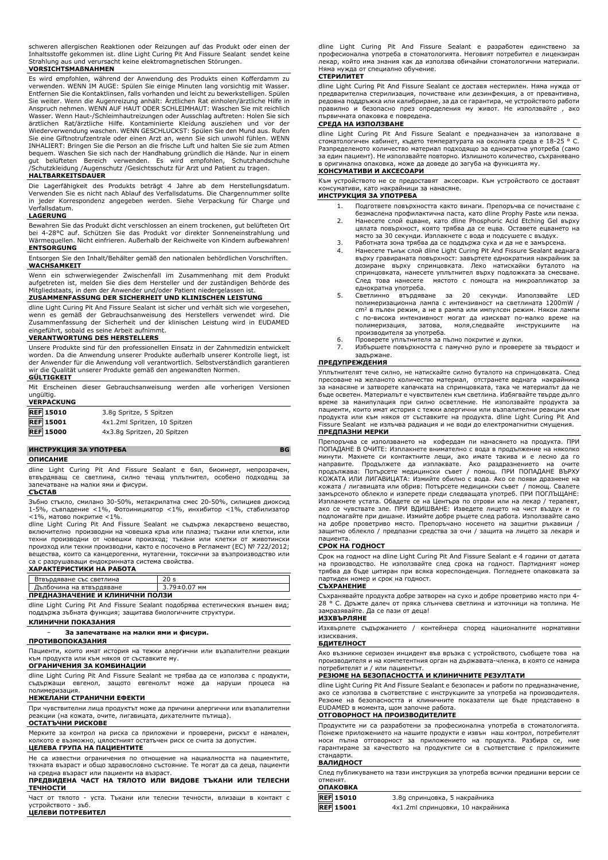schweren allergischen Reaktionen oder Reizungen auf das Produkt oder einen der Inhaltsstoffe gekommen ist. dline Light Curing Pit And Fissure Sealant sendet keine Strahlung aus und verursacht keine elektromagnetischen Störungen.

## **VORSICHTSMAßNAHMEN**

Es wird empfohlen, während der Anwendung des Produkts einen Kofferdamm zu verwenden. WENN IM AUGE: Spülen Sie einige Minuten lang vorsichtig mit Wasser. Entfernen Sie die Kontaktlinsen, falls vorhanden und leicht zu bewerkstelligen. Spülen Sie weiter. Wenn die Augenreizung anhält: Ärztlichen Rat einholen/ärztliche Hilfe in Anspruch nehmen. WENN AUF HAUT ODER SCHLEIMHAUT: Waschen Sie mit reichlich Wasser. Wenn Haut-/Schleimhautreizungen oder Ausschlag auftreten: Holen Sie sich<br>ärztlichen Rat/ärztliche Hilfe. Kontaminierte Kleidung ausziehen und vor der<br>Wiederverwendung waschen. WENN GESCHLUCKST: Spülen Sie d bequem. Waschen Sie sich nach der Handhabung gründlich die Hände. Nur in einem<br>gut belüfteten Bereich verwenden. Es wird empfohlen, Schutzhandschuhe<br>/Schutzkleidung /Augenschutz /Gesichtsschutz für Arzt und P

#### **HALTBARKEITSDAUER**

Die Lagerfähigkeit des Produkts beträgt 4 Jahre ab dem Herstellungsdatum. Verwenden Sie es nicht nach Ablauf des Verfallsdatums. Die Chargennummer sollte in jeder Korrespondenz angegeben werden. Siehe Verpackung für Charge und Verfallsdatum.

#### **LAGERUNG**

Bewahren Sie das Produkt dicht verschlossen an einem trockenen, gut belüfteten Ort bei 4-28°C auf. Schützen Sie das Produkt vor direkter Sonneneinstrahlung und Wärmequellen. Nicht einfrieren. Außerhalb der Reichweite von Kindern aufbewahren! **ENTSORGUNG**

Entsorgen Sie den Inhalt/Behälter gemäß den nationalen behördlichen Vorschriften. **WACHSAMKEIT**

Wenn ein schwerwiegender Zwischenfall im Zusammenhang mit dem Produkt aufgetreten ist, melden Sie dies dem Hersteller und der zuständigen Behörde des Mitgliedstaats, in dem der Anwender und/oder Patient niedergelassen ist.

### **ZUSAMMENFASSUNG DER SICHERHEIT UND KLINISCHEN LEISTUNG**

dline Light Curing Pit And Fissure Sealant ist sicher und verhält sich wie vorgesehen, wenn es gemäß der Gebrauchsanweisung des Herstellers verwendet wird. Die Zusammenfassung der Sicherheit und der klinischen Leistung wird in EUDAMED eingeführt, sobald es seine Arbeit aufnimmt.

#### **VERANTWORTUNG DES HERSTELLERS**

Unsere Produkte sind für den professionellen Einsatz in der Zahnmedizin entwickelt worden. Da die Anwendung unserer Produkte außerhalb unserer Kontrolle liegt, ist der Anwender für die Anwendung voll verantwortlich. Selbstverständlich garantieren wir die Qualität unserer Produkte gemäß den angewandten Normen.

#### **GÜLTIGKEIT** Mit Erscheinen dieser Gebrauchsanweisung werden alle vorherigen Versionen

| ungültig.<br><b>VERPACKUNG</b> | <u>mit Erscheinen dieser Gebrauchsahweisung werden ane vorhengen versichen</u> |  |  |
|--------------------------------|--------------------------------------------------------------------------------|--|--|
| <b>REF 15010</b>               | 3.8q Spritze, 5 Spitzen                                                        |  |  |
| <b>REF</b> 15001               | 4x1.2ml Spritzen, 10 Spitzen                                                   |  |  |
| <b>REF</b> 15000               | 4x3.8q Spritzen, 20 Spitzen                                                    |  |  |
|                                |                                                                                |  |  |

### **ИНСТРУКЦИЯ ЗА УПОТРЕБА BG**

#### **ОПИСАНИЕ**

dline Light Curing Pit And Fissure Sealant е бял, биоинерт, непрозрачен, втвърдяващ се светлина, силно течащ уплътнител, особено подходящ за запечатване на малки ями и фисури.

**СЪСТАВ**

Зъбно стъкло, смилано 30-50%, метакрилатна смес 20-50%, силициев диоксид 1-5%, съвпадение <1%, Фотоинициатор <1%, инхибитор <1%, стабилизатор <1%, матово покритие <1%.

dline Light Curing Pit And Fissure Sealant не съдържа лекарствено вещество, включително производни на човешка кръв или плазма; тъкани или клетки, или техни производни от човешки произход; тъкани или клетки от животински произход или техни производни, както е посочено в Регламент (ЕС) № 722/2012; вещества, които са канцерогенни, мутагенни, токсични за възпроизводство или са с разрушаващи ендокринната система свойства.

#### **ХАРАКТЕРИСТИКИ НА РАБОТА**

| Втвърдяване със светлина        |              |  |  |  |  |
|---------------------------------|--------------|--|--|--|--|
| Дълбочина на втвърдяване        | 3.79±0.07 MM |  |  |  |  |
| ПРЕЛНАЗНАЧЕНИЕ И КЛИНИЧНИ ПОЛЗИ |              |  |  |  |  |

| ПРЕДНАЗНАЧЕНИЕ И КЛИНИЧНИ ПОЛЗИ                                               |  |  |  |  |  |
|-------------------------------------------------------------------------------|--|--|--|--|--|
| dline Light Curing Pit And Fissure Sealant подобрява естетическия външен вид; |  |  |  |  |  |
| поддържа зъбната функция; защитава биологичните структури.                    |  |  |  |  |  |

### **КЛИНИЧНИ ПОКАЗАНИЯ**

### − **За запечатване на малки ями и фисури.**

**ПРОТИВОПОКАЗАНИЯ**

Пациенти, които имат история на тежки алергични или възпалителни реакции към продукта или към някоя от съставките му.

## **ОГРАНИЧЕНИЯ ЗА КОМБИНАЦИИ**

dline Light Curing Pit And Fissure Sealant не трябва да се използва с продукти, съдържащи евгенол, защото евгенолът може да наруши процеса на полимеризация.

## **НЕЖЕЛАНИ СТРАНИЧНИ ЕФЕКТИ**

При чувствителни лица продуктът може да причини алергични или възпалителни реакции (на кожата, очите, лигавицата, дихателните пътища). **ОСТАТЪЧНИ РИСКОВЕ**

Мерките за контрол на риска са приложени и проверени, рискът е намален, колкото е възможно, цялостният остатъчен риск се счита за допустим.

# **ЦЕЛЕВА ГРУПА НА ПАЦИЕНТИТЕ**

Не са известни ограничения по отношение на нациалността на пациентите, тяхната възраст и общо здравословно състояние. Те могат да са деца, пациенти

## на средна възраст или пациенти на възраст. **ПРЕДВИДЕНА ЧАСТ НА ТЯЛОТО ИЛИ ВИДОВЕ ТЪКАНИ ИЛИ ТЕЛЕСНИ ТЕЧНОСТИ**

Част от тялото - уста. Тъкани или телесни течности, влизащи в контакт с устройството - зъб. **ЦЕЛЕВИ ПОТРЕБИТЕЛ**

dline Light Curing Pit And Fissure Sealant е разработен единствено за професионална употреба в стоматологията. Неговият потребител е лицензиран лекар, който има знания как да използва обичайни стоматологични материали. Няма нужда от специално обучение.

#### **СТЕРИЛИТЕТ**

dline Light Curing Pit And Fissure Sealant се доставя нестерилен. Няма нужда от предварителна стерилизация, почистване или дезинфекция, а от превантивна, редовна поддръжка или калибриране, за да се гарантира, че устройството работи правилно и безопасно през определения му живот. Не използвайте , ако първичната опаковка е повредена.

## **СРЕДА НА ИЗПОЛЗВАНЕ**

dline Light Curing Pit And Fissure Sealant е предназначен за използване в стоматологичен кабинет, където температурата на околната среда е 18-25 ° C. Разпределеното количество материал подходящо за еднократна употреба (само за един пациент). Не използвайте повторно. Излишното количество, съхранявано в оригинална опаковка, може да доведе до загуба на функцията му. **КОНСУМАТИВИ И АКСЕСОАРИ**

Към устройството не се предоставят аксесоари. Към устройството се доставят консумативи, като накрайници за нанасяне.

## **ИНСТРУКЦИЯ ЗА УПОТРЕБА**

- 1. Подгответе повърхността както винаги. Препоръчва се почистване с безмаслена профилактична паста, като dline Prophy Paste или пемза. 2. Нанесете слой ецване, като dline Phosphoric Acid Etching Gel върху цялата повърхност, която трябва да се ецва. Оставете ецването на място за 30 секунди. Изплакнете с вода и подсушете с въздух.
- 
- 3. Работната зона трябва да се поддържа суха и да не е замърсена. 4. Нанесете тънък слой dline Light Curing Pit And Fissure Sealant веднага върху гравираната повърхност: завъртете еднократния накрайник за дозиране върху спринцовката. Леко натискайки буталото на спринцовката, нанесете уплътнител върху подложката за смесване. След това нанесете мястото с помощта на микроапликатор за еднократна употреба.
- 5. Светлинно втърдяване за 20 секунди. Използвайте полимеризационна лампа с интензивност на светлината 1200mW / cm<sup>2</sup> в пълен режим, а не в рампа или импулсен режим. Някои лампи с по-висока интензивност могат да изискват по-малко време на полимеризация, затова, моля,следвайте инструкциите на производителя за употреба.
- 6. Проверете уплътнителя за пълно покритие и дупки.
- 7. Избършете повърхността с памучно руло и проверете за твърдост и задържане.

## **ПРЕДУПРЕЖДЕНИЯ**

Уплътнителят тече силно, не натискайте силно буталото на спринцовката. След пресоване на желаното количество материал, отстранете веднага накрайника за нанасяне и затворете капачката на спринцовката, така че материалът да не бъде осветен. Материалът е чувствителен към светлина. Избягвайте твърде дълго време за манипулация при силно осветление. Не използвайте продукта за пациенти, които имат история с тежки алергични или възпалителни реакции към продукта или към някоя от съставките на продукта. dline Light Curing Pit And Fissure Sealant не излъчва радиация и не води до електромагнитни смущения. **ПРЕДПАЗНИ МЕРКИ**

Препоръчва се използването на кофердам пи нанасянето на продукта. ПРИ ПОПАДАНЕ В ОЧИТЕ: Изплакнете внимателно с вода в продължение на няколко минути. Махнете си контактните лещи, ако имате такива и е лесно да го<br>направите. Продължете да изплаквате. Ако раздразнението на очите<br>продължава: Потърсете медицински съвет / помощ. ПРИ ПОПАДАНЕ ВЪРХУ<br>КОЖАТА ИЛИ ЛИГ кожата / лигавицата или обрив: Потърсете медицински съвет / помощ. Свалете замърсеното облекло и изперете преди следващата употреб. ПРИ ПОГЛЪЩАНЕ: Изплакнете устата. Обадете се на Центъра по отрови или на лекар / терапевт, ако се чувствате зле. ПРИ ВДИШВАНЕ: Изведете лицето на чист въздух и го подпомагайте при дишане. Измийте добре ръцете след работа. Използвайте само на добре проветриво място. Препоръчано носенето на защитни ръкавици / защитно облекло / предпазни средства за очи / защита на лицето за лекаря и

# пациента. **СРОК НА ГОДНОСТ**

Срок на годност на dline Light Curing Pit And Fissure Sealant е 4 години от датата на производство. Не използвайте след срока на годност. Партидният номер трябва да бъде цитиран при всяка кореспонденция. Погледнете опаковката за партиден номер и срок на годност. **СЪХРАНЕНИЕ**

Съхранявайте продукта добре затворен на сухо и добре проветриво място при 4- 28 ° C. Дръжте далеч от пряка слънчева светлина и източници на топлина. Не замразявайте. Да се пази от деца! **ИЗХВЪРЛЯНЕ**

Изхвърлете съдържанието / контейнера според националните нормативни изисквания.

# **БДИТЕЛНОСТ**

Ако възникне сериозен инцидент във връзка с устройството, съобщете това на производителя и на компетентния орган на държавата-членка, в която се намира потребителят и / или пациентът.

## **РЕЗЮМЕ НА БЕЗОПАСНОСТТА И КЛИНИЧНИТЕ РЕЗУЛТАТИ**

dline Light Curing Pit And Fissure Sealant е безопасен и работи по предназначение, ако се използва в съответствие с инструкциите за употреба на производителя. Резюме на безопасността и клиничните показатели ще бъде представено в EUDAMED в момента, щом започне работа.

## **ОТГОВОРНОСТ НА ПРОИЗВОДИТЕЛИТЕ**

Продуктите ни са разработени за професионална употреба в стоматологията. Понеже приложението на нашите продукти е извън наш контрол, потребителят<br>носи пълна отговорност за приложението на продукта. Разбира се, ние<br>гарантираме за качеството на продуктите си в съответствие с п стандарти.

#### **ВАЛИДНОСТ**

След публикуването на тази инструкция за употреба всички предишни версии се отменят.

| ОПАКОВКА         |                                   |
|------------------|-----------------------------------|
| <b>REF 15010</b> | 3.8q спринцовка, 5 накрайника     |
| REF 15001        | 4x1.2ml спринцовки, 10 накрайника |
|                  |                                   |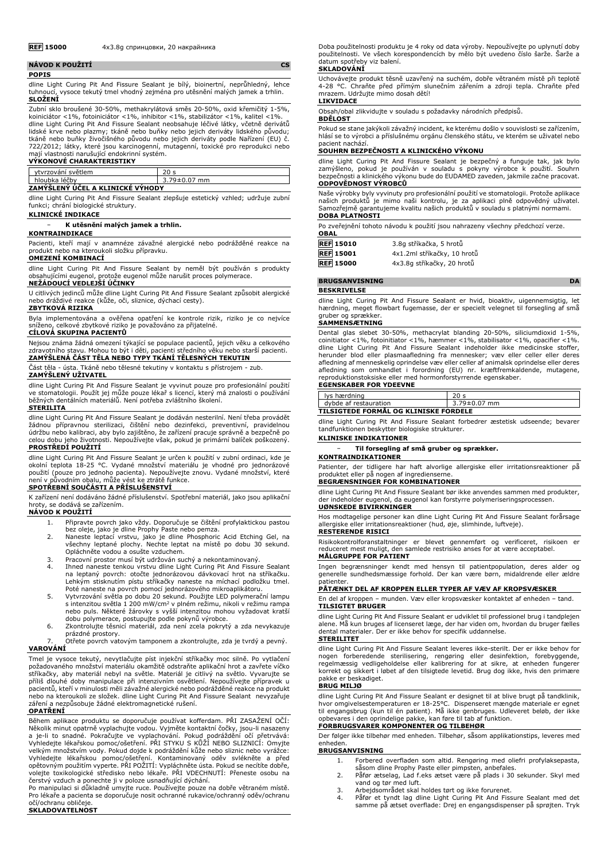| NÁVOD K POUŽITÍ |  |  |  |  |  |  |                                                                                    |  |
|-----------------|--|--|--|--|--|--|------------------------------------------------------------------------------------|--|
| <b>POPIS</b>    |  |  |  |  |  |  |                                                                                    |  |
|                 |  |  |  |  |  |  | dline Light Curing Pit And Fissure Sealant je bílý, bioinertní, neprůhledný, lehce |  |

dline Light Curing Pit And Fissure Sealant je bílý, bioinertní, neprůhledný, lehce tuhnoucí, vysoce tekutý tmel vhodný zejména pro utěsnění malých jamek a trhlin. **SLOŽENÍ**

Zubní sklo broušené 30-50%, methakrylátová směs 20-50%, oxid křemičitý 1-5%, koiniciátor <1%, fotoiniciátor <1%, inhibitor <1%, stabilizátor <1%, kalitel <1%. dline Light Curing Pit And Fissure Sealant neobsahuje léčivé látky, včetně derivátů lidské krve nebo plazmy; tkáně nebo buňky nebo jejich deriváty lidského původu; tkáně nebo buňky živočišného původu nebo jejich deriváty podle Nařízení (EU) č. 722/2012; látky, které jsou karcinogenní, mutagenní, toxické pro reprodukci nebo mají vlastnosti narušující endokrinní systém.

| <b>VYKONOVE CHARAKTERISTIKY</b>  |                    |  |  |  |  |
|----------------------------------|--------------------|--|--|--|--|
| ytvrzování světlem               |                    |  |  |  |  |
| hloubka léčby                    | $3.79 \pm 0.07$ mm |  |  |  |  |
| ZAMÝŠLENÝ ÚČEL A KLINICKÉ VYHODY |                    |  |  |  |  |

dline Light Curing Pit And Fissure Sealant zlepšuje estetický vzhled; udržuje zubní funkci; chrání biologické struktury.

# **KLINICKÉ INDIKACE**

− **K utěsnění malých jamek a trhlin.**

## **KONTRAINDIKACE**

Pacienti, kteří mají v anamnéze závažné alergické nebo podrážděné reakce na produkt nebo na kteroukoli složku přípravku.

## **OMEZENÍ KOMBINACÍ**

dline Light Curing Pit And Fissure Sealant by neměl být používán s produkty obsahujícími eugenol, protože eugenol může narušit proces polymerace.

## **NEŽÁDOUCÍ VEDLEJŠÍ ÚČINKY**

U citlivých jedinců může dline Light Curing Pit And Fissure Sealant způsobit alergické nebo dráždivé reakce (kůže, oči, sliznice, dýchací cesty).

## **ZBYTKOVÁ RIZIKA**

Byla implementována a ověřena opatření ke kontrole rizik, riziko je co nejvíce sníženo, celkové zbytkové riziko je považováno za přijatelné.

## **CÍLOVÁ SKUPINA PACIENTŮ**

Nejsou známa žádná omezení týkající se populace pacientů, jejich věku a celkového zdravotního stavu. Mohou to být i děti, pacienti středního věku nebo starší pacienti. **ZAMÝŠLENÁ ČÁST TĚLA NEBO TYPY TKÁNÍ TĚLESNÝCH TEKUTIN**

Část těla - ústa. Tkáně nebo tělesné tekutiny v kontaktu s přístrojem - zub.

## **ZAMÝŠLENÝ UŽIVATEL**

dline Light Curing Pit And Fissure Sealant je vyvinut pouze pro profesionální použití ve stomatologii. Použít jej může pouze lékař s licencí, který má znalosti o používání běžných dentálních materiálů. Není potřeba zvláštního školení.

#### **STERILITA**

dline Light Curing Pit And Fissure Sealant je dodáván nesterilní. Není třeba provádět<br>žádnou přípravnou sterilizaci, čištění nebo dezinfekci, preventivní, pravidelnou<br>údržbu nebo kalibraci, aby bylo zajištěno, že za celou dobu jeho životnosti. Nepoužívejte však, pokud je primární balíček poškozený. **PROSTŘEDÍ POUŽITÍ**

dline Light Curing Pit And Fissure Sealant je určen k použití v zubní ordinaci, kde je okolní teplota 18-25 °C. Vydané množství materiálu je vhodné pro jednorázové použití (pouze pro jednoho pacienta). Nepoužívejte znovu. Vydané množství, které není v původním obalu, může vést ke ztrátě funkce.

## **SPOTŘEBNÍ SOUČÁSTI A PŘÍSLUŠENSTVÍ**

K zařízení není dodáváno žádné příslušenství. Spotřební materiál, jako jsou aplikační hroty, se dodává se zařízením.

## **NÁVOD K POUŽITÍ**

- 1. Připravte povrch jako vždy. Doporučuje se čištění profylaktickou pastou
- bez oleje, jako je dline Prophy Paste nebo pemza. 2. Naneste leptací vrstvu, jako je dline Phosphoric Acid Etching Gel, na všechny leptané plochy. Nechte leptat na místě po dobu 30 sekund. Opláchněte vodou a osušte vzduchem.
- 3. Pracovní prostor musí být udržován suchý a nekontaminovaný.<br>4. Libned naneste tenkou vrstvu dline Light Curing Pit And Fissur
- 4. Ihned naneste tenkou vrstvu dline Light Curing Pit And Fissure Sealant na leptaný povrch: otočte jednorázovou dávkovací hrot na stříkačku. Lehkým stisknutím pístu stříkačky naneste na míchací podložku tmel.
- Poté naneste na povrch pomocí jednorázového mikroaplikátoru. 5. Vytvrzování světla po dobu 20 sekund. Použijte LED polymerační lampu s intenzitou světla 1 200 mW/cm<sup>2</sup> v plném režimu, nikoli v režimu rampa<br>nebo puls. Některé žárovky s vyšší intenzitou mohou vyžadovat kratší<br>dobu polymerace, postupujte podle pokynů výrobce.
- 6. Zkontrolujte těsnicí materiál, zda není zcela pokrytý a zda nevykazuje prázdné prostory.
- 7. Otřete povrch vatovým tamponem a zkontrolujte, zda je tvrdý a pevný. **VAROVÁNÍ**

Tmel je vysoce tekutý, nevytlačujte píst injekční stříkačky moc silně. Po vytlačení požadovaného množství materiálu okamžitě odstraňte aplikační hrot a zavřete víčko stříkačky, aby materiál nebyl na světle. Materiál je citlivý na světlo. Vyvarujte se příliš dlouhé doby manipulace při intenzivním osvětlení. Nepoužívejte přípravek u pacientů, kteří v minulosti měli závažné alergické nebo podrážděné reakce na produkt nebo na kteroukoli ze složek. dline Light Curing Pit And Fissure Sealant nevyzařuje záření a nezpůsobuje žádné elektromagnetické rušení.

## **OPATŘENÍ**

Během aplikace produktu se doporučuje používat kofferdam. PRI ZASAZENI OCI:<br>Několik minut opatrně vyplachujte vodou. Vyjměte kontaktní čočky, jsou-li nasazeny<br>a je-li to snadné. Pokračujte ve vyplachování. Pokud podráždění velkým množstvím vody. Pokud dojde k podráždění kůže nebo sliznic nebo vyráž Vyhledejte lékařskou pomoc/ošetření. Kontaminovaný oděv svlékněte a před<br>opětovným použitím vyperte. PŘI POŽITÍ: Vypláchněte ústa. Pokud-se necítíte dobře,<br>volejte toxikologické středisko nebo lékaře. PŘI VDECHNUTÍ: Přenes

Po manipulaci si důkladně umyjte ruce. Používejte pouze na dobře větraném místě. Pro lékaře a pacienta se doporučuje nosit ochranné rukavice/ochranný oděv/ochranu očí/ochranu obličeje.

**SKLADOVATELNOST**

Doba použitelnosti produktu je 4 roky od data výroby. Nepoužívejte po uplynutí doby použitelnosti. Ve všech korespondencích by mělo být uvedeno číslo šarže. Šarže a datum spotřeby viz balení.

#### **SKLADOVÁNÍ**

Uchovávejte produkt těsně uzavřený na suchém, dobře větraném místě při teplotě 4-28 °C. Chraňte před přímým slunečním zářením a zdroji tepla. Chraňte před mrazem. Udržujte mimo dosah dětí! **LIKVIDACE**

Obsah/obal zlikvidujte v souladu s požadavky národních předpisů.

**BDĚLOST**

Pokud se stane jakýkoli závažný incident, ke kterému došlo v souvislosti se zařízením, hlásí se to výrobci a příslušnému orgánu členského státu, ve kterém se uživatel nebo pacient nachází.

### **SOUHRN BEZPEČNOSTI A KLINICKÉHO VÝKONU**

dline Light Curing Pit And Fissure Sealant je bezpečný a funguje tak, jak bylo zamýšleno, pokud je používán v souladu s pokyny výrobce k použití. Souhrn bezpečnosti a klinického výkonu bude do EUDAMED zaveden, jakmile začne pracovat. **ODPOVĚDNOST VÝROBCŮ**

Naše výrobky byly vyvinuty pro profesionální použití ve stomatologii. Protože aplikace<br>našich produktů je mimo naši kontrolu, je za aplikaci plně odpovědný uživatel.<br>Samozřejmě garantujeme kvalitu naších produkt **DOBA PLATNOSTI**

Po zveřejnění tohoto návodu k použití jsou nahrazeny všechny předchozí verze.

| OBAL                          |                             |
|-------------------------------|-----------------------------|
| <b>REF</b> 15010              | 3.8g stříkačka, 5 hrotů     |
| $\overline{\text{REF}}$ 15001 | 4x1.2ml stříkačky, 10 hrotů |
| <b>RFF</b> 15000              | 4x3 8a stříkačky 20 hrotů   |

#### **BRUGSANVISNING** DA

**BESKRIVELSE**

dline Light Curing Pit And Fissure Sealant er hvid, bioaktiv, uigennemsigtig, let hærdning, meget flowbart fugemasse, der er specielt velegnet til forsegling af små gruber og sprækker.

## **SAMMENSÆTNING**

Dental glas slebet 30-50%, methacrylat blanding 20-50%, siliciumdioxid 1-5%, coinitiator <1%, fotoinitiator <1%, hæmmer <1%, stabilisator <1%, opacifier <1%. dline Light Curing Pit And Fissure Sealant indeholder ikke medicinske stoffer, herunder blod eller plasmaafledning fra mennesker; væv eller celler eller deres afledning af menneskelig oprindelse væv eller celler af animalsk oprindelse eller deres afledning som omhandlet i forordning (EU) nr. kræftfremkaldende, mutagene, reproduktionstoksiske eller med hormonforstyrrende egenskaber.

#### **EGENSKABER FOR YDEEVNE**

|                                       | lys hærdning          | 20 <sub>s</sub>    |
|---------------------------------------|-----------------------|--------------------|
|                                       | dybde af restauration | $3.79 \pm 0.07$ mm |
| TILSIGTEDE FORMÅL OG KLINISKE FORDELE |                       |                    |

dline Light Curing Pit And Fissure Sealant forbedrer æstetisk udseende; bevarer tandfunktionen beskytter biologiske strukturer.

#### **KLINISKE INDIKATIONER**

− **Til forsegling af små gruber og sprækker.**

**KONTRAINDIKATIONER** Patienter, der tidligere har haft alvorlige allergiske eller irritationsreaktioner på

# produktet eller på nogen af ingredienserne. **BEGRÆNSNINGER FOR KOMBINATIONER**

dline Light Curing Pit And Fissure Sealant bør ikke anvendes sammen med produkter, der indeholder eugenol, da eugenol kan forstyrre polymeriseringsprocessen. **UØNSKEDE BIVIRKNINGER**

Hos modtagelige personer kan dline Light Curing Pit And Fissure Sealant forårsage allergiske eller irritationsreaktioner (hud, øje, slimhinde, luftveje). **RESTERENDE RISICI**

Risikokontrolforanstaltninger er blevet gennemført og verificeret, risikoen er reduceret mest muligt, den samlede restrisiko anses for at være acceptabel. **MÅLGRUPPE FOR PATIENT**

#### Ingen begrænsninger kendt med hensyn til patientpopulation, deres alder og generelle sundhedsmæssige forhold. Der kan være børn, midaldrende eller ældre patienter

#### **PÅTÆNKT DEL AF KROPPEN ELLER TYPER AF VÆV AF KROPSVÆSKER**

En del af kroppen – munden. Væv eller kropsvæsker kontaktet af enheden – tand. **TILSIGTET BRUGER**

dline Light Curing Pit And Fissure Sealant er udviklet til professionel brug i tandplejen alene. Må kun bruges af licenseret læge, der har viden om, hvordan du bruger fælles dental materialer. Der er ikke behov for specifik uddannelse.

### **STERILITET**

dline Light Curing Pit And Fissure Sealant leveres ikke-sterilt. Der er ikke behov for nogen forberedende sterilisering, rengøring eller desinfektion, forebyggende,<br>regelmæssig vedligeholdelse eller kalibrering for at sikre, at enheden fungerer<br>korrekt-og-sikkert-i-løbet-af-den-tilsigtede-levetid.-Brug-dog-i pakke er beskadiget.

#### **BRUG MILJØ**

dline Light Curing Pit And Fissure Sealant er designet til at blive brugt på tandklinik, hvor omgivelsestemperaturen er 18-25°C. Dispenseret mængde materiale er egnet til engangsbrug (kun til én patient). Må ikke genbruges. Udleveret beløb, der ikke opbevares i den oprindelige pakke, kan føre til tab af funktion. **FORBRUGSVARER KOMPONENTER OG TILBEHØR**

Der følger ikke tilbehør med enheden. Tilbehør, såsom applikationstips, leveres med enheden.

#### **BRUGSANVISNING**

- 1. Forbered overfladen som altid. Rengøring med oliefri profylaksepasta, såsom dline Prophy Paste eller pimpsten, anbefales.
- 2. Påfør ætselag, Lad f.eks ætset være på plads i 30 sekunder. Skyl med vand og tør med luft.
- 3. Arbejdsområdet skal holdes tørt og ikke forurenet.
- 4. Påfør et tyndt lag dline Light Curing Pit And Fissure Sealant med det samme på ætset overflade: Drej en engangsdispenser på sprøjten. Tryk

**OBAL**

| REF 15010        | 3.8g stříkačka, 5 hrotů    |
|------------------|----------------------------|
| <b>REF 15001</b> | 4x1.2ml stříkačky, 10 hrot |
| <b>REF</b> 15000 | 4x3.8g stříkačky, 20 hrotů |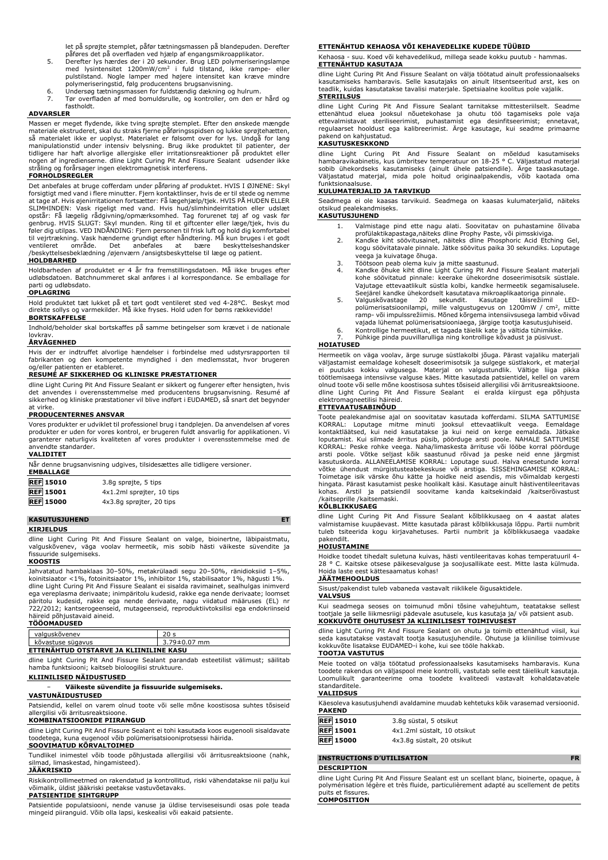let på sprøjte stemplet, påfør tætningsmassen på blandepuden. Derefter påføres det på overfladen ved hjælp af engangsmikroapplikator. 5. Derefter lys hærdes der i 20 sekunder. Brug LED polymeriseringslampe

- med lysintensitet 1200mW/cm<sup>2</sup> i fuld tilstand, ikke rampe- eller<br>pulstilstand. Nogle lamper med højere intensitet kan kræve mindre<br>polymeriseringstid, følg-producentens-brugsanvisning.
- 6. Undersøg tætningsmassen for fuldstændig dækning og hulrum.
- 7. Tør overfladen af med bomuldsrulle, og kontroller, om den er hård og fastholdt.

#### **ADVARSLER**

Massen er meget flydende, ikke tving sprøjte stemplet. Efter den ønskede mængde<br>materiale ekstruderet, skal du straks fjerne påføringsspidsen og lukke sprøjtehætten,<br>så materialet ikke er uoplyst. Materialet er følsomt ove manipulationstid under intensiv belysning. Brug ikke produktet til patienter, der<br>tidligere har haft alvorlige allergiske eller irritationsreaktioner på produktet eller<br>nogen af ingredienserne. dline Light Curing Pit And F stråling og forårsager ingen elektromagnetisk interferens.

#### **FORHOLDSREGLER**

Det anbefales at bruge cofferdam under påføring af produktet. HVIS I ØJNENE: Skyl forsigtigt med vand i flere minutter. Fjern kontaktlinser, hvis de er til stede og nemme at tage af. Hvis øjenirritationen fortsætter: Få lægehjælp/tjek. HVIS PÅ HUDEN ELLER SLIMHINDEN: Vask rigeligt med vand. Hvis hud/slimhindeirritation eller udslæt<br>opstår: Få lægelig rådgivning/opmærksomhed. Tag forurenet tøj af og vask før<br>genbrug. HVIS SLUGT: Skyl munden. Ring til et giftcenter eller læge ventileret område. Det anbefales at bære beskyttelseshandsker /beskyttelsesbeklædning /øjenværn /ansigtsbeskyttelse til læge og patient.

#### **HOLDBARHED**

Holdbarheden af produktet er 4 år fra fremstillingsdatoen. Må ikke bruges efter udløbsdatoen. Batchnummeret skal anføres i al korrespondance. Se emballage for parti og udløbsdato. **OPLAGRING**

Hold produktet tæt lukket på et tørt godt ventileret sted ved 4-28°C. Beskyt mod direkte sollys og varmekilder. Må ikke fryses. Hold uden for børns rækkevidde! **BORTSKAFFELSE**

Indhold/beholder skal bortskaffes på samme betingelser som krævet i de nationale lovkrav.

## **ÅRVÅGENHED**

Hvis der er indtruffet alvorlige hændelser i forbindelse med udstyrsrapporten til fabrikanten og den kompetente myndighed i den medlemsstat, hvor brugeren og/eller patienten er etableret.

### **RESUMÉ AF SIKKERHED OG KLINISKE PRÆSTATIONER**

dline Light Curing Pit And Fissure Sealant er sikkert og fungerer efter hensigten, hvis det anvendes i overensstemmelse med producentens brugsanvisning. Resumé af overensstemmelse med producentens brugsanvisning. Resumé af sikkerhed og kliniske præstationer vil blive indført i EUDAMED, så snart det begynder at virke.

#### **PRODUCENTERNES ANSVAR**

Vores produkter er udviklet til professionel brug i tandplejen. Da anvendelsen af vores produkter er uden for vores kontrol, er brugeren fuldt ansvarlig for applikationen. Vi garanterer naturligvis kvaliteten af vores produkter i overensstemmelse med de anvendte standarder.

| VALIDITE | ► |  |
|----------|---|--|
|          |   |  |

| Når denne brugsanvisning udgives, tilsidesættes alle tidligere versioner.<br><b>EMBALLAGE</b> |                           |  |
|-----------------------------------------------------------------------------------------------|---------------------------|--|
| <b>REF</b> 15010                                                                              | 3.8q sprøjte, 5 tips      |  |
| <b>REF</b> 15001                                                                              | 4x1.2ml sprøjter, 10 tips |  |
| <b>REF</b> 15000                                                                              | 4x3.8q sprøjter, 20 tips  |  |

## **KASUTUSJUHEND ET**

**KIRJELDUS**

dline Light Curing Pit And Fissure Sealant on valge, bioinertne, läbipaistmatu, valguskõvenev, väga voolav hermeetik, mis sobib hästi väikeste süvendite ja fissuuride sulgemiseks.

### **KOOSTIS**

Jahvatatud hambaklaas 30–50%, metakrülaadi segu 20–50%, ränidioksiid 1–5%, koinitsiaator <1%, fotoinitsiaator 1%, inhibiitor 1%, stabilisaator 1%, hägusti 1%. dline Light Curing Pit And Fissure Sealant ei sisalda ravimainet, sealhulgas inimverd<br>ega vereplasma derivaate; inimpäritolu kudesid, rakke ega nende derivaate; loomset<br>päritolu kudesid, rakke ega nende derivaate, na häireid põhjustavaid aineid.

#### **TÖÖOMADUSED**

| valguskõvenev                          |              |  |
|----------------------------------------|--------------|--|
| kõvastuse sügavus                      | 3.79±0.07 mm |  |
| ETTENAHTUD OTSTARVE JA KLIINILINE KASU |              |  |

dline Light Curing Pit And Fissure Sealant parandab esteetilist välimust; säilitab hamba funktsiooni; kaitseb bioloogilisi struktuure.

## **KLIINILISED NÄIDUSTUSED**

− **Väikeste süvendite ja fissuuride sulgemiseks.**

#### **VASTUNÄIDUSTUSED**

Patsiendid, kellel on varem olnud toote või selle mõne koostisosa suhtes tõsiseid allergilisi või ärritusreaktsioone.

### **KOMBINATSIOONIDE PIIRANGUD**

dline Light Curing Pit And Fissure Sealant ei tohi kasutada koos eugenooli sisaldavate toodetega, kuna eugenool võib polümerisatsiooniprotsessi häirida.

## **SOOVIMATUD KÕRVALTOIMED**

Tundlikel inimestel võib toode põhjustada allergilisi või ärritusreaktsioone (nahk, silmad, limaskestad, hingamisteed).

### **JÄÄKRISKID**

Riskikontrollimeetmed on rakendatud ja kontrollitud, riski vähendatakse nii palju kui võimalik, üldist jääkriski peetakse vastuvõetavaks.

#### **PATSIENTIDE SIHTGRUPP**

Patsientide populatsiooni, nende vanuse ja üldise terviseseisundi osas pole teada mingeid piiranguid. Võib olla lapsi, keskealisi või eakaid patsiente.

#### **ETTENÄHTUD KEHAOSA VÕI KEHAVEDELIKE KUDEDE TÜÜBID**

Kehaosa - suu. Koed või kehavedelikud, millega seade kokku puutub - hammas. **ETTENÄHTUD KASUTAJA**

dline Light Curing Pit And Fissure Sealant on välja töötatud ainult professionaalseks kasutamiseks hambaravis. Selle kasutajaks on ainult litsentseeritud arst, kes on teadlik, kuidas kasutatakse tavalisi materjale. Spetsiaalne koolitus pole vajalik. **STERIILSUS**

dline Light Curing Pit And Fissure Sealant tarnitakse mittesteriilselt. Seadme ettenähtud eluea jooksul nõuetekohase ja ohutu töö tagamiseks pole vaja<br>ettevalmistavat steriliseerimist, puhastamist ega desinfitseerimist; ennetavat,<br>regulaarset hooldust ega kalibreerimist. Ärge kasutage, kui seadme pri pakend on kahjustatud.

### **KASUTUSKESKKOND**

dline Light Curing Pit And Fissure Sealant on mõeldud kasutamiseks<br>hambaravikabinetis, kus ümbritsev temperatuur on 18-25 °C. Väljastatud-materjal<br>sobib ühekordseks kasutamiseks (ainult ühele patsiendile). Ärge taaskasutag Väljastatud materjal, mida pole hoitud originaalpakendis, võib kaotada oma funktsionaalsuse.

## **KULUMATERJALID JA TARVIKUD**

Seadmega ei ole kaasas tarvikuid. Seadmega on kaasas kulumaterjalid, näiteks otsikud pealekandmiseks.

## **KASUTUSJUHEND**

- 1. Valmistage pind ette nagu alati. Soovitatav on puhastamine õlivaba
- profülaktikapastaga,näiteks dline Prophy Paste, või pimsskiviga. 2. Kandke kiht söövitusainet, näiteks dline Phosphoric Acid Etching Gel, kogu söövitatavale pinnale. Jätke söövitus paika 30 sekundiks. Loputage veega ja kuivatage õhuga.
- 
- 3. Töötsoon peab olema kuiv ja mitte saastunud.<br>4. Kandke õhuke kiht dline Light Curing Pit And Fissure Sealant materjali<br>kohe söövitatud pinnale: keerake ühekordne doseerimisotsik süstlale. Vajutage ettevaatlikult süstla kolbi, kandke hermeetik segamisalusele. Seejärel kandke ühekordselt kasutatava mikroaplikaatoriga pinnale.
- 5. Valguskõvastage 20 sekundit. Kasutage täisrežiimil LED-polümerisatsioonilampi, mille valgustugevus on 1200mW / cm<sup>2</sup> , mitte ramp- või impulssrežiimis. Mõned kõrgema intensiivsusega lambid võivad vajada lühemat polümerisatsiooniaega, järgige tootja kasutusjuhiseid. 6. Kontrollige hermeetikut, et tagada täielik kate ja vältida tühimikke.
- Pühkige pinda puuvillarulliga ning kontrollige kõvadust ja püsivust.

### **HOIATUSED**

Hermeetik on väga voolav, ärge suruge süstlakolbi jõuga. Pärast vajaliku materjali<br>väljastamist eemaldage koheselt doseerimisotsik ja sulgege süstlakork, et materjal<br>ei puutuks kokku valgusega. Materjal on valgustund töötlemisaega intensiivse valguse käes. Mitte kasutada patsientidel, kellel on varem olnud toote või selle mõne koostisosa suhtes tõsiseid allergilisi või ärritusreaktsioone. dline Light Curing Pit And Fissure Sealant ei eralda kiirgust ega põhjusta elektromagneetilisi häireid.

## **ETTEVAATUSABINÕUD**

Toote pealekandmise ajal on soovitatav kasutada kofferdami. SILMA SATTUMISE KORRAL: Loputage mitme minuti jooksul ettevaatlikult veega. Eemaldage kontaktläätsed, kui neid kasutatakse ja kui neid on kerge eemaldada. Jätkake võtke ühendust mürgistusteabekeskuse või arstiga. SISSEHINGAMISE KORRAL: Toimetage isik värske õhu kätte ja hoidke neid asendis, mis võimaldab kergesti hingata. Pärast kasutamist peske hoolikalt käsi. Kasutage ainult hästiventileeritavas kohas. Arstil ja patsiendil soovitame kanda kaitsekindaid /kaitserõivastust /kaitseprille /kaitsemaski.

#### **KÕLBLIKKUSAEG**

dline Light Curing Pit And Fissure Sealant kõlblikkusaeg on 4 aastat alates valmistamise kuupäevast. Mitte kasutada pärast kõlblikkusaja lõppu. Partii numbrit tuleb tsiteerida kogu kirjavahetuses. Partii numbrit ja kõlblikkusaega vaadake pakendilt.

#### **HOIUSTAMINE**

Hoidke toodet tihedalt suletuna kuivas, hästi ventileeritavas kohas temperatuuril 4- 28 ° C. Kaitske otsese päikesevalguse ja soojusallikate eest. Mitte lasta külmuda. Hoida laste eest kättesaamatus kohas!

## **JÄÄTMEHOOLDUS**

Sisust/pakendist tuleb vabaneda vastavalt riiklikele õigusaktidele.

## **VALVSUS**

Kui seadmega seoses on toimunud mõni tõsine vahejuhtum, teatatakse sellest tootjale ja selle liikmesriigi pädevale asutusele, kus kasutaja ja/ või patsient asub. **KOKKUVÕTE OHUTUSEST JA KLIINILISEST TOIMIVUSEST**

dline Light Curing Pit And Fissure Sealant on ohutu ja toimib ettenähtud viisil, kui seda kasutatakse vastavalt tootja kasutusjuhendile. Ohutuse ja kliinilise toimivuse kokkuvõte lisatakse EUDAMED-i kohe, kui see tööle hakkab. **TOOTJA VASTUTUS**

Meie tooted on välja töötatud professionaalseks kasutamiseks hambaravis. Kuna toodete rakendus on väljaspool meie kontrolli, vastutab selle eest täielikult kasutaja. Loomulikult garanteerime oma toodete kvaliteedi vastavalt kohaldatavatele standarditele.

#### **VALIIDSUS**

| Käesoleva kasutusjuhendi avaldamine muudab kehtetuks kõik varasemad versioonid. |  |
|---------------------------------------------------------------------------------|--|
| PAKEND                                                                          |  |

| <b>REF 15010</b> | 3.8q süstal, 5 otsikut      |
|------------------|-----------------------------|
| <b>REF</b> 15001 | 4x1.2ml süstalt, 10 otsikut |
| <b>REF</b> 15000 | 4x3.8g süstalt, 20 otsikut  |

## **INSTRUCTIONS D'UTILISATION FR**

#### **DESCRIPTION**

dline Light Curing Pit And Fissure Sealant est un scellant blanc, bioinerte, opaque, à polymérisation légère et très fluide, particulièrement adapté au scellement de petits puits et fissures. **COMPOSITION**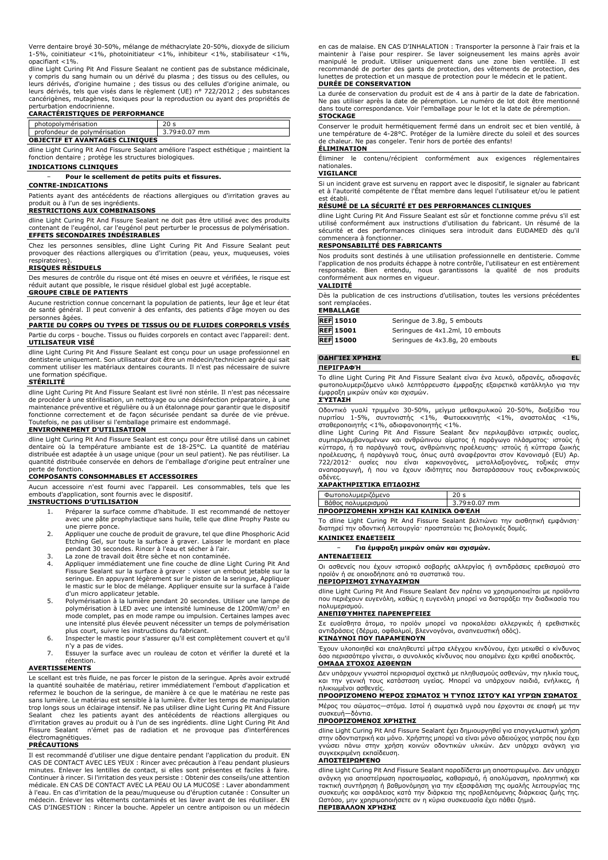Verre dentaire broyé 30-50%, mélange de méthacrylate 20-50%, dioxyde de silicium 1-5%, coinitiateur <1%, photoinitiateur <1%, inhibiteur <1%, stabilisateur <1%, opacifiant <1%.

dline Light Curing Pit And Fissure Sealant ne contient pas de substance médicinale, y compris du sang humain ou un dérivé du plasma ; des tissus ou des cellules, ou leurs dérivés, d'origine humaine ; des tissus ou des cellules d'origine animale, ou leurs dérivés, tels que visés dans le règlement (UE) n° 722/2012 ; des substances cancérigènes, mutagènes, toxiques pour la reproduction ou ayant des propriétés de perturbation endocrinienne.

#### **CARACTÉRISTIQUES DE PERFORMANCE**

| photopolymérisation                    |                    |  |
|----------------------------------------|--------------------|--|
| profondeur de polymérisation           | $3.79 \pm 0.07$ mm |  |
| <b>OBJECTIF ET AVANTAGES CLINIQUES</b> |                    |  |

dline Light Curing Pit And Fissure Sealant améliore l'aspect esthétique ; maintient la fonction dentaire ; protège les structures biologiques.

**INDICATIONS CLINIQUES**

#### − **Pour le scellement de petits puits et fissures.**

#### **CONTRE-INDICATIONS**

Patients ayant des antécédents de réactions allergiques ou d'irritation graves au produit ou à l'un de ses ingrédients.

#### **RESTRICTIONS AUX COMBINAISONS**

dline Light Curing Pit And Fissure Sealant ne doit pas être utilisé avec des produits contenant de l'eugénol, car l'eugénol peut perturber le processus de polymérisation. **EFFETS SECONDAIRES INDÉSIRABLES**

Chez les personnes sensibles, dline Light Curing Pit And Fissure Sealant peut provoquer des réactions allergiques ou d'irritation (peau, yeux, muqueuses, voies respiratoires).

#### **RISQUES RÉSIDUELS**

Des mesures de contrôle du risque ont été mises en oeuvre et vérifiées, le risque est réduit autant que possible, le risque résiduel global est jugé acceptable.

#### **GROUPE CIBLE DE PATIENTS**

Aucune restriction connue concernant la population de patients, leur âge et leur état de santé général. Il peut convenir à des enfants, des patients d'âge moyen ou des personnes âgées.

#### **PARTIE DU CORPS OU TYPES DE TISSUS OU DE FLUIDES CORPORELS VISÉS**

Partie du corps - bouche. Tissus ou fluides corporels en contact avec l'appareil: dent. **UTILISATEUR VISÉ**

dline Light Curing Pit And Fissure Sealant est conçu pour un usage professionnel en dentisterie uniquement. Son utilisateur doit être un médecin/technicien agréé qui sait comment utiliser les matériaux dentaires courants. Il n'est pas nécessaire de suivre formation spécifique.

#### **STÉRILITÉ**

dline Light Curing Pit And Fissure Sealant est livré non stérile. Il n'est pas nécessaire de procéder à une stérilisation, un nettoyage ou une désinfection préparatoire, à une maintenance préventive et régulière ou à un étalonnage pour garantir que le dispositif fonctionne correctement et de façon sécurisée pendant sa durée de vie prévue. Toutefois, ne pas utiliser si l'emballage primaire est endommagé.

## **ENVIRONNEMENT D'UTILISATION**

dline Light Curing Pit And Fissure Sealant est conçu pour être utilisé dans un cabinet dentaire où la température ambiante est de 18-25°C. La quantité de matériau distribuée est adaptée à un usage unique (pour un seul patient). Ne pas réutiliser. La quantité distribuée conservée en dehors de l'emballage d'origine peut entraîner une perte de fonction.

## **COMPOSANTS CONSOMMABLES ET ACCESSOIRES**

Aucun accessoire n'est fourni avec l'appareil. Les consommables, tels que les embouts d'application, sont fournis avec le dispositif.

#### **INSTRUCTIONS D'UTILISATION**

- 1. Préparer la surface comme d'habitude. Il est recommandé de nettoyer avec une pâte prophylactique sans huile, telle que dline Prophy Paste ou une pierre ponce.
- 2. Appliquer une couche de produit de gravure, tel que dline Phosphoric Acid Etching Gel, sur toute la surface à graver. Laisser le mordant en place pendant 30 secondes. Rincer à l'eau et sécher à l'air. 3. La zone de travail doit être sèche et non contaminée.
- 
- 3. La zone de travail doit être séche et non contaminée.<br>4. Appliquer immédiatement une fine couche de dline Light Curing Pit And Fissure Sealant sur la surface à graver : visser un embout jetable sur la seringue. En appuyant légèrement sur le piston de la seringue, Appliquer le mastic sur le bloc de mélange. Appliquer ensuite sur la surface à l'aide d'un micro applicateur jetable.
- 5. Polymérisation à la lumière pendant 20 secondes. Utiliser une lampe de polymérisation à LED avec une intensité lumineuse de 1200mW/cm<sup>2</sup> en mode complet, pas en mode rampe ou impulsion. Certaines lampes avec une intensité plus élevée peuvent nécessiter un temps de polymérisation plus court, suivre les instructions du fabricant.
- 6. Inspecter le mastic pour s'assurer qu'il est complètement couvert et qu'il n'y a pas de vides.
- 7. Essuyer la surface avec un rouleau de coton et vérifier la dureté et la rétention.

#### **AVERTISSEMENTS**

Le scellant est très fluide, ne pas forcer le piston de la seringue. Après avoir extrudé la quantité souhaitée de matériau, retirer immédiatement l'embout d'application et refermez le bouchon de la seringue, de manière à ce que le matériau ne reste pas sans lumière. Le matériau est sensible à la lumière. Éviter les temps de manipulation trop longs sous un éclairage intensif. Ne pas utiliser dline Light Curing Pit And Fissure Sealant chez les patients ayant des antécédents de réactions allergiques ou d'irritation graves au produit ou à l'un de ses ingrédients. dline Light Curing Pit And Fissure Sealant n'émet pas de radiation et ne provoque pas d'interférences électromagnétiques. **PRÉCAUTIONS**

Il est recommandé d'utiliser une digue dentaire pendant l'application du produit. EN CAS DE CONTACT AVEC LES YEUX : Rincer avec précaution à l'eau pendant plusieurs minutes. Enlever les lentilles de contact, si elles sont présentes et faciles à faire. Continuer à rincer. Si l'irritation des yeux persiste : Obtenir des conseils/une attention médicale. EN CAS DE CONTACT AVEC LA PEAU OU LA MUCOSE : Laver abondamment à l'eau. En cas d'irritation de la peau/muqueuse ou d'éruption cutanée : Consulter un médecin. Enlever les vêtements contaminés et les laver avant de les réutiliser. EN CAS D'INGESTION : Rincer la bouche. Appeler un centre antipoison ou un médecin en cas de malaise. EN CAS D'INHALATION : Transporter la personne à l'air frais et la maintenir à l'aise pour respirer. Se laver soigneusement les mains après avoir manipulé le produit. Utiliser uniquement dans une zone bien ventilée. Il est recommandé de porter des gants de protection, des vêtements de protection, des lunettes de protection et un masque de protection pour le médecin et le patient.

## **DURÉE DE CONSERVATION**

La durée de conservation du produit est de 4 ans à partir de la date de fabrication. Ne pas utiliser après la date de péremption. Le numéro de lot doit être mentionné dans toute correspondance. Voir l'emballage pour le lot et la date de péremption. **STOCKAGE**

## Conserver le produit hermétiquement fermé dans un endroit sec et bien ventilé, à une température de 4-28°C. Protéger de la lumière directe du soleil et des sources de chaleur. Ne pas congeler. Tenir hors de portée des enfants!

## **ÉLIMINATION**

Éliminer le contenu/récipient conformément aux exigences réglementaires nationales.

## **VIGILANCE**

Si un incident grave est survenu en rapport avec le dispositif, le signaler au fabricant et à l'autorité compétente de l'État membre dans lequel l'utilisateur et/ou le patient est établi.

### **RÉSUMÉ DE LA SÉCURITÉ ET DES PERFORMANCES CLINIQUES**

dline Light Curing Pit And Fissure Sealant est sûr et fonctionne comme prévu s'il est utilisé conformément aux instructions d'utilisation du fabricant. Un résumé de la sécurité et des performances cliniques sera introduit dans EUDAMED dès qu'il commencera à fonctionner.

### **RESPONSABILITÉ DES FABRICANTS**

Nos produits sont destinés à une utilisation professionnelle en dentisterie. Comme l'application de nos produits échappe à notre contrôle, l'utilisateur en est entièrement responsable. Bien entendu, nous garantissons la qualité de nos produits conformément aux normes en vigueur.

## **VALIDITÉ**

Dès la publication de ces instructions d'utilisation, toutes les versions précédentes sont remplacées. **EMBALLAGE**

| CMDALLAGC        |                                  |
|------------------|----------------------------------|
| <b>REF 15010</b> | Seringue de 3.8q, 5 embouts      |
| <b>REF</b> 15001 | Seringues de 4x1.2ml, 10 embouts |
| <b>REF 15000</b> | Seringues de 4x3.8g, 20 embouts  |

### **ΟΔΗΓΊΕΣ ΧΡΉΣΗΣ EL**

#### **ΠΕΡΙΓΡΑΦΉ**

Το dline Light Curing Pit And Fissure Sealant είναι ένα λευκό, αδρανές, αδιαφανές φωτοπολυμεριζόμενο υλικό λεπτόρρευστο έμφραξης εξαιρετικά κατάλληλο για την έμφραξη μικρών οπών και σχισμών.

#### **ΣΎΣΤΑΣΗ**

Οδοντικό γυαλί τριμμένο 30-50%, μείγμα μεθακρυλικού 20-50%, διοξείδιο του πυριτίου 1-5%, συντονιστής <1%, Φωτοεκκινητής <1%, αναστολέας <1%, σταθεροποιητής <1%, αδιαφανοποιητής <1%. dline Light Curing Pit And Fissure Sealant δεν περιλαμβάνει ιατρικές ουσίες,

συμπεριλαμβανομένων και ανθρώπινου αίματος ή παράγωγο πλάσματος· ιστούς ή κύτταρα, ή τα παράγωγά τους, ανθρώπινης προέλευσης· ιστούς ή κύτταρα ζωικής προέλευσης, ή παράγωγά τους, όπως αυτά αναφέρονται στον Κανονισμό (EU) Αρ.<br>722/2012· ουσίες που είναι καρκινογόνες, μεταλλαξιογόνες, τοξικές στην<br>αναπαραγωγή, ή που να έχουν ιδιότητες που διαταράσσ αδένες.

### **ΧΑΡΑΚΤΗΡΙΣΤΙΚΆ ΕΠΊΔΟΣΗΣ**

| Φωτοπολυμεριζόμενο                   | 20 <sub>s</sub>    |  |
|--------------------------------------|--------------------|--|
| Βάθος πολυμερισμού                   | $3.79 \pm 0.07$ mm |  |
| ΠΡΟΟΡΙΖΌΜΕΝΗ ΧΡΉΣΗ ΚΑΙ ΚΛΙΝΙΚΆ ΟΦΈΛΗ |                    |  |

Το dline Light Curing Pit And Fissure Sealant βελτιώνει την αισθητική εμφάνιση· διατηρεί την οδοντική λειτουργία· προστατεύει τις βιολογικές δομές.

## **ΚΛΙΝΙΚΈΣ ΕΝΔΕΊΞΕΙΣ**

− **Για έμφραξη μικρών οπών και σχισμών.**

### **ΑΝΤΕΝΔΕΊΞΕΙΣ**

Οι ασθενείς που έχουν ιστορικό σοβαρής αλλεργίας ή αντιδράσεις ερεθισμού στο προϊόν ή σε οποιοδήποτε από τα συστατικά του. **ΠΕΡΙΟΡΙΣΜΟΊ ΣΥΝΔΥΑΣΜΏΝ**

#### dline Light Curing Pit And Fissure Sealant δεν πρέπει να χρησιμοποιείται με προϊόντα που περιέχουν ευγενόλη, καθώς η ευγενόλη μπορεί να διαταράξει την διαδικασία του πολυμερισμού.

#### **ΑΝΕΠΙΘΎΜΗΤΕΣ ΠΑΡΕΝΈΡΓΕΙΕΣ**

Σε ευαίσθητα άτομα, το προϊόν μπορεί να προκαλέσει αλλεργικές ή ερεθιστικές αντιδράσεις (δέρμα, οφθαλμοί, βλεννογόνοι, αναπνευστική οδός). **ΚΊΝΔΥΝΟΙ ΠΟΥ ΠΑΡΑΜΈΝΟΥΝ**

Έχουν υλοποιηθεί και επαληθευτεί μέτρα ελέγχου κινδύνου, έχει μειωθεί ο κίνδυνος όσο περισσότερο γίνεται, ο συνολικός κίνδυνος που απομένει έχει κριθεί αποδεκτός. **ΟΜΆΔΑ ΣΤΌΧΟΣ ΑΣΘΕΝΏΝ**

#### Δεν υπάρχουν γνωστοί περιορισμοί σχετικά με πληθυσμούς ασθενών, την ηλικία τους, και την γενική τους κατάσταση υγείας. Μπορεί να υπάρχουν παιδιά, ενήλικες, ή ηλικιωμένοι ασθενείς.

**ΠΡΟΟΡΙΖΌΜΕΝΟ ΜΈΡΟΣ ΣΏΜΑΤΟΣ Ή ΤΎΠΟΣ ΙΣΤΟΎ ΚΑΙ ΥΓΡΏΝ ΣΏΜΑΤΟΣ**

Μέρος του σώματος—στόμα. Ιστοί ή σωματικά υγρά που έρχονται σε επαφή με την συσκευή—δόντια.

## **ΠΡΟΟΡΙΖΌΜΕΝΟΣ ΧΡΉΣΤΗΣ**

dline Light Curing Pit And Fissure Sealant έχει δημιουργηθεί για επαγγελματική χρήση στην οδοντιατρική και μόνο. Χρήστης μπορεί να είναι μόνο αδειούχος γιατρός που έχει γνώσει πάνω στην χρήση κοινών οδοντικών υλικών. Δεν υπάρχει ανάγκη για συγκεκριμένη εκπαίδευση.

#### **ΑΠΟΣΤΕΙΡΩΜΈΝΟ**

dline Light Curing Pit And Fissure Sealant παραδίδεται μη αποστειρωμένο. Δεν υπάρχει ανάγκη για αποστείρωση προετοιμασίας, καθαρισμό, ή απολύμανση, προληπτική και<br>τακτική συντήρηση ή βαθμονόμηση για την εξασφάλιση της ομαλής λειτουργίας της<br>συσκευής και ασφάλειας κατά την διάρκεια της προβλεπόμενης διάρκε

**ΠΕΡΙΒΆΛΛΟΝ ΧΡΉΣΗΣ**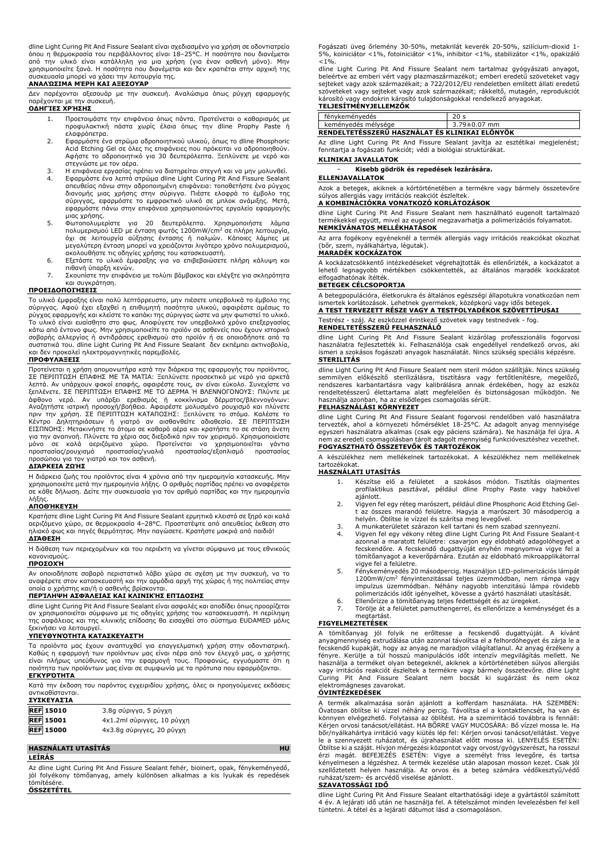dline Light Curing Pit And Fissure Sealant είναι σχεδιασμένο για χρήση σε οδοντιατρείο όπου η θερμοκρασία του περιβάλλοντος είναι 18–25°C. Η ποσότητα που διανέμεται<br>από την υλικό είναι κατάλληλη για μια χρήση (για έναν ασθενή μόνο). Μην<br>χρησιμοποιείτε ξανά. Η ποσότητα που διανέμεται και δεν κρατιέται στην α συσκευασία μπορεί να χάσει την λειτουργία της.

#### **ΑΝΑΛΏΣΙΜΑ ΜΈΡΗ ΚΑΙ ΑΞΕΣΟΥΆΡ**

Δεν παρέχονται αξεσουάρ με την συσκευή. Αναλώσιμα όπως ρύγχη εφαρμογής παρέχονται με την συσκευή.

## **ΟΔΗΓΊΕΣ ΧΡΉΣΗΣ**

- 1. Προετοιμάστε την επιφάνεια όπως πάντα. Προτείνεται ο καθαρισμός με προφυλακτική πάστα χωρίς έλαια όπως την dline Prophy Paste ή
- ελαφρόπετρα. 2. Εφαρμόστε ένα στρώμα αδροποιητικού υλικού, όπως το dline Phosphoric Acid Etching Gel σε όλες τις επιφάνειες που πρόκειται να αδροποιηθούν. Αφήστε το αδροποιητικό για 30 δευτερόλεπτα. Ξεπλύνετε με νερό και στεγνώστε με τον αέρα.
- 3. Η επιφάνεια εργασίας πρέπει να διατηρείται στεγνή και να μην μολυνθεί.<br>4. Εφαρμόστε ένα λεπτό στρώμα dline Light Curing Pit And Fissure Sealant<br>απευθείας πάνω στην αδροποιημένη επιφάνεια: τοποθετήστε ένα ρύγχος<br>διανομή εφαρμόστε πάνω στην επιφάνεια χρησιμοποιώντας εργαλείο εφαρμογής μιας χρήσης.
- 5. Φωτοπολυμερίστε για 20 δευτερόλεπτα. Χρησιμοποιήστε λάμπα<br>πολυμερισμού LED με ένταση φωτός 1200mW/cm<sup>2</sup> σε πλήρη λειτουργία,<br>όχι σε λειτουργία αύξησης έντασης ή παλμών. Κάποιες λάμπες με μεγαλύτερη ένταση μπορεί να χρειάζονται λιγότερο χρόνο πολυμερισμού, ακολουθήστε τις οδηγίες χρήσης του κατασκευαστή.
- 6. Εξετάστε το υλικό έμφραξης για να επιβεβαιώσετε πλήρη κάλυψη και πιθανή ύπαρξη κενών.
- 7. Σκουπίστε την επιφάνεια με τολύπι βάμβακος και ελέγξτε για σκληρότητα και συγκράτηση.

#### **ΠΡΟΕΙΔΟΠΟΙΉΣΕΙΣ**

Το υλικό έμφραξης είναι πολύ λεπτόρρευστο, μην πιέσετε υπερβολικά το έμβολο της σύριγγας. Αφού έχει εξαχθεί η επιθυμητή ποσότητα υλικού, αφαιρέστε αμέσως το ρύγχος εφαρμογής και κλείστε το καπάκι της σύριγγας ώστε να μην φωτιστεί το υλικό. Το υλικό είναι ευαίσθητο στο φως. Αποφύγετε τον υπερβολικό χρόνο επεξεργασίας κάτω από έντονο φως. Μην χρησιμοποιείτε το προϊόν σε ασθενείς που έχουν ιστορικό σοβαρής αλλεργίας ή αντιδράσεις ερεθισμού στο προϊόν ή σε οποιοδήποτε από τα συστατικά του. dline Light Curing Pit And Fissure Sealant δεν εκπέμπει ακτινοβολία, και δεν προκαλεί ηλεκτρομαγνητικές παρεμβολές.

#### **ΠΡΟΦΥΛΆΞΕΙΣ**

Προτείνεται η χρήση απομονωτήρα κατά την διάρκεια της εφαρμογής του προϊόντος. ΣΕ ΠΕΡΙΠΤΩΣΗ ΕΠΑΦΗΣ ΜΕ ΤΑ ΜΑΤΙΑ: Ξεπλύνετε προσεκτικά με νερό για αρκετά<br>λεπτά. Αν υπάρχουν φακοί επαφής, αφαιρέστε τους, αν είναι εύκολο. Συνεχίστε να<br>ξεπλένετε. ΣΕ ΠΕΡΙΠΤΩΣΗ ΕΠΑΦΗΣ ΜΕ ΤΟ ΔΕΡΜΑ Ή ΒΛΕΝΝΟΓΟΝΟΥΣ: Πλύντε με άφθονο νερό. Αν υπάρξει ερεθισμός ή κοκκίνισμα δέρματος/βλεννογόνων:<br>Αναζητήστε ιατρική προσοχή/βοήθεια.Αφαιρέστε μολυσμένο ρουχισμό και πλύνετε<br>πριν την χρήση.ΣΕ ΠΕΡΙΠΤΩΣΗ ΚΑΤΑΠΟΣΗΣ: Ξεπλύνετε το στόμα.Καλέστε το<br>Κέντρο ΕΙΣΠΝΟΗΣ: Μετακινήστε το άτομο σε καθαρό αέρα και κρατήστε το σε στάση άνετη<br>για την αναπνοή. Πλύνετε τα χέρια σας διεξοδικά πριν τον χειρισμό. Χρησιμοποιείστε<br>μόνο σε καλά αεριζόμενο χώρο. Προτείνεται να χρ προστασίας/ρουχισμό προστασίας/γυαλιά προστασίας/εξοπλισμό προστασίας<br>προσώπου για τον γιατρό και τον ασθενή.<br>**ΔΙΆΡΚΕΙΑ ΖΩΉΣ** 

Η διάρκεια ζωής του προϊόντος είναι 4 χρόνια από την ημερομηνία κατασκευής. Μην χρησιμοποιείτε μετά την ημερομηνία λήξης. Ο αριθμός παρτίδας πρέπει να αναφέρεται σε κάθε δήλωση. Δείτε την συσκευασία για τον αριθμό παρτίδας και την ημερομηνία λήξης.

### **ΑΠΟΘΉΚΕΥΣΗ**

Κρατήστε dline Light Curing Pit And Fissure Sealant ερμητικά κλειστό σε ξηρό και καλά αεριζόμενο χώρο, σε θερμοκρασία 4–28°C. Προστατέψτε από απευθείας έκθεση στο ηλιακό φως και πηγές θερμότητας. Μην παγώσετε. Κρατήστε μακριά από παιδιά! **ΔΙΆΘΕΣΗ**

Η διάθεση των περιεχομένων και του περιέκτη να γίνεται σύμφωνα με τους εθνικούς κανονισμούς. **ΠΡΟΣΟΧΉ**

Αν οποιοδήποτε σοβαρό περιστατικό λάβει χώρα σε σχέση με την συσκευή, να το αναφέρετε στον κατασκευαστή και την αρμόδια αρχή της χώρας ή της πολιτείας στην οποία ο χρήστης και/ή ο ασθενής βρίσκονται.

## **ΠΕΡΊΛΗΨΗ ΑΣΦΆΛΕΙΑΣ ΚΑΙ ΚΛΙΝΙΚΉΣ ΕΠΊΔΟΣΗΣ**

dline Light Curing Pit And Fissure Sealant είναι ασφαλές και αποδίδει όπως προορίζεται αν χρησιμοποιείται σύμφωνα με τις οδηγίες χρήσης του κατασκευαστή. Η περίληψη της ασφάλειας και της κλινικής επίδοσης θα εισαχθεί στο σύστημα EUDAMED μόλις ξεκινήσει να λειτουργεί.

#### **ΥΠΕΥΘΥΝΌΤΗΤΑ ΚΑΤΑΣΚΕΥΑΣΤΉ**

Τα προϊόντα μας έχουν αναπτυχθεί για επαγγελματική χρήση στην οδοντιατρική. Καθώς η εφαρμογή των προϊόντων μας είναι πέρα από τον έλεγχό μας, ο χρήστης είναι πλήρως υπεύθυνος για την εφαρμογή τους. Προφανώς, εγγυόμαστε ότι η ποιότητα των προϊόντων μας είναι σε συμφωνία με τα πρότυπα που εφαρμόζονται. **ΕΓΚΥΡΌΤΗΤΑ**

Κατά την έκδοση του παρόντος εγχειριδίου χρήσης, όλες οι προηγούμενες εκδόσεις αντικαθίστανται. **ΣΥΣΚΕΥΑΣΊΑ**

| <b>LILALIMLIM</b> |                            |
|-------------------|----------------------------|
| <b>REF</b> 15010  | 3.8g σύριγγα, 5 ρύγχη      |
| <b>REF 15001</b>  | 4x1.2ml σύριγγες, 10 ρύγχη |
| <b>REF 15000</b>  | 4x3.8g σύριγγες, 20 ρύγχη  |

### **HASZNÁLATI UTASÍTÁS HU**

**LEÍRÁS**

Az dline Light Curing Pit And Fissure Sealant fehér, bioinert, opak, fénykeményedő, jól folyékony tömőanyag, amely különösen alkalmas a kis lyukak és repedések tömítésére. **ÖSSZETÉTEL**

Fogászati üveg őrlemény 30-50%, metakrilát keverék 20-50%, szilícium-dioxid 1- 5%, koiniciátor <1%, fotoiniciátor <1%, inhibitor <1%, stabilizátor <1%, opakizáló  $< 1\%$ .

dline Light Curing Pit And Fissure Sealant nem tartalmaz gyógyászati anyagot, beleértve az emberi vért vagy plazmaszármazékot; emberi eredetű szöveteket vagy sejteket vagy azok származékait; a 722/2012/EU rendeletben említett állati eredetű szöveteket vagy sejteket vagy azok származékait; rákkeltő, mutagén, reprodukciót<br>károsító vagy endokrin károsító tulajdonságokkal rendelkező anyagokat.<br><mark>TELJESÍTMÉNYJELLEMZŐK</mark>

| 166969111161113666611606 |                                                |                 |  |
|--------------------------|------------------------------------------------|-----------------|--|
|                          | fénykeményedés                                 | 20 <sub>s</sub> |  |
|                          | keménvedés mélvsége                            | 3.79±0.07 mm    |  |
|                          | RENDELTETESSZERU HASZNÁLAT ÉS KLINIKAI ELÖNYÖK |                 |  |

Az dline Light Curing Pit And Fissure Sealant javítja az esztétikai megjelenést; fenntartja a fogászati funkciót; védi a biológiai struktúrákat.

## **KLINIKAI JAVALLATOK**

## − **Kisebb gödrök és repedések lezárására.**

#### **ELLENJAVALLATOK**

Azok a betegek, akiknek a kórtörténetében a termékre vagy bármely összetevőre súlyos allergiás vagy irritációs reakciót észleltek.

#### **A KOMBINÁCIÓKRA VONATKOZÓ KORLÁTOZÁSOK**

dline Light Curing Pit And Fissure Sealant nem használható eugenolt tartalmazó termékekkel együtt, mivel az eugenol megzavarhatja a polimerizációs folyamatot. **NEMKÍVÁNATOS MELLÉKHATÁSOK**

Az arra fogékony egyéneknél a termék allergiás vagy irritációs reakciókat okozhat (bőr, szem, nyálkahártya, légutak). **MARADÉK KOCKÁZATOK**

A kockázatcsökkentő intézkedéseket végrehajtották és ellenőrizték, a kockázatot a lehető legnagyobb mértékben csökkentették, az általános maradék kockázatot elfogadhatónak ítélték.

### **BETEGEK CÉLCSOPORTJA**

A betegpopulációra, életkorukra és általános egészségi állapotukra vonatkozóan nem ismertek korlátozások. Lehetnek gyermekek, középkorú vagy idős betegek. **A TEST TERVEZETT RÉSZE VAGY A TESTFOLYADÉKOK SZÖVETTÍPUSAI**

Testrész - száj. Az eszközzel érintkező szövetek vagy testnedvek - fog.

## **RENDELTETÉSSZERŰ FELHASZNÁLÓ**

dline Light Curing Pit And Fissure Sealant kizárólag professzionális fogorvosi használatra fejlesztették ki. Felhasználója csak engedéllyel rendelkező orvos, aki ismeri a szokásos fogászati anyagok használatát. Nincs szükség speciális képzésre. **STERILITÁS**

dline Light Curing Pit And Fissure Sealant nem steril módon szállítják. Nincs szükség semmilyen előkészítő sterilizálásra, tisztításra vagy fertőtlenítésre, megelőző,<br>rendszeres karbantartásra vagy kalibrálásra annak érdekében, hogy az eszköz<br>rendeltetésszerű élettartama alatt megfelelően és biztonságosan m használja azonban, ha az elsődleges csomagolás sérült.

## **FELHASZNÁLÁSI KÖRNYEZET**

dline Light Curing Pit And Fissure Sealant fogorvosi rendelőben való használatra tervezték, ahol a környezeti hőmérséklet 18-25°C. Az adagolt anyag mennyisége egyszeri használatra alkalmas (csak egy páciens számára). Ne használja fel újra. A nem az eredeti csomagolásban tárolt adagolt mennyiség funkcióvesztéshez vezethet. **FOGYASZTHATÓ ÖSSZETEVŐK ÉS TARTOZÉKOK**

A készülékhez nem mellékelnek tartozékokat. A készülékhez nem mellékelnek tartozékokat.

#### **HASZNÁLATI UTASÍTÁS**

- 1. Készítse elő a felületet a szokásos módon. Tisztítás olajmentes profilaktikus pasztával, például dline Prophy Paste vagy habkővel ajánlott.
- 2. Vigyen fel egy réteg marószert, például dline Phosphoric Acid Etching Gelt az összes marandó felületre. Hagyja a marószert 30 másodpercig a helyén. Öblítse le vízzel és szárítsa meg levegővel.
- 3. A munkaterületet szárazon kell tartani és nem szabad szennyezni. 4. Vigyen fel egy vékony réteg dline Light Curing Pit And Fissure Sealant-t
- azonnal a maratott felületre: csavarjon egy eldobható adagolóhegyet a fecskendőre. A fecskendő dugattyúját enyhén megnyomva vigye fel a tömítőanyagot a keverőpárnára. Ezután az eldobható mikroapplikátorral vigye fel a felületre.
- 5. Fénykeményedés 20 másodpercig. Használjon LED-polimerizációs lámpát 1200mW/cm<sup>2</sup> fényintenzitással teljes üzemmódban, nem rámpa vagy impulzus üzemmódban. Néhány nagyobb intenzitású lámpa rövidebb polimerizációs időt igényelhet, kövesse a gyártó használati utasítását.
- 6. Ellenőrizze a tömítőanyag teljes fedettségét és az üregeket. 7. Törölje át a felületet pamuthengerrel, és ellenőrizze a keménységet és a
- megtartást.

### **FIGYELMEZTETÉSEK**

A tömítőanyag jól folyik ne erőltesse a fecskendő dugattyúját. A kívánt anyagmennyiség extrudálása után azonnal távolítsa el a felhordóhegyet és zárja le a fecskendő kupakját, hogy az anyag ne maradjon világítatlanul. Az anyag érzékeny a<br>fényre. Kerülje a túl hosszú manipulációs időt intenzív megvilágítás mellett. Ne<br>használja a terméket olyan betegeknél, akiknek a k Curing Pit And Fissure Sealant nem bocsát ki sugárzást és nem okoz elektromágneses zavarokat.

### **ÓVINTÉZKEDÉSEK**

A termék alkalmazása során ajánlott a kofferdam használata. HA SZEMBEN: Óvatosan öblítse ki vízzel néhány percig. Távolítsa el a kontaktlencsét, ha van és könnyen elvégezhető. Folytassa az öblítést. Ha a szemirritáció továbbra is fennáll: Kérjen orvosi tanácsot/ellátást. HA BŐRRE VAGY MUCOSÁRA: Bő vízzel mossa le. Ha bőr/nyálkahártya irritáció vagy kiütés lép fel: Kérjen orvosi tanácsot/ellátást. Vegye<br>le a szennyezett ruházatot, és újrahasználat előtt mossa ki. LENYELÉS ESETÉN:<br>Öblítse ki a száját. Hívjon mérgezési központot vagy orvo szellőztetett helyen használja. Az orvos és a beteg számára védőkesztyű/védő ruházat/szem- és arcvédő viselése ajánlott.

## **SZAVATOSSÁGI IDŐ**

dline Light Curing Pit And Fissure Sealant eltarthatósági ideje a gyártástól számított 4 év. A lejárati idő után ne használja fel. A tételszámot minden levelezésben fel kell tüntetni. A tétel és a lejárati dátumot lásd a csomagoláson.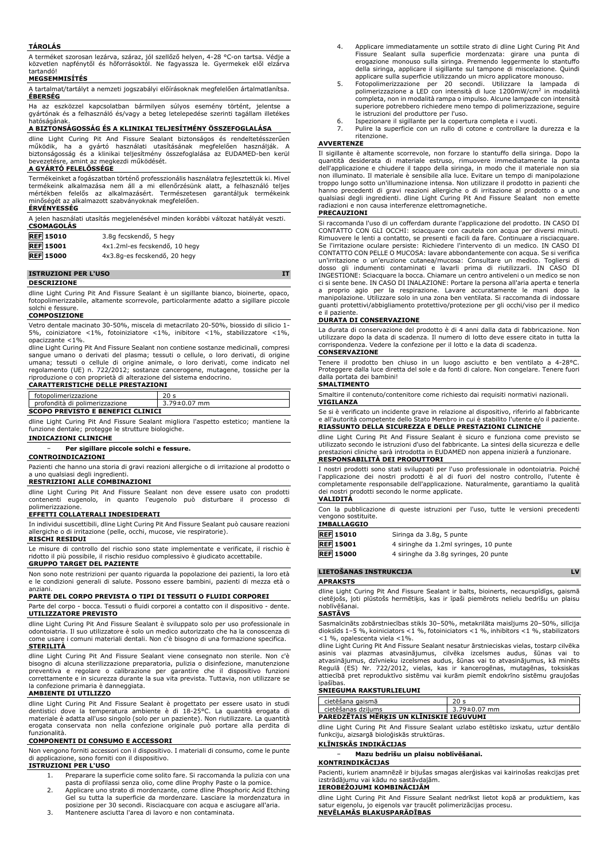#### **TÁROLÁS**

A terméket szorosan lezárva, száraz, jól szellőző helyen, 4-28 °C-on tartsa. Védje a közvetlen napfénytől és hőforrásoktól. Ne fagyassza le. Gyermekek elől elzárva tartandó!

# **MEGSEMMISÍTÉS**

A tartalmat/tartályt a nemzeti jogszabályi előírásoknak megfelelően ártalmatlanítsa. **ÉBERSÉG**

Ha az eszközzel kapcsolatban bármilyen súlyos esemény történt, jelentse a gyártónak és a felhasználó és/vagy a beteg letelepedése szerinti tagállam illetékes hatóságának.

## **A BIZTONSÁGOSSÁG ÉS A KLINIKAI TELJESÍTMÉNY ÖSSZEFOGLALÁSA**

dline Light Curing Pit And Fissure Sealant biztonságos és rendeltetésszerűen működik, ha a gyártó használati utasításának megfelelően használják. A biztonságosság és a klinikai teljesítmény összefoglalása az EUDAMED-ben kerül bevezetésre, amint az megkezdi működését.

## **A GYÁRTÓ FELELŐSSÉGE**

Termékeinket a fogászatban történő professzionális használatra fejlesztettük ki. Mivel termékeink alkalmazása nem áll a mi ellenőrzésünk alatt, a felhasználó teljes mértékben felelős az alkalmazásért. Természetesen garantáljuk termékeink minőségét az alkalmazott szabványoknak megfelelően.

## **ÉRVÉNYESSÉG**

A jelen használati utasítás megjelenésével minden korábbi változat hatályát veszti. **CSOMAGOLÁS**

| <b>REF</b> 15010 | 3.8q fecskendő, 5 hegy        |
|------------------|-------------------------------|
| <b>REF</b> 15001 | 4x1.2ml-es fecskendő, 10 hegy |
| <b>REF 15000</b> | 4x3.8q-es fecskendő, 20 hegy  |

## **ISTRUZIONI PER L'USO IT**

**DESCRIZIONE**

dline Light Curing Pit And Fissure Sealant è un sigillante bianco, bioinerte, opaco, fotopolimerizzabile, altamente scorrevole, particolarmente adatto a sigillare piccole solchi e fessure. **COMPOSIZIONE**

Vetro dentale macinato 30-50%, miscela di metacrilato 20-50%, biossido di silicio 1- 5%, coiniziatore <1%, fotoiniziatore <1%, inibitore <1%, stabilizzatore <1%,

opacizzante <1%. dline Light Curing Pit And Fissure Sealant non contiene sostanze medicinali, compresi sangue umano o derivati del plasma; tessuti o cellule, o loro derivati, di origine umana; tessuti o cellule di origine animale, o loro derivati, come indicato nel regolamento (UE) n. 722/2012; sostanze cancerogene, mutagene, tossiche per la riproduzione o con proprietà di alterazione del sistema endocrino.

## **CARATTERISTICHE DELLE PRESTAZIONI**

| fotopolimerizzazione                     | 20 <sub>s</sub>    |  |
|------------------------------------------|--------------------|--|
| profondità di polimerizzazione           | $3.79 \pm 0.07$ mm |  |
| <b>SCOPO PREVISTO E BENEFICI CLINICI</b> |                    |  |

dline Light Curing Pit And Fissure Sealant migliora l'aspetto estetico; mantiene la funzione dentale; protegge le strutture biologiche.

## **INDICAZIONI CLINICHE**

− **Per sigillare piccole solchi e fessure.**

**CONTROINDICAZIONI**

Pazienti che hanno una storia di gravi reazioni allergiche o di irritazione al prodotto o

# a uno qualsiasi degli ingredienti. **RESTRIZIONI ALLE COMBINAZIONI**

dline Light Curing Pit And Fissure Sealant non deve essere usato con prodotti contenenti eugenolo, in quanto l'eugenolo può disturbare il processo di polimerizzazione.

## **EFFETTI COLLATERALI INDESIDERATI**

In individui suscettibili, dline Light Curing Pit And Fissure Sealant può causare reazioni allergiche o di irritazione (pelle, occhi, mucose, vie respiratorie).

## **RISCHI RESIDUI**

Le misure di controllo del rischio sono state implementate e verificate, il rischio è ridotto il più possibile, il rischio residuo complessivo è giudicato accettabile. **GRUPPO TARGET DEL PAZIENTE**

Non sono note restrizioni per quanto riguarda la popolazione dei pazienti, la loro età e le condizioni generali di salute. Possono essere bambini, pazienti di mezza età o anziani.

# **PARTE DEL CORPO PREVISTA O TIPI DI TESSUTI O FLUIDI CORPOREI**

Parte del corpo - bocca. Tessuti o fluidi corporei a contatto con il dispositivo - dente. **UTILIZZATORE PREVISTO**

dline Light Curing Pit And Fissure Sealant è sviluppato solo per uso professionale in odontoiatria. Il suo utilizzatore è solo un medico autorizzato che ha la conoscenza di come usare i comuni materiali dentali. Non c'è bisogno di una formazione specifica. **STERILITÀ**

dline Light Curing Pit And Fissure Sealant viene consegnato non sterile. Non c'è bisogno di alcuna sterilizzazione preparatoria, pulizia o disinfezione, manutenzione preventiva e regolare o calibrazione per garantire che il dispositivo funzioni correttamente e in sicurezza durante la sua vita prevista. Tuttavia, non utilizzare se la confezione primaria è danneggiata.

## **AMBIENTE DI UTILIZZO**

dline Light Curing Pit And Fissure Sealant è progettato per essere usato in studi dentistici dove la temperatura ambiente è di 18-25°C. La quantità erogata di materiale è adatta all'uso singolo (solo per un paziente). Non riutilizzare. La quantità erogata conservata non nella confezione originale può portare alla perdita di funzionalità.

## **COMPONENTI DI CONSUMO E ACCESSORI**

Non vengono forniti accessori con il dispositivo. I materiali di consumo, come le punte di applicazione, sono forniti con il dispositivo.

# **ISTRUZIONI PER L'USO**

- 1. Preparare la superficie come solito fare. Si raccomanda la pulizia con una pasta di profilassi senza olio, come dline Prophy Paste o la pomice.
- 2. Applicare uno strato di mordenzante, come dline Phosphoric Acid Etching Gel su tutta la superficie da mordenzare. Lasciare la mordenzatura in posizione per 30 secondi. Risciacquare con acqua e asciugare all'aria.
- 3. Mantenere asciutta l'area di lavoro e non contaminata.
- 4. Applicare immediatamente un sottile strato di dline Light Curing Pit And Fissure Sealant sulla superficie mordenzata: girare una punta di erogazione monouso sulla siringa. Premendo leggermente lo stantuffo della siringa, applicare il sigillante sul tampone di miscelazione. Quindi
- applicare sulla superficie utilizzando un micro applicatore monouso. 5. Fotopolimerizzazione per 20 secondi. Utilizzare la lampada di polimerizzazione a LED con intensità di luce 1200mW/cm<sup>2</sup> in modalità completa, non in modalità rampa o impulso. Alcune lampade con intensità superiore potrebbero richiedere meno tempo di polimerizzazione, seguire
- le istruzioni del produttore per l'uso. 6. Ispezionare il sigillante per la copertura completa e i vuoti.
- 7. Pulire la superficie con un rullo di cotone e controllare la durezza e la ritenzione. **AVVERTENZE**

Il sigillante è altamente scorrevole, non forzare lo stantuffo della siringa. Dopo la quantità desiderata di materiale estruso, rimuovere immediatamente la punta dell'applicazione e chiudere il tappo della siringa, in modo che il materiale non sia non illuminato. Il materiale è sensibile alla luce. Evitare un tempo di manipolazione troppo lungo sotto un'illuminazione intensa. Non utilizzare il prodotto in pazienti che hanno precedenti di gravi reazioni allergiche o di irritazione al prodotto o a uno qualsiasi degli ingredienti. dline Light Curing Pit And Fissure Sealant non emette radiazioni e non causa interferenze elettromagnetiche.

## **PRECAUZIONI**

Si raccomanda l'uso di un cofferdam durante l'applicazione del prodotto. IN CASO DI CONTATTO CON GLI OCCHI: sciacquare con cautela con acqua per diversi minuti. Rimuovere le lenti a contatto, se presenti e facili da fare. Continuare a risciacquare. Se l'irritazione oculare persiste: Richiedere l'intervento di un medico. IN CASO DI CONTATTO CON PELLE O MUCOSA: lavare abbondantemente con acqua. Se si verifica un'irritazione o un'eruzione cutanea/mucosa: Consultare un medico. Togliersi di dosso gli indumenti contaminati e lavarli prima di riutilizzarli. IN CASO DI INGESTIONE: Sciacquare la bocca. Chiamare un centro antiveleni o un medico se non ci si sente bene. IN CASO DI INALAZIONE: Portare la persona all'aria aperta e tenerla a proprio agio per la respirazione. Lavare accuratamente le mani dopo la manipolazione. Utilizzare solo in una zona ben ventilata. Si raccomanda di indossare guanti protettivi/abbigliamento protettivo/protezione per gli occhi/viso per il medico e il paziente.

## **DURATA DI CONSERVAZIONE**

La durata di conservazione del prodotto è di 4 anni dalla data di fabbricazione. Non utilizzare dopo la data di scadenza. Il numero di lotto deve essere citato in tutta la corrispondenza. Vedere la confezione per il lotto e la data di scadenza. **CONSERVAZIONE**

Tenere il prodotto ben chiuso in un luogo asciutto e ben ventilato a 4-28°C. Proteggere dalla luce diretta del sole e da fonti di calore. Non congelare. Tenere fuori dalla portata dei bambini!

## **SMALTIMENTO**

Smaltire il contenuto/contenitore come richiesto dai requisiti normativi nazionali. **VIGILANZA**

Se si è verificato un incidente grave in relazione al dispositivo, riferirlo al fabbricante e all'autorità competente dello Stato Membro in cui è stabilito l'utente e/o il paziente. **RIASSUNTO DELLA SICUREZZA E DELLE PRESTAZIONI CLINICHE**

dline Light Curing Pit And Fissure Sealant è sicuro e funziona come previsto se utilizzato secondo le istruzioni d'uso del fabbricante. La sintesi della sicurezza e delle prestazioni cliniche sarà introdotta in EUDAMED non appena inizierà a funzionare. **RESPONSABILITÀ DEI PRODUTTORI**

I nostri prodotti sono stati sviluppati per l'uso professionale in odontoiatria. Poiché l'applicazione dei nostri prodotti è al di fuori del nostro controllo, l'utente è completamente responsabile dell'applicazione. Naturalmente, garantiamo la qualità dei nostri prodotti secondo le norme applicate.

### **VALIDITÀ**

Con la pubblicazione di queste istruzioni per l'uso, tutte le versioni precedenti vengono sostituite.

## **IMBALLAGGIO**

| <b>REF 15010</b> | Siringa da 3.8g, 5 punte               |
|------------------|----------------------------------------|
| <b>REF 15001</b> | 4 siringhe da 1.2ml syringes, 10 punte |
| <b>REF 15000</b> | 4 siringhe da 3.8g syringes, 20 punte  |

## **LIETOŠANAS INSTRUKCIJA LV**

**APRAKSTS**

dline Light Curing Pit And Fissure Sealant ir balts, bioinerts, necaurspīdīgs, gaismā cietējošs, ļoti plūstošs hermētiķis, kas ir īpaši piemērots nelielu bedrīšu un plaisu noblīvēšanai.

## **SASTĀVS**

Sasmalcināts zobārstniecības stikls 30–50%, metakrilāta maisījums 20–50%, silīcija dioksīds 1–5 %, koiniciators <1 %, fotoiniciators <1 %, inhibitors <1 %, stabilizators <1 %, opalescenta viela <1%.

dline Light Curing Pit And Fissure Sealant nesatur ārstnieciskas vielas, tostarp cilvēka asinis vai plazmas atvasinājumus, cilvēka izcelsmes audus, šūnas vai to atvasinājumus, dzīvnieku izcelsmes audus, šūnas vai to atvasinājumus, kā minēts Regulā (ES) Nr. 722/2012, vielas, kas ir kancerogēnas, mutagēnas, toksiskas attiecībā pret reproduktīvo sistēmu vai kurām piemīt endokrīno sistēmu graujošas īpašības.

## **SNIEGUMA RAKSTURLIELUMI**

| cietēšana gaismā                         | 20 s         |  |
|------------------------------------------|--------------|--|
| cietēšanas dzilums                       | 3.79±0.07 mm |  |
| PAREDZETAIS MERKIS UN KLĪNISKIE IEGUVUMI |              |  |

dline Light Curing Pit And Fissure Sealant uzlabo estētisko izskatu, uztur dentālo funkciju, aizsargā bioloģiskās struktūras.

### **KLĪNISKĀS INDIKĀCIJAS**

− **Mazu bedrīšu un plaisu noblīvēšanai.**

## **KONTRINDIKĀCIJAS**

Pacienti, kuriem anamnēzē ir bijušas smagas alerģiskas vai kairinošas reakcijas pret izstrādājumu vai kādu no sastāvdaļām. **IEROBEŽOJUMI KOMBINĀCIJĀM**

dline Light Curing Pit And Fissure Sealant nedrīkst lietot kopā ar produktiem, kas satur eigenolu, jo eigenols var traucēt polimerizācijas procesu. **NEVĒLAMĀS BLAKUSPARĀDĪBAS**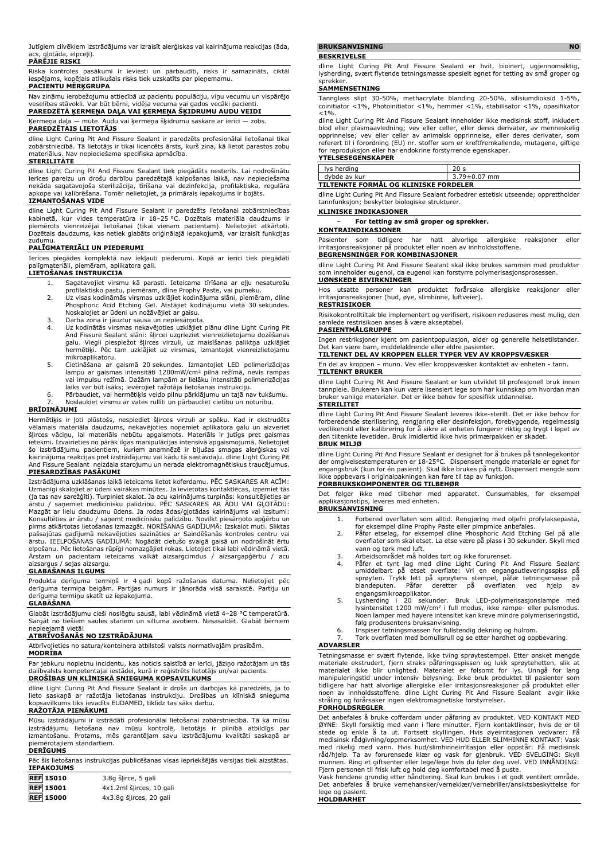Jutīgiem cilvēkiem izstrādājums var izraisīt alerģiskas vai kairinājuma reakcijas (āda, .<br>gļotāda, elpceļi).

## **PĀRĒJIE RISKI**

Riska kontroles pasākumi ir ieviesti un pārbaudīti, risks ir samazināts, ciktāl iespējams, kopējais atlikušais risks tiek uzskatīts par pieņemamu.

## **PACIENTU MĒRĶGRUPA**

Nav zināmu ierobežojumu attiecībā uz pacientu populāciju, viņu vecumu un vispārējo veselības stāvokli. Var būt bērni, vidēja vecuma vai gados vecāki pacienti. **PAREDZĒTĀ ĶERMEŅA DAĻA VAI ĶERMEŅA ŠĶIDRUMU AUDU VEIDI**

# Ķermeņa daļa — mute. Audu vai ķermeņa šķidrumu saskare ar ierīci — zobs. **PAREDZĒTAIS LIETOTĀJS**

dline Light Curing Pit And Fissure Sealant ir paredzēts profesionālai lietošanai tikai zobārstniecībā. Tā lietotājs ir tikai licencēts ārsts, kurš zina, kā lietot parastos zobu materiālus. Nav nepieciešama specifiska apmācība.

#### **STERILITĀTE**

dline Light Curing Pit And Fissure Sealant tiek piegādāts nesterils. Lai nodrošinātu ierīces pareizu un drošu darbību paredzētajā kalpošanas laikā, nav nepieciešama nekāda sagatavojoša sterilizācija, tīrīšana vai dezinfekcija, profilaktiska, regulāra apkope vai kalibrēšana. Tomēr nelietojiet, ja primārais iepakojums ir bojāts.

#### **IZMANTOŠANAS VIDE**

dline Light Curing Pit And Fissure Sealant ir paredzēts lietošanai zobārstniecības<br>kabinetā, kur vides temperatūra ir 18—25 °C. Dozētais materiāla daudzums ir<br>piemērots vienreizējai lietošanai (tikai vienam pacientam). Nel Dozētais daudzums, kas netiek glabāts oriģinālajā iepakojumā, var izraisīt funkcijas

#### zudumu. **PALĪGMATERIĀLI UN PIEDERUMI**

Ierīces piegādes komplektā nav iekļauti piederumi. Kopā ar ierīci tiek piegādāti palīgmateriāli, piemēram, aplikatora gali.

#### **LIETOŠANAS INSTRUKCIJA**

- 1. Sagatavojiet virsmu kā parasti. Ieteicama tīrīšana ar eļļu nesaturošu
- profilaktisko pastu, piemēram, dline Prophy Paste, vai pumeku. 2. Uz visas kodināmās virsmas uzklājiet kodinājuma slāni, piemēram, dline Phosphoric Acid Etching Gel. Atstājiet kodinājumu vietā 30 sekundes. Noskalojiet ar ūdeni un nožāvējiet ar gaisu.
- 3. Darba zona ir jāuztur sausa un nepiesārņota.
- 4. Uz kodinātās virsmas nekavējoties uzklājiet plānu dline Light Curing Pit And Fissure Sealant slāni: šļircei uzgrieziet vienreizlietojamu dozēšanas galu. Viegli piespiežot šļirces virzuli, uz maisīšanas paliktņa uzklājiet hermētiķi. Pēc tam uzklājiet uz virsmas, izmantojot vienreizlietojamu mikroaplikatoru.
- 5. Cietināšana ar gaismā 20 sekundes. Izmantojiet LED polimerizācijas lampu ar gaismas intensitāti 1200mW/cm<sup>2</sup> pilnā režīmā, nevis rampas vai impulsu režīmā. Dažām lampām ar lielāku intensitāti polimerizācijas laiks var būt īsāks; ievērojiet ražotāja lietošanas instrukciju.
- 6. Pārbaudiet, vai hermētiķis veido pilnu pārklājumu un tajā nav tukšumu. 7. Noslaukiet virsmu ar vates rullīti un pārbaudiet cietību un noturību.

#### **BRĪDINĀJUMI**

Hermētiķis ir ļoti plūstošs, nespiediet šļirces virzuli ar spēku. Kad ir ekstrudēts vēlamais materiāla daudzums, nekavējoties noņemiet aplikatora galu un aizveriet šļirces vāciņu, lai materiāls nebūtu apgaismots. Materiāls ir jutīgs pret gaismas ietekmi. Izvairieties no pārāk ilgas manipulācijas intensīvā apgaismojumā. Nelietojiet šo izstrādājumu pacientiem, kuriem anamnēzē ir bijušas smagas alerģiskas vai kairinājuma reakcijas pret izstrādājumu vai kādu tā sastāvdaļu. dline Light Curing Pit And Fissure Sealant neizdala starojumu un nerada elektromagnētiskus traucējumus. **PIESARDZĪBAS PASĀKUMI**

Izstrādājuma uzklāšanas laikā ieteicams lietot koferdamu. PĒC SASKARES AR ACĪM: Uzmanīgi skalojiet ar ūdeni vairākas minūtes. Ja ievietotas kontaktlēcas, izņemiet tās (ja tas nav sarežģīti). Turpiniet skalot. Ja acu kairinājums turpinās: konsultējieties ar ārstu / saņemiet medicīnisku palīdzību. PĒC SASKARES AR ĀDU VAI GĻOTĀDU: Mazgāt ar lielu daudzumu ūdens. Ja rodas ādas/gļotādas kairinājums vai izsitumi:<br>Konsultēties ar ārstu / saņemt medicīnisku palīdzību. Novilkt piesārņoto apģērbu un<br>pirms atkārtotas lietošanas izmazgāt. NORĪSANAS GADĪJUMĀ: ārstu. IEELPOŠANAS GADĪJUMĀ: Nogādāt cietušo svaigā gaisā un nodrošināt ērtu elpošanu. Pēc lietošanas rūpīgi nomazgājiet rokas. Lietojiet tikai labi vēdināmā vietā. Ārstam un pacientam ieteicams valkāt aizsargcimdus / aizsargapģērbu / acu aizsargus / sejas aizsargu.

## **GLABĀŠANAS ILGUMS**

Produkta derīguma termiņš ir 4 gadi kopš ražošanas datuma. Nelietojiet pēc derīguma termiņa beigām. Partijas numurs ir jānorāda visā sarakstē. Partiju un derīguma termiņu skatīt uz iepakojuma.

### **GLABĀŠANA**

Glabāt izstrādājumu cieši noslēgtu sausā, labi vēdināmā vietā 4–28 °C temperatūrā. Sargāt no tiešiem saules stariem un siltuma avotiem. Nesasaldēt. Glabāt bērniem nepieejamā vietā!

#### **ATBRĪVOŠANĀS NO IZSTRĀDĀJUMA**

Atbrīvojieties no satura/konteinera atbilstoši valsts normatīvajām prasībām.

## **MODRĪBA**

Par jebkuru nopietnu incidentu, kas noticis saistībā ar ierīci, jāziņo ražotājam un tās dalībvalsts kompetentajai iestādei, kurā ir reģistrēts lietotājs un/vai pacients.

### **DROŠĪBAS UN KLĪNISKĀ SNIEGUMA KOPSAVILKUMS**

dline Light Curing Pit And Fissure Sealant ir drošs un darbojas kā paredzēts, ja to lieto saskaņā ar ražotāja lietošanas instrukciju. Drošības un klīniskā snieguma kopsavilkums tiks ievadīts EUDAMED, tiklīdz tas sāks darbu.

#### **RAŽOTĀJA PIENĀKUMI**

Mūsu izstrādājumi ir izstrādāti profesionālai lietošanai zobārstniecībā. Tā kā mūsu izstrādājumu lietošana nav mūsu kontrolē, lietotājs ir pilnībā atbildīgs par izmantošanu. Protams, mēs garantējam savu izstrādājumu kvalitāti saskaņā ar piemērotajiem standartiem.

**DERĪGUMS** Pēc šīs lietošanas instrukcijas publicēšanas visas iepriekšējās versijas tiek aizstātas.

| <b>IEPAKOJUMS</b> |                     |  |  |
|-------------------|---------------------|--|--|
| <b>REF</b> 15010  | 3.8g šlirce, 5 gali |  |  |

| <b>REF 15001</b> | 4x1.2ml šlirces, 10 gali |
|------------------|--------------------------|
| <b>REF</b> 15000 | 4x3.8g šļirces, 20 gali  |

## **BRUKSANVISNING NO**

#### **BESKRIVELSE**

dline Light Curing Pit And Fissure Sealant er hvit, bioinert, ugjennomsiktig, lysherding, svært flytende tetningsmasse spesielt egnet for tetting av små groper og sprekker.

#### **SAMMENSETNING**

Tannglass slipt 30-50%, methacrylate blanding 20-50%, silisiumdioksid 1-5%, coinitiator <1%, Photoinitiator <1%, hemmer <1%, stabilisator <1%, opasifikator  $< 1$  %.

dline Light Curing Pit And Fissure Sealant inneholder ikke medisinsk stoff, inkludert blod eller plasmaavledning; vev eller celler, eller deres derivater, av menneskelig opprinnelse; vev eller celler av animalsk opprinnelse, eller deres derivater, som referert til i forordning (EU) nr. stoffer som er kreftfremkallende, mutagene, giftige for reproduksjon eller har endokrine forstyrrende egenskaper.

| YTELSESEGENSKAPER |  |
|-------------------|--|
| lys herding       |  |

dybde av kur 3.79±0.07 mm **TILTENKTE FORMÅL OG KLINISKE FORDELER**

dline Light Curing Pit And Fissure Sealant forbedrer estetisk utseende; opprettholder tannfunksjon; beskytter biologiske strukturer.

#### **KLINISKE INDIKASJONER**

− **For tetting av små groper og sprekker.**

## **KONTRAINDIKASJONER**

Pasienter som tidligere har hatt alvorlige allergiske reaksjoner eller irritasjonsreaksjoner på produktet eller noen av innholdsstoffene.

## **BEGRENSNINGER FOR KOMBINASJONER**

dline Light Curing Pit And Fissure Sealant skal ikke brukes sammen med produkter som inneholder eugenol, da eugenol kan forstyrre polymerisasjonsprosessen. **UØNSKEDE BIVIRKNINGER**

Hos utsatte personer kan produktet forårsake allergiske reaksjoner eller irritasjonsreaksjoner (hud, øye, slimhinne, luftveier).

#### **RESTRISIKOER**

Risikokontrolltiltak ble implementert og verifisert, risikoen reduseres mest mulig, den samlede restrisikoen anses å være akseptabel.

#### **PASIENTMÅLGRUPPE**

Ingen restriksjoner kjent om pasientpopulasjon, alder og generelle helsetilstander. Det kan være barn, middelaldrende eller eldre pasienter.

### **TILTENKT DEL AV KROPPEN ELLER TYPER VEV AV KROPPSVÆSKER**

En del av kroppen – munn. Vev eller kroppsvæsker kontaktet av enheten - tann. **TILTENKT BRUKER**

dline Light Curing Pit And Fissure Sealant er kun utviklet til profesjonell bruk innen tannpleie. Brukeren kan kun være lisensiert lege som har kunnskap om hvordan man bruker vanlige materialer. Det er ikke behov for spesifikk utdannelse. **STERILITET**

dline Light Curing Pit And Fissure Sealant leveres ikke-sterilt. Det er ikke behov for forberedende sterilisering, rengjøring eller desinfeksjon, forebyggende, regelmessig vedlikehold eller kalibrering for å sikre at enheten fungerer riktig og trygt i løpet av den tiltenkte levetiden. Bruk imidlertid ikke hvis primærpakken er skadet. **BRUK MILJØ**

## dline Light Curing Pit And Fissure Sealant er designet for å brukes på tannlegekontor der omgivelsestemperaturen er 18-25°C. Dispensert mengde materiale er egnet for engangsbruk (kun for én pasient). Skal ikke brukes på nytt. Dispensert mengde som ikke oppbevars i originalpakningen kan føre til tap av funksjon. **FORBRUKSKOMPONENTER OG TILBEHØR**

Det følger ikke med tilbehør med apparatet. Cunsumables, for eksempel applikasjonstips, leveres med enheten.

## **BRUKSANVISNING**

- 1. Forbered overflaten som alltid. Rengjøring med oljefri profylaksepasta, for eksempel dline Prophy Paste eller pimpmice anbefales.
- 2. Påfør etselag, for eksempel dline Phosphoric Acid Etching Gel på alle overflater som skal etset. La etse være på plass i 30 sekunder. Skyll med vann og tørk med luft.
- 3. Arbeidsområdet må holdes tørt og ikke forurenset.<br>4. Påfør et tynt lag med dline Light Curing Pit
- 4. Păfør et tynt lag med dline Light Curing Pit And Fissure Sealant<br>umiddelbart på etset overflate: Vri en engangsutleveringsspiss på<br>sprøyten. Trykk lett på sprøytens stempel, påfør tetningsmasse på<br>blandeputen. Påfør der engangsmikroapplikator.
- 5. Lysherding i 20 sekunder. Bruk LED-polymerisasjonslampe med lysintensitet 1200 mW/cm<sup>2</sup> i full modus, ikke rampe- eller pulsmodus. Noen lamper med høyere intensitet kan kreve mindre polymeriseringstid,
- følg produsentens bruksanvisning. 6. Inspiser tetningsmassen for fullstendig dekning og hulrom. Tørk overflaten med bomullsrull og se etter hardhet og oppbevaring.

#### **ADVARSLER**

Tetningsmasse er svært flytende, ikke tving sprøytestempel. Etter ønsket mengde materiale ekstrudert, fjern straks påføringsspissen og lukk sprøytehetten, slik at<br>materialet ikke blir unlighted. Materialet er følsomt for lys. Unngå for lang<br>manipuleringstid under intensiv belysning. Ikke bruk produkte noen av innholdsstoffene. dline Light Curing Pit And Fissure Sealant avgir ikke stråling og forårsaker ingen elektromagnetiske forstyrrelser. **FORHOLDSREGLER**

# Det anbefales å bruke cofferdam under påføring av produktet. VED KONTAKT MED ØYNE: Skyll forsiktig med vann i flere minutter. Fjern kontaktlinser, hvis de er til stede og enkle å ta ut. Fortsett skyllingen. Hvis øyeirritasjonen vedvarer: Få medisinsk rådgivning/oppmerksomhet. VED HUD ELLER SLIMHINNE KONTAKT: Vask med rikelig med vann. Hvis hud/slimhinneirritasjon eller oppstär: Fä medisinsk<br>råd/hjelp. Ta av forurensede klær og vask før gjenbruk. VED SVELGING: Skyll<br>munnen. Ring et giftsenter eller lege/lege hvis du føler deg uvel.

Fjern personen til frisk luft og hold deg komfortabel med å puste.<br>Vask hendene grundig etter håndtering. Skal kun brukes i et godt ventilert område.<br>Det anbefales å bruke vernehansker/verneklær/vernebriller/ansiktsbeskytt lege og pasient. **HOLDBARHET**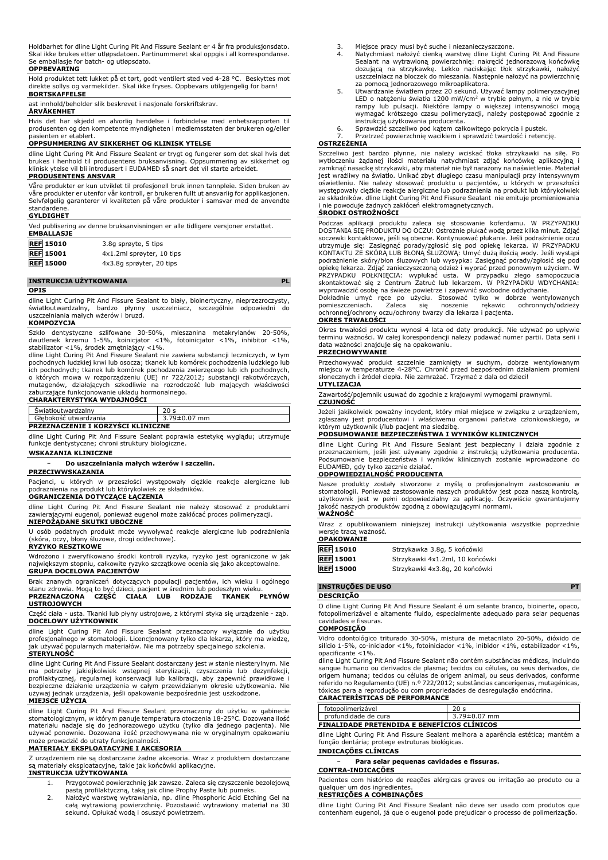Holdbarhet for dline Light Curing Pit And Fissure Sealant er 4 år fra produksjonsdato. Skal ikke brukes etter utløpsdatoen. Partinummeret skal oppgis i all korrespondanse. Se emballasje for batch- og utløpsdato.

### **OPPBEVARING**

Hold produktet tett lukket på et tørt, godt ventilert sted ved 4-28 °C. Beskyttes mot direkte sollys og varmekilder. Skal ikke fryses. Oppbevars utilgjengelig for barn! **BORTSKAFFELSE**

ast innhold/beholder slik beskrevet i nasjonale forskriftskrav.

### **ÅRVÅKENHET**

Hvis det har skjedd en alvorlig hendelse i forbindelse med enhetsrapporten til produsenten og den kompetente myndigheten i medlemsstaten der brukeren og/eller pasienten er etablert.

#### **OPPSUMMERING AV SIKKERHET OG KLINISK YTELSE**

dline Light Curing Pit And Fissure Sealant er trygt og fungerer som det skal hvis det brukes i henhold til produsentens bruksanvisning. Oppsummering av sikkerhet og klinisk ytelse vil bli introdusert i EUDAMED så snart det vil starte arbeidet. **PRODUSENTENS ANSVAR**

Våre produkter er kun utviklet til profesjonell bruk innen tannpleie. Siden bruken av våre produkter er utenfor vår kontroll, er brukeren fullt ut ansvarlig for applikasjonen. Selvfølgelig garanterer vi kvaliteten på våre produkter i samsvar med de anvendte standardene.

#### **GYLDIGHET**

Ved publisering av denne bruksanvisningen er alle tidligere versjoner erstattet. **EMBALLASJE**

| <b>REF</b> 15010 | 3.8q sprøyte, 5 tips      |
|------------------|---------------------------|
| <b>REF</b> 15001 | 4x1.2ml sprøyter, 10 tips |
| <b>REF 15000</b> | 4x3.8q sprøyter, 20 tips  |

### **INSTRUKCJA UŻYTKOWANIA PL**

#### **OPIS**

dline Light Curing Pit And Fissure Sealant to biały, bioinertyczny, nieprzezroczysty, światłoutwardzalny, bardzo płynny uszczelniacz, szczególnie odpowiedni do uszczelniania małych wżerów i bruzd.

#### **KOMPOZYCJA**

Szkło dentystyczne szlifowane 30-50%, mieszanina metakrylanów 20-50%, dwutlenek krzemu 1-5%, koinicjator <1%, fotoinicjator <1%, inhibitor <1%,<br>stabilizator <1%, środek zmętniający <1%.<br>dline Light Curing Pit And Fissure Sealant nie zawiera substancji leczniczych, w tym

pochodnych ludzkiej krwi lub osocza; tkanek lub komórek pochodzenia ludzkiego lub ich pochodnych; tkanek lub komórek pochodzenia zwierzęcego lub ich pochodnych, o których mowa w rozporządzeniu (UE) nr 722/2012; substancji rakotwórczych,<br>mutagenów, działających szkodliwie na rozrodczość lub mających właściwości<br>zaburzające-funkcjonowanie-układu-hormonalnego.<br>**CHARAKTERYSTYKA WYDAJN** 

| Swiatłoutwardzalny                        |                    |  |
|-------------------------------------------|--------------------|--|
| Głebokość utwardzania                     | $3.79 \pm 0.07$ mm |  |
| <b>PRZEZNACZENIE I KORZYŚCI KLINICZNE</b> |                    |  |

dline Light Curing Pit And Fissure Sealant poprawia estetykę wyglądu; utrzymuje funkcje dentystyczne; chroni struktury biologiczne.

### **WSKAZANIA KLINICZNE**

### − **Do uszczelniania małych wżerów i szczelin.**

#### **PRZECIWWSKAZANIA**

Pacjenci, u których w przeszłości występowały ciężkie reakcje alergiczne lub podrażnienia na produkt lub którykolwiek ze składników.

## **OGRANICZENIA DOTYCZĄCE ŁĄCZENIA**

dline Light Curing Pit And Fissure Sealant nie należy stosować z produktami zawierającymi eugenol, ponieważ eugenol może zakłócać proces polimeryzacji. **NIEPOŻĄDANE SKUTKI UBOCZNE**

U osób podatnych produkt może wywoływać reakcje alergiczne lub podrażnienia (skóra, oczy, błony śluzowe, drogi oddechowe).

**RYZYKO RESZTKOWE**

Wdrożono i zweryfikowano środki kontroli ryzyka, ryzyko jest ograniczone w jak największym stopniu, całkowite ryzyko szczątkowe ocenia się jako akceptowalne. **GRUPA DOCELOWA PACJENTÓW**

Brak znanych ograniczeń dotyczących populacji pacjentów, ich wieku i ogólnego<br>stanu zdrowia. Mogąło być dzieci, pacjent w średnim lub podeszłym wieku.<br>**PRZEZNACZONA - CZĘŚĆ - CIAŁA - LUB - RODZAJE - TKANEK - PŁYNÓW USTROJOWYCH**

Część ciała - usta. Tkanki lub płyny ustrojowe, z którymi styka się urządzenie - ząb. **DOCELOWY UŻYTKOWNIK**

dline Light Curing Pit And Fissure Sealant przeznaczony wyłącznie do użytku profesjonalnego w stomatologii. Licencjonowany tylko dla lekarza, który ma wiedzę, jak używać popularnych materiałów. Nie ma potrzeby specjalnego szkolenia. **STERYLNOŚĆ**

dline Light Curing Pit And Fissure Sealant dostarczany jest w stanie niesterylnym. Nie<br>ma potrzeby jakiejkolwiek wstępnej sterylizacji, czyszczenia lub dezynfekcji,<br>profilaktycznej, regularnej konserwacji bezpieczne działanie urządzenia w całym przewidzianym okresie użytkowania. Nie jednak urządzenia, jeśli opakowanie bezpośrednie jest uszkodzone. **MIEJSCE UŻYCIA**

dline Light Curing Pit And Fissure Sealant przeznaczony do użytku w gabinecie stomatologicznym, w którym panuje temperatura otoczenia 18-25°C. Dozowana ilość materiału nadaje się do jednorazowego użytku (tylko dla jednego pacjenta). Nie używać ponownie. Dozowana ilość przechowywana nie w oryginalnym opakowaniu może prowadzić do utraty funkcjonalności.

### **MATERIAŁY EKSPLOATACYJNE I AKCESORIA**

Z urządzeniem nie są dostarczane żadne akcesoria. Wraz z produktem dostarczane są materiały eksploatacyjne, takie jak końcówki aplikacyjne.

#### **INSTRUKCJA UŻYTKOWANIA**

- 1. Przygotować powierzchnię jak zawsze. Zaleca się czyszczenie bezolejową pastą profilaktyczną, taką jak dline Prophy Paste lub pumeks.
- 2. Nałożyć warstwę wytrawiania, np. dline Phosphoric Acid Etching Gel na całą wytrawioną powierzchnię. Pozostawić wytrawiony materiał na 30 sekund. Opłukać wodą i osuszyć powietrzem.
- 3. Miejsce pracy musi być suche i niezanieczyszczone.
- 4. Natychmiast nałożyć cienką warstwę dline Light Curing Pit And Fissure Sealant na wytrawioną powierzchnię: nakręcić jednorazową końcówkę dozującą na strzykawkę. Lekko naciskając tłok strzykawki, nałożyć uszczelniacz na bloczek do mieszania. Następnie nałożyć na powierzchnię
- za pomocą jednorazowego mikroaplikatora.<br>5. Utwardzanie światłem przez 20 sekund. Używać lampy polimeryzacyjnej<br>LED o natężeniu światła 1200 mW/cm<sup>2</sup> w trybie pełnym, a nie w trybie<br>rampy lub pulsacji. Niektóre lampy o wię wymagać krótszego czasu polimeryzacji, należy postępować zgodnie z instrukcją użytkowania producenta.
- 6. Sprawdzić szczeliwo pod kątem całkowitego pokrycia i pustek.
- 7. Przetrzeć powierzchnię wacikiem i sprawdzić twardość i retencję.

## **OSTRZEŻENIA**

Szczeliwo jest bardzo płynne, nie należy wciskać tłoka strzykawki na siłę. Po wytłoczeniu żądanej ilości materiału natychmiast zdjąć końcówkę aplikacyjną i zamknąć nasadkę strzykawki, aby materiał nie był narażony na naświetlenie. Materiał jest wrażliwy na światło. Unikać zbyt długiego czasu manipulacji przy intensywnym oświetleniu. Nie należy stosować produktu u pacjentów, u których w przeszłości występowały ciężkie reakcje alergiczne lub podrażnienia na produkt lub którykolwiek ze składników. dline Light Curing Pit And Fissure Sealant nie emituje promieniowania zu produje żadnych zakłóceń elektromagnetycznych.

### **ŚRODKI OSTROŻNOŚCI**

Podczas aplikacji produktu zaleca się stosowanie koferdamu. W PRZYPADKU<br>DOSTANIA SIĘPRODUKTU DO OCZU: Ostrożnie płukać wodąprzez kilka-minut. Zdjąć<br>soczewki-kontaktowe, jeśli-są-obecne. Kontynuować-płukanie. Jeśli-podrażni utrzymuje się: Zasięgnąć porady/zgłosić się pod opiekę lekarza. W PRZYPADKU KONTAKTU ZE SKÓRĄ LUB BŁONĄ ŚLUZOWĄ: Umyć dużą ilością wody. Jeśli wystąpi podrażnienie skóry/błon śluzowych lub wysypka: Zasięgnąć porady/zgłosić się pod opiekę lekarza. Zdjąć zanieczyszczoną odzież i wyprać przed ponownym użyciem. W<br>PRZYPADKU - POŁKNIĘCIA: - wypłukać - usta. - W - przypadku - złego - samopoczucia<br>skontaktować się z Centrum - Zatruć - lub - lekarzem. - W -

Dokładnie umyć ręce po użyciu. Stosować tylko w dobrze wentylowanych pomieszczeniach. Zaleca się noszenie rękawic ochronnych/odzieży ochronnej/ochrony oczu/ochrony twarzy dla lekarza i pacjenta.

# **OKRES TRWAŁOŚCI**

Okres trwałości produktu wynosi 4 lata od daty produkcji. Nie używać po upływie terminu ważności. W całej korespondencji należy podawać numer partii. Data serii i data ważności znajduje się na opakowaniu. **PRZECHOWYWANIE**

Przechowywać produkt szczelnie zamknięty w suchym, dobrze wentylowanym miejscu w temperaturze 4-28°C. Chronić przed bezpośrednim działaniem promieni słonecznych i źródeł ciepła. Nie zamrażać. Trzymać z dala od dzieci! **UTYLIZACJA**

Zawartość/pojemnik usuwać do zgodnie z krajowymi wymogami prawnymi. **CZUJNOŚĆ**

Jeżeli jakikolwiek poważny incydent, który miał miejsce w związku z urządzeniem, zgłaszany jest producentowi i właściwemu organowi państwa członkowskiego, w<br>którym użytkownik i/lub pacjent ma siedzibę.<br>**PODSUMOWANIE BEZPIECZEŃSTWA I WYNIKÓW KLINICZNYCH** 

dline Light Curing Pit And Fissure Sealant jest bezpieczny i działa zgodnie z przeznaczeniem, jeśli jest używany zgodnie z instrukcją użytkowania producenta. Podsumowanie bezpieczeństwa i wyników klinicznych zostanie wprowadzone do EUDAMED, gdy tylko zacznie działać. **ODPOWIEDZIALNOŚĆ PRODUCENTA**

Nasze produkty zostały stworzone z myślą o profesjonalnym zastosowaniu w stomatologii. Ponieważ zastosowanie naszych produktów jest poza naszą kontrolą, użytkownik jest w pełni odpowiedzialny za aplikację. Oczywiście gwarantujemy jakość naszych produktów zgodną z obowiązującymi normami. **WAŻNOŚĆ**

#### Wraz z opublikowaniem niniejszej instrukcji użytkowania wszystkie poprzednie wersje tracą ważność.

**OPAKOWANIE REF 15010** Strzykawka 3.8g, 5 końcówki

**REF 15001** Strzykawki 4x1.2ml, 10 końcówki

**REF 15000** Strzykawki 4x3.8g, 20 końcówki

## **INSTRUÇÕES DE USO PT**

**DESCRIÇÃO**

O dline Light Curing Pit And Fissure Sealant é um selante branco, bioinerte, opaco, fotopolimerizável e altamente fluido, especialmente adequado para selar pequenas cavidades e fissuras.

#### **COMPOSIÇÃO**

Vidro odontológico triturado 30-50%, mistura de metacrilato 20-50%, dióxido de silício 1-5%, co-iniciador <1%, fotoiniciador <1%, inibidor <1%, estabilizador <1%, opacificante <1%.

dline Light Curing Pit And Fissure Sealant não contém substâncias médicas, incluindo sangue humano ou derivados de plasma; tecidos ou células, ou seus derivados, de origem humana; tecidos ou células de origem animal, ou seus derivados, conforme referido no Regulamento (UE) n.º 722/2012; substâncias cancerígenas, mutagénicas, tóxicas para a reprodução ou com propriedades de desregulação endócrina.

| <b>CARACTERISTICAS DE PERFORMANCE</b>              |                 |  |
|----------------------------------------------------|-----------------|--|
| fotopolimerizável                                  | 20 <sub>s</sub> |  |
| profundidade de cura                               | 3.79±0.07 mm    |  |
| <b>FINALIDADE PRETENDIDA E BENEFICIOS CLINICOS</b> |                 |  |

dline Light Curing Pit And Fissure Sealant melhora a aparência estética; mantém a função dentária; protege estruturas biológicas.

**INDICAÇÕES CLÍNICAS**

#### − **Para selar pequenas cavidades e fissuras.**

#### **CONTRA-INDICAÇÕES**

Pacientes com histórico de reações alérgicas graves ou irritação ao produto ou a qualquer um dos ingredientes.

## **RESTRIÇÕES A COMBINAÇÕES**

dline Light Curing Pit And Fissure Sealant não deve ser usado com produtos que contenham eugenol, já que o eugenol pode prejudicar o processo de polimerização.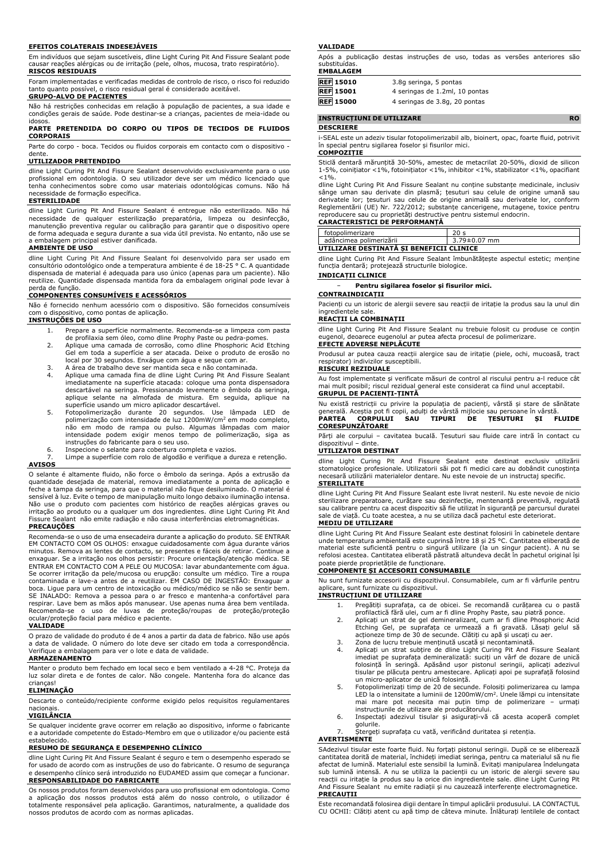#### **EFEITOS COLATERAIS INDESEJÁVEIS**

Em indivíduos que sejam suscetíveis, dline Light Curing Pit And Fissure Sealant pode causar reações alérgicas ou de irritação (pele, olhos, mucosa, trato respiratório). **RISCOS RESIDUAIS**

Foram implementadas e verificadas medidas de controlo de risco, o risco foi reduzido tanto quanto possível, o risco residual geral é considerado aceitável. **GRUPO-ALVO DE PACIENTES**

Não há restrições conhecidas em relação à população de pacientes, a sua idade e condições gerais de saúde. Pode destinar-se a crianças, pacientes de meia-idade ou idosos.

#### **PARTE PRETENDIDA DO CORPO OU TIPOS DE TECIDOS DE FLUIDOS CORPORAIS**

Parte do corpo - boca. Tecidos ou fluidos corporais em contacto com o dispositivo dente.

#### **UTILIZADOR PRETENDIDO**

dline Light Curing Pit And Fissure Sealant desenvolvido exclusivamente para o uso profissional em odontologia. O seu utilizador deve ser um médico licenciado que tenha conhecimentos sobre como usar materiais odontológicas comuns. Não há necessidade de formação específica.

#### **ESTERILIDADE**

dline Light Curing Pit And Fissure Sealant é entregue não esterilizado. Não há necessidade de qualquer esterilização preparatória, limpeza ou desinfecção, manutenção preventiva regular ou calibração para garantir que o dispositivo opere de forma adequada e segura durante a sua vida útil prevista. No entanto, não use se a embalagem principal estiver danificada.

### **AMBIENTE DE USO**

dline Light Curing Pit And Fissure Sealant foi desenvolvido para ser usado em consultório odontológico onde a temperatura ambiente é de 18-25 ° C. A quantidade dispensada de material é adequada para uso único (apenas para um paciente). Não reutilize. Quantidade dispensada mantida fora da embalagem original pode levar à perda de função.

### **COMPONENTES CONSUMÍVEIS E ACESSÓRIOS**

Não é fornecido nenhum acessório com o dispositivo. São fornecidos consumíveis com o dispositivo, como pontas de aplicação. **INSTRUÇÕES DE USO**

- 1. Prepare a superfície normalmente. Recomenda-se a limpeza com pasta de profilaxia sem óleo, como dline Prophy Paste ou pedra-pomes.
- 2. Aplique uma camada de corrosão, como dline Phosphoric Acid Etching Gel em toda a superfície a ser atacada. Deixe o produto de erosão no local por 30 segundos. Enxágue com água e seque com ar. 3. A área de trabalho deve ser mantida seca e não contaminada.
- 
- 4. Aplique uma camada fina de dline Light Curing Pit And Fissure Sealant imediatamente na superfície atacada: coloque uma ponta dispensadora descartável na seringa. Pressionando levemente o êmbolo da seringa,
- aplique selante na almofada de mistura. Em seguida, aplique na<br>superfície usando um micro aplicador descartável.<br>5. Fotopolimerização durante 20 segundos. Use lâmpada LED de<br>polimerização com intensidade de luz 1200mW/cm<sup>2</sup> não em modo de rampa ou pulso. Algumas lâmpadas com maior intensidade podem exigir menos tempo de polimerização, siga as instruções do fabricante para o seu uso.
- 6. Inspecione o selante para cobertura completa e vazios.
- Limpe a superfície com rolo de algodão e verifique a dureza e retenção.

**AVISOS**

O selante é altamente fluido, não force o êmbolo da seringa. Após a extrusão da quantidade desejada de material, remova imediatamente a ponta de aplicação e feche a tampa da seringa, para que o material não fique desiluminado. O material é sensível à luz. Evite o tempo de manipulação muito longo debaixo iluminação intensa. Não use o produto com pacientes com histórico de reações alérgicas graves ou irritação ao produto ou a qualquer um dos ingredientes. dline Light Curing Pit And Fissure Sealant não emite radiação e não causa interferências eletromagnéticas.

#### **PRECAUÇÕES**

Recomenda-se o uso de uma ensecadeira durante a aplicação do produto. SE ENTRAR EM CONTACTO COM OS OLHOS: enxague cuidadosamente com água durante vários<br>minutos. Remova as lentes de contacto, se presentes e fáceis de retirar. Continue a<br>enxaguar. Se a irritação nos olhos persistir: Procure orientação/ ENTRAR EM CONTACTO COM A PELE OU MUCOSA: lavar abundantemente com água. Se ocorrer irritação da pele/mucosa ou erupção: consulte um médico. Tire a roupa contaminada e lave-a antes de a reutilizar. EM CASO DE INGESTÃO: Enxaguar a boca. Ligue para um centro de intoxicação ou médico/médico se não se sentir bem. SE INALADO: Remova a pessoa para o ar fresco e mantenha-a confortável para respirar. Lave bem as mãos após manusear. Use apenas numa área bem ventilada. Recomenda-se o uso de luvas de proteção/roupas de proteção/proteção ocular/proteção facial para médico e paciente.

#### **VALIDADE**

O prazo de validade do produto é de 4 anos a partir da data de fabrico. Não use após a data de validade. O número do lote deve ser citado em toda a correspondência. Verifique a embalagem para ver o lote e data de validade.

#### **ARMAZENAMENTO**

Manter o produto bem fechado em local seco e bem ventilado a 4-28 °C. Proteja da luz solar direta e de fontes de calor. Não congele. Mantenha fora do alcance das crianças!

## **ELIMINAÇÃO**

Descarte o conteúdo/recipiente conforme exigido pelos requisitos regulamentares nacionais.

#### **VIGILÂNCIA**

Se qualquer incidente grave ocorrer em relação ao dispositivo, informe o fabricante e a autoridade competente do Estado-Membro em que o utilizador e/ou paciente está estabelecido.

### **RESUMO DE SEGURANÇA E DESEMPENHO CLÍNICO**

dline Light Curing Pit And Fissure Sealant é seguro e tem o desempenho esperado se for usado de acordo com as instruções de uso do fabricante. O resumo de segurança e desempenho clínico será introduzido no EUDAMED assim que começar a funcionar. **RESPONSABILIDADE DO FABRICANTE**

Os nossos produtos foram desenvolvidos para uso profissional em odontologia. Como a aplicação dos nossos produtos está além do nosso controlo, o utilizador é totalmente responsável pela aplicação. Garantimos, naturalmente, a qualidade dos nossos produtos de acordo com as normas aplicadas.

#### **VALIDADE**

Após a publicação destas instruções de uso, todas as versões anteriores são substituídas. **EMBALAGEM**

| <b>REF 15010</b> | 3.8q seringa, 5 pontas         |
|------------------|--------------------------------|
| <b>REF</b> 15001 | 4 seringas de 1.2ml, 10 pontas |
| <b>REF 15000</b> | 4 seringas de 3.8q, 20 pontas  |

### **INSTRUCȚIUNI DE UTILIZARE RO**

#### **DESCRIERE**

i-SEAL este un adeziv tisular fotopolimerizabil alb, bioinert, opac, foarte fluid, potrivit în special pentru sigilarea foselor și fisurilor mici.

## **COMPOZIȚIE**

Sticlă dentară mărunțită 30-50%, amestec de metacrilat 20-50%, dioxid de silicon 1-5%, coinițiator <1%, fotoinițiator <1%, inhibitor <1%, stabilizator <1%, opacifiant  $1%$ 

dline Light Curing Pit And Fissure Sealant nu conține substanțe medicinale, inclusiv sânge uman sau derivate din plasmă; țesuturi sau celule de origine umană sau derivatele lor; țesuturi sau celule de origine animală sau derivatele lor, conform<br>Reglementării (UE) Nr. 722/2012; substanțe cancerigene, mutagene, toxice pentru<br>reproducere sau cu proprietăți destructive pentru sistemul

# **CARACTERISTICI DE PERFORMANȚĂ**

| fotopolimerizare                         | 20 s               |  |
|------------------------------------------|--------------------|--|
| adâncimea polimerizării                  | $3.79 \pm 0.07$ mm |  |
| UTILIZARE DESTINATA SI BENEFICII CLINICE |                    |  |

dline Light Curing Pit And Fissure Sealant îmbunătățește aspectul estetic; menține funcția dentară; protejează structurile biologice.

#### **INDICAȚII CLINICE**

− **Pentru sigilarea foselor și fisurilor mici.**

#### **CONTRAINDICAȚII**

Pacienți cu un istoric de alergii severe sau reacții de iritație la produs sau la unul din ingredientele sale.

#### **REACȚII LA COMBINAȚII**

dline Light Curing Pit And Fissure Sealant nu trebuie folosit cu produse ce conțin eugenol, deoarece eugenolul ar putea afecta procesul de polimerizare. **EFECTE ADVERSE NEPLĂCUTE**

Produsul ar putea cauza reacții alergice sau de iritație (piele, ochi, mucoasă, tract respirator) indivizilor susceptibili.

## **RISCURI REZIDUALE**

Au fost implementate și verificate măsuri de control al riscului pentru a-l reduce cât mai mult posibil; riscul rezidual general este considerat ca fiind unul acceptabil. **GRUPUL DE PACIENȚI-ȚINTĂ**

Nu există restricții cu privire la populația de pacienți, vârstă și stare de sănătate generală. Aceștia pot fi copii, adulți de vârstă mijlocie sau persoane în vârstă.<br>**PARTEA CORPULUI SAU TIPURI DE TESUTURI ȘI FLUIDE**  $\overline{C}$ **ORPULUI SAU CORESPUNZĂTOARE**

Părți ale corpului – cavitatea bucală. Țesuturi sau fluide care intră în contact cu dispozitivul – dinte.

#### **UTILIZATOR DESTINAT**

dline Light Curing Pit And Fissure Sealant este destinat exclusiv utilizării stomatologice profesionale. Utilizatorii săi pot fi medici care au dobândit cunoștința necesară utilizării materialelor dentare. Nu este nevoie de un instructaj specific. **STERILITATE**

### dline Light Curing Pit And Fissure Sealant este livrat nesteril. Nu este nevoie de nicio sterilizare preparatoare, curățare sau dezinfecție, mentenanță preventivă, regulată sau calibrare pentru ca acest dispozitiv să fie utilizat în siguranță pe parcursul duratei de viață. Cu toate acestea, a nu se utiliza dacă pachetul este deteriorat. **MEDIU DE UTILIZARE**

dline Light Curing Pit And Fissure Sealant este destinat folosirii în cabinetele dentare unde temperatura ambientală este cuprinsă între 18 și 25 °C. Cantitatea eliberată de material este suficientă pentru o singură utilizare (la un singur pacient). A nu se refolosi acestea. Cantitatea eliberată păstrată altundeva decât în pachetul original își poate pierde proprietățile de funcționare.

## **COMPONENTE ȘI ACCESORII CONSUMABILE**

Nu sunt furnizate accesorii cu dispozitivul. Consumabilele, cum ar fi vârfurile pentru aplicare, sunt furnizate cu dispozitivul.

## **INSTRUCȚIUNI DE UTILIZARE**

- 1. Pregătiți suprafața, ca de obicei. Se recomandă curățarea cu o pastă profilactică fără ulei, cum ar fi dline Prophy Paste, sau piatră ponce
- 2. Aplicați un strat de gel demineralizant, cum ar fi dline Phosphoric Acid Etching Gel, pe suprafața ce urmează a fi gravată. Lăsați gelul să acționeze timp de 30 de secunde. Clătiți cu apă și uscați cu aer.
- 3. Zona de lucru trebuie menținută uscată și necontaminată.
- 4. Aplicați un strat subțire de dline Light Curing Pit And Fissure Sealant imediat pe suprafața demineralizată: suciți un vârf de dozare de unică folosință în seringă. Apăsând ușor pistonul seringii, aplicați adezivul tisular pe plăcuța pentru amestecare. Aplicați apoi pe suprafață folosind un micro-aplicator de unică folosință.
- 5. Fotopolimerizați timp de 20 de secunde. Folosiți polimerizarea cu lampa<br>LED la o intensitate a luminii de 1200mW/cm<sup>2</sup>. Unele lămpi cu intensitate mai mare pot necesita mai puțin timp de polimerizare – urmați
- instrucțiunile de utilizare ale producătorului. 6. Inspectați adezivul tisular și asigurați-vă că acesta acoperă complet golurile.
- Ștergeți suprafața cu vată, verificând duritatea și retenția.

#### **AVERTISMENTE**

SAdezivul tisular este foarte fluid. Nu forțați pistonul seringii. După ce se eliberează cantitatea dorită de material, închideți imediat seringa, pentru ca materialul să nu fie afectat de lumină. Materialul este sensibil la lumină. Evitați manipularea îndelungata sub lumină intensă. A nu se utiliza la pacienții cu un istoric de alergii severe sau reacții cu iritație la produs sau la orice din ingredientele sale. dline Light Curing Pit And Fissure Sealant nu emite radiații și nu cauzează interferențe electromagnetice. **PRECAUȚII**

Este recomandată folosirea digii dentare în timpul aplicării produsului. LA CONTACTUL CU OCHII: Clătiți atent cu apă timp de câteva minute. Înlăturați lentilele de contact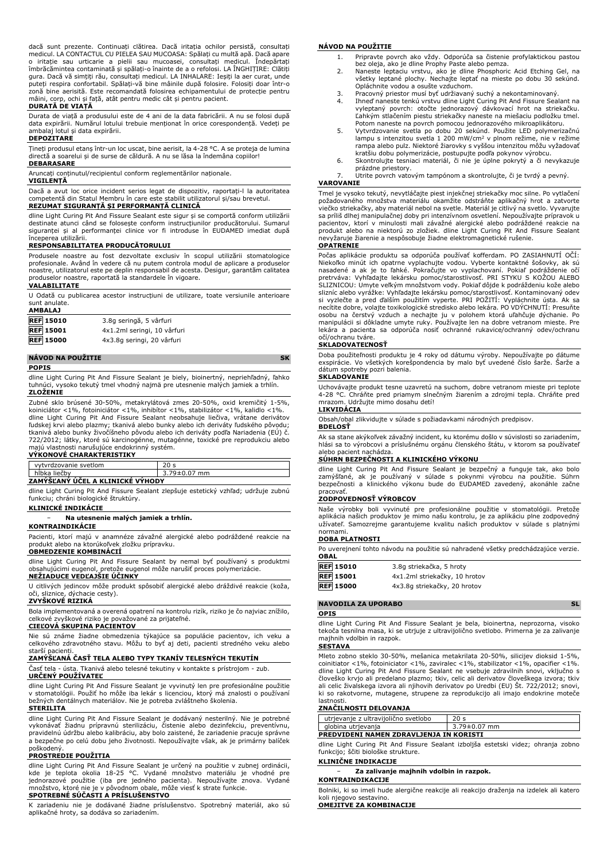dacă sunt prezente. Continuați clătirea. Dacă iritația ochilor persistă, consultați medicul. LA CONTACTUL CU PIELEA SAU MUCOASA: Spălați cu multă apă. Dacă apare o iritație sau urticarie a pielii sau mucoasei, consultați medicul. Îndepărtați îmbrăcămintea contaminată și spălați-o înainte de a o refolosi. LA ÎNGHIȚIRE: Clătiți gura. Dacă vă simțiți rău, consultați medicul. LA INHALARE: Ieșiți la aer curat, unde puteți respira confortabil. Spălați-vă bine mâinile după folosire. Folosiți doar într-o zonă bine aerisită. Este recomandată folosirea echipamentului de protecție pentru mâini, corp, ochi și față, atât pentru medic cât și pentru pacient.

## **DURATĂ DE VIAȚĂ**

Durata de viață a produsului este de 4 ani de la data fabricării. A nu se folosi după data expirării. Numărul lotului trebuie menționat în orice corespondență. Vedeți pe ambalaj lotul și data expirării.

**DEPOZITARE**

Țineți produsul etanș într-un loc uscat, bine aerisit, la 4-28 °C. A se proteja de lumina directă a soarelui și de surse de căldură. A nu se lăsa la îndemâna copiilor!

#### **DEBARASARE**

Aruncați conținutul/recipientul conform reglementărilor naționale. **VIGILENȚĂ**

Dacă a avut loc orice incident serios legat de dispozitiv, raportați-l la autoritatea competentă din Statul Membru în care este stabilit utilizatorul și/sau brevetul. **REZUMAT SIGURANȚĂ ȘI PERFORMANȚĂ CLINICĂ**

dline Light Curing Pit And Fissure Sealant este sigur și se comportă conform utilizării destinate atunci când se folosește conform instrucțiunilor producătorului. Sumarul siguranței și al performanței clinice vor fi introduse în EUDAMED imediat după începerea utilizării.

#### **RESPONSABILITATEA PRODUCĂTORULUI**

Produsele noastre au fost dezvoltate exclusiv în scopul utilizării stomatologice profesionale. Având în vedere că nu putem controla modul de aplicare a produselor noastre, utilizatorul este pe deplin responsabil de acesta. Desigur, garantăm calitatea produselor noastre, raportată la standardele în vigoare.

### **VALABILITATE**

U Odată cu publicarea acestor instrucțiuni de utilizare, toate versiunile anterioare sunt anulate. **AMBALAJ**

| <b>APIDALAJ</b>  |                             |
|------------------|-----------------------------|
| <b>REF 15010</b> | 3.8q seringă, 5 vârfuri     |
| <b>REF</b> 15001 | 4x1.2ml seringi, 10 vârfuri |
| <b>REF 15000</b> | 4x3.8q seringi, 20 vârfuri  |
|                  |                             |

## **NÁVOD NA POUŽITIE SK POPIS**

dline Light Curing Pit And Fissure Sealant je biely, bioinertný, nepriehľadný, ľahko tuhnúci, vysoko tekutý tmel vhodný najmä pre utesnenie malých jamiek a trhlín. **ZLOŽENIE**

Zubné sklo brúsené 30-50%, metakrylátová zmes 20-50%, oxid kremičitý 1-5%, koiniciátor <1%, fotoiniciátor <1%, inhibítor <1%, stabilizátor <1%, kalidlo <1%. dline Light Curing Pit And Fissure Sealant neobsahuje liečiva, vrátane derivátov ľudskej krvi alebo plazmy; tkanivá alebo bunky alebo ich deriváty ľudského pôvodu; tkanivá alebo bunky živočíšneho pôvodu alebo ich deriváty podľa Nariadenia (EU) č.<br>722/2012; látky, ktoré sú karcinogénne, mutagénne, toxické pre reprodukciu alebo<br>majú vlastnosti narušujúce endokrinný systém.

#### **VÝKONOVÉ CHARAKTERISTIKY**

| vytyrdzovanie svetlom            |                    |  |
|----------------------------------|--------------------|--|
| hĺbka liečby                     | $3.79 \pm 0.07$ mm |  |
| ZAMÝŠĽANÝ ÚČEL A KLINICKE VYHODY |                    |  |

dline Light Curing Pit And Fissure Sealant zlepšuje estetický vzhľad; udržuje zubnú funkciu; chráni biologické štruktúry.

## **KLINICKÉ INDIKÁCIE**

## − **Na utesnenie malých jamiek a trhlín.**

**KONTRAINDIKÁCIE** Pacienti, ktorí majú v anamnéze závažné alergické alebo podráždené reakcie na produkt alebo na ktorúkoľvek zložku prípravku. **OBMEDZENIE KOMBINÁCIÍ**

dline Light Curing Pit And Fissure Sealant by nemal byť používaný s produktmi obsahujúcimi eugenol, pretože eugenol môže narušiť proces polymerizácie. **NEŽIADUCE VEDĽAJŠIE ÚČINKY**

U citlivých jedincov môže produkt spôsobiť alergické alebo dráždivé reakcie (koža, oči, sliznice, dýchacie cesty). **ZVYŠKOVÉ RIZIKÁ**

Bola implementovaná a overená opatrení na kontrolu rizík, riziko je čo najviac znížilo, celkové zvyškové riziko je považované za prijateľné.

#### **CIEĽOVÁ SKUPINA PACIENTOV**

Nie sú známe žiadne obmedzenia týkajúce sa populácie pacientov, ich veku a celkového zdravotného stavu. Môžu to byť aj deti, pacienti stredného veku alebo starší pacienti.

## **ZAMÝŠĽANÁ ČASŤ TELA ALEBO TYPY TKANÍV TELESNÝCH TEKUTÍN**

Časť tela - ústa. Tkanivá alebo telesné tekutiny v kontakte s prístrojom - zub. **URČENÝ POUŽÍVATEĽ**

dline Light Curing Pit And Fissure Sealant je vyvinutý len pre profesionálne použitie<br>v stomatológii. Použiť ho môže iba lekár s licenciou, ktorý má znalosti o používaní<br>bežných dentálnych materiálov. Nie je potreba zvlášt **STERILITA**

## dline Light Curing Pit And Fissure Sealant je dodávaný nesterilný. Nie je potrebné vykonávať žiadnu prípravnú sterilizáciu, čistenie alebo dezinfekciu, preventívnu, pravidelnú údržbu alebo kalibráciu, aby bolo zaistené, že zariadenie pracuje správne a bezpečne po celú dobu jeho životnosti. Nepoužívajte však, ak je primárny balíček poškodený.

### **PROSTREDIE POUŽITIA**

dline Light Curing Pit And Fissure Sealant je určený na použitie v zubnej ordinácii, kde je teplota okolia 18-25 °C. Vydané množstvo materiálu je vhodné pre<br>jednorazové použitie (iba pre jedného pacienta). Nepoužívajte znova. Vydané<br>množstvo, ktorénie je v pôvodnom obale, môže viesť k strate-funkcie.

## **SPOTREBNÉ SÚČASTI A PRÍSLUŠENSTVO**

K zariadeniu nie je dodávané žiadne príslušenstvo. Spotrebný materiál, ako sú aplikačné hroty, sa dodáva so zariadením.

#### **NÁVOD NA POUŽITIE**

- 1. Pripravte povrch ako vždy. Odporúča sa čistenie profylaktickou pastou
- bez oleja, ako je dline Prophy Paste alebo pemza. 2. Naneste leptaciu vrstvu, ako je dline Phosphoric Acid Etching Gel, na všetky leptané plochy. Nechajte leptať na mieste po dobu 30 sekúnd. Opláchnite vodou a osušte vzduchom.
	-
- 3. Pracovný priestor musí byť udržiavaný suchý a nekontaminovaný. 4. Ihneď naneste tenkú vrstvu dline Light Curing Pit And Fissure Sealant na vyleptaný povrch: otočte jednorazový dávkovací hrot na striekačku. Ľahkým stlačením piestu striekačky naneste na miešaciu podložku tmel.
- Potom naneste na povrch pomocou jednorazového mikroaplikátoru. 5. Vytvrdzovanie svetla po dobu 20 sekúnd. Použite LED polymerizačnú lampu s intenzitou svetla 1 200 mW/cm<sup>2</sup> v plnom režime, nie v režime rampa alebo pulz. Niektoré žiarovky s vyššou intenzitou môžu vyžadovať kratšiu dobu polymerizácie, postupujte podľa pokynov výrobcu.
- 6. Skontrolujte tesniaci materiál, či nie je úplne pokrytý a či nevykazuje prázdne priestory.
- 7. Utrite povrch vatovým tampónom a skontrolujte, či je tvrdý a pevný. **VAROVANIE**

Tmel je vysoko tekutý, nevytláčajte piest injekčnej striekačky moc silne. Po vytlačení požadovaného množstva materiálu okamžite odstráňte aplikačný hrot a zatvorte viečko striekačky, aby materiál nebol na svetle. Materiál je citlivý na svetlo. Vyvarujte sa priliš dlhej manipulačnej doby pri intenzivnom osvetleni. Nepouživajte pripravok u<br>pacientov, ktorí v minulosti mali závažné alergické alebo podráždené reakcie na<br>produkt alebo na niektorú zo zložiek. dl nevyžaruje žiarenie a nespôsobuje žiadne elektromagnetické rušenie.

#### **OPATRENIE**

Počas aplikácie produktu sa odporúča používať kofferdam. PO ZASIAHNUTI OCI:<br>Niekoľko minút ich opatrne vyplachujte vodou. Vyberte kontaktné šošovky, ak sú<br>nasadené a ak je to ľahké. Pokračujte vo vyplachovaní. Pokiaľ podrá pretrváva: Vyhľadajte lekársku pomoc/starostlivosť. PRI STYKU S KOŽOU ALEBO SLIZNICOU: Umyte veľkým množstvom vody. Pokiaľ dôjde k podráždeniu kože alebo slizníc alebo vyrážke: Vyhľadajte lekársku pomoc/starostlivosť. Kontaminovaný odev si vyzlečte a pred ďalším použitím vyperte. PRI POZITI: Vypláchnite ústa. Ak sa<br>necítite dobre, volajte toxikologické stredisko alebo lekára. PO VDÝCHNUTÍ: Presuňte<br>osobu na čerstvý vzduch a nechajte ju v polohem ktorá uľá očí/ochranu tváre.

## **SKLADOVATEĽNOSŤ**

Doba použiteľnosti produktu je 4 roky od dátumu výroby. Nepoužívajte po dátume exspirácie. Vo všetkých korešpondencia by malo byť uvedené číslo šarže. Šarže a dátum spotreby pozri balenia.

### **SKLADOVANIE**

Uchovávajte produkt tesne uzavretú na suchom, dobre vetranom mieste pri teplote 4-28 °C. Chráňte pred priamym slnečným žiarením a zdrojmi tepla. Chráňte pred mrazom. Udržujte mimo dosahu detí!

## **LIKVIDÁCIA**

Obsah/obal zlikvidujte v súlade s požiadavkami národných predpisov.

## **BDELOSŤ**

Ak sa stane akýkoľvek závažný incident, ku ktorému došlo v súvislosti so zariadením, hlási sa to výrobcovi a príslušnému orgánu členského štátu, v ktorom sa používateľ alebo pacient nachádza.

#### **SÚHRN BEZPEČNOSTI A KLINICKÉHO VÝKONU**

dline Light Curing Pit And Fissure Sealant je bezpečný a funguje tak, ako bolo zamýšľané, ak je používaný v súlade s pokynmi výrobcu na použitie. Súhrn bezpečnosti a klinického výkonu bude do EUDAMED zavedený, akonáhle začne pracovať.

#### **ZODPOVEDNOSŤ VÝROBCOV**

Naše výrobky boli vyvinuté pre profesionálne použitie v stomatológii. Pretože aplikácia našich produktov je mimo našu kontrolu, je za aplikáciu plne zodpovedný užívateľ. Samozrejme garantujeme kvalitu našich produktov v súlade s platnými normami.

## **DOBA PLATNOSTI**

Po uverejnení tohto návodu na použitie sú nahradené všetky predchádzajúce verzie. **OBAL**

| <b>REF</b> 15010 | 3.8g striekačka, 5 hroty      |
|------------------|-------------------------------|
| <b>REF</b> 15001 | 4x1.2ml striekačky, 10 hrotov |
| <b>REF</b> 15000 | 4x3.8g striekačky, 20 hrotov  |

#### **NAVODILA ZA UPORABO SL**

**OPIS**

dline Light Curing Pit And Fissure Sealant je bela, bioinertna, neprozorna, visoko tekoča tesnilna masa, ki se utrjuje z ultravijolično svetlobo. Primerna je za zalivanje majhnih vdolbin in razpok.

#### **SESTAVA**

Mleto zobno steklo 30-50%, mešanica metakrilata 20-50%, silicijev dioksid 1-5%, coinitiator <1%, fotoiniciator <1%, zaviralec <1%, stabilizator <1%, opacifier <1%. dline Light Curing Pit And Fissure Sealant ne vsebuje zdravilnih snovi, vključno s človeško krvjo ali predelano plazmo; tkiv, celic ali derivatov človeškega izvora; tkiv ali celic živalskega izvora ali njihovih derivatov po Uredbi (EU) Št. 722/2012; snovi, ki so rakotvorne, mutagene, strupene za reprodukcijo ali imajo endokrine moteče lastnosti.

### **ZNAČILNOSTI DELOVANJA**

| utrjevanje z ultravijolično svetlobo    | 20 s               |  |
|-----------------------------------------|--------------------|--|
| globina utrjevanja                      | $3.79 \pm 0.07$ mm |  |
| PREDVIDENI NAMEN ZDRAVLJENJA IN KORISTI |                    |  |

dline Light Curing Pit And Fissure Sealant izboljša estetski videz; ohranja zobno funkcijo; ščiti biološke strukture.

#### **KLINIČNE INDIKACIJE**

**KONTRAINDIKACIJE**

− **Za zalivanje majhnih vdolbin in razpok.**

Bolniki, ki so imeli hude alergične reakcije ali reakcijo draženja na izdelek ali katero koli njegovo sestavino.

**OMEJITVE ZA KOMBINACIJE**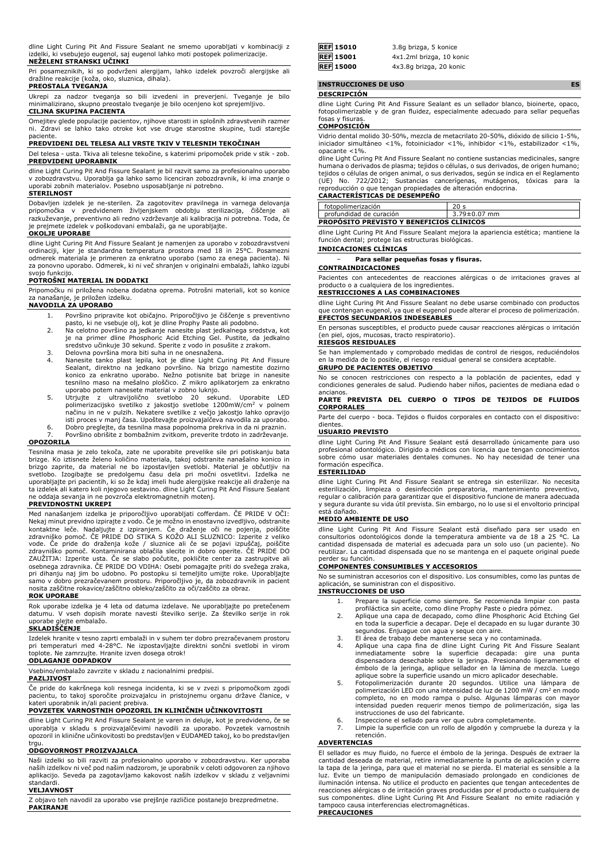dline Light Curing Pit And Fissure Sealant ne smemo uporabljati v kombinaciji z izdelki, ki vsebujejo eugenol, saj eugenol lahko moti postopek polimerizacije.

### **NEŽELENI STRANSKI UČINKI**

Pri posameznikih, ki so podvrženi alergijam, lahko izdelek povzroči alergijske ali dražilne reakcije (koža, oko, sluznica, dihala).

## **PREOSTALA TVEGANJA**

Ukrepi za nadzor tveganja so bili izvedeni in preverjeni. Tveganje je bilo minimalizirano, skupno preostalo tveganje je bilo ocenjeno kot sprejemljivo. **CILJNA SKUPINA PACIENTA**

Omejitev glede populacije pacientov, njihove starosti in splošnih zdravstvenih razmer ni. Zdravi se lahko tako otroke kot vse druge starostne skupine, tudi starejše paciente.

### **PREDVIDENI DEL TELESA ALI VRSTE TKIV V TELESNIH TEKOČINAH**

Del telesa - usta. Tkiva ali telesne tekočine, s katerimi pripomoček pride v stik - zob. **PREDVIDENI UPORABNIK**

dline Light Curing Pit And Fissure Sealant je bil razvit samo za profesionalno uporabo v zobozdravstvu. Uporablja ga lahko samo licenciran zobozdravnik, ki ima znanje o uporabi zobnih materialov. Posebno usposabljanje ni potrebno.

### **STERILNOST**

Dobavljen izdelek je ne-sterilen. Za zagotovitev pravilnega in varnega delovanja<br>pripomočka - v - predvidenem - življenjskem - obdobju - sterilizacija, - čiščenje - ali<br>razkuževanje, preventivno ali redno vzdrževanje ali k je prejmete izdelek v poškodovani embalaži, ga ne uporabljajte.

## **OKOLJE UPORABE**

dline Light Curing Pit And Fissure Sealant je namenjen za uporabo v zobozdravstveni ordinaciji, kjer je standardna temperatura prostora med 18 in 25°C. Posamezni odmerek materiala je primeren za enkratno uporabo (samo za enega pacienta). Ni za ponovno uporabo. Odmerek, ki ni več shranjen v originalni embalaži, lahko izgubi svojo funkcijo.

#### **POTROŠNI MATERIAL IN DODATKI**

Pripomočku ni priložena nobena dodatna oprema. Potrošni materiali, kot so konice za nanašanje, je priložen izdelku.

### **NAVODILA ZA UPORABO**

- 1. Površino pripravite kot običajno. Priporočljivo je čiščenje s preventivno
- pasto, ki ne vsebuje olj, kot je dline Prophy Paste ali podobno. 2. Na celotno površino za jedkanje nanesite plast jedkalnega sredstva, kot je na primer dline Phosphoric Acid Etching Gel. Pustite, da jedkalno sredstvo učinkuje 30 sekund. Sperite z vodo in posušite z zrakom.
- 3. Delovna površina mora biti suha in ne onesnažena.
- 4. Nanesite tanko plast lepila, kot je dline Light Curing Pit And Fissure Sealant, direktno na jedkano površino. Na brizgo namestite dozirno konico za enkratno uporabo. Nežno potisnite bat brizge in nanesite tesnilno maso na mešalno ploščico. Z mikro aplikatorjem za enkratno uporabo potem nanesete material v zobno luknjo.
- 5. Utrjujte z ultravijolično svetlobo 20 sekund. Uporabite LED<br>polimerizacijsko svetliko z jakostjo svetlobe 1200mW/cm<sup>2</sup> v polnem<br>načinu in ne v pulzih. Nekatere-svetlike z večjo jakostjo lahko opravijo<br>isti proces v manj
- 6. Dobro preglejte, da tesnilna masa popolnoma prekriva in da ni praznin. Površino obrišite z bombažnim zvitkom, preverite trdoto in zadrževanje.

### **OPOZORILA**

Tesnilna masa je zelo tekoča, zate ne uporabite prevelike sile pri potiskanju bata<br>brizge. Ko iztisnete želeno količino materiala, takoj odstranite nanašalno konico in<br>brizgo zaprite, da material ne bo izpostavljen svetlob svetlobo. Izogibajte se predolgemu času dela pri močni osvetlitvi. Izdelka ne uporabljajte pri pacientih, ki so že kdaj imeli hude alergijske reakcije ali draženje na ta izdelek ali katero koli njegovo sestavino. dline Light Curing Pit And Fissure Sealant ne oddaja sevanja in ne povzroča elektromagnetnih motenj.

### **PREVIDNOSTNI UKREPI**

Med nanašanjem izdelka je priporočljivo uporabljati cofferdam. CE PRIDE V OCI:<br>Nekaj minut previdno izpirajte z vodo. Če je možno in enostavno izvedljivo, odstranite<br>kontaktne leče. Nadaljujte z izpiranjem. Če draženje oči osebnega zdravnika. ČE PRIDE DO VDIHA: Osebi pomagajte priti do svežega zraka, pri dihanju naj jim bo udobno. Po postopku si temeljito umijte roke. Uporabljajte samo v dobro prezračevanem prostoru. Priporočljivo je, da zobozdravnik in pacient nosita zaščitne rokavice/zaščitno obleko/zaščito za oči/zaščito za obraz.

## **ROK UPORABE**

Rok uporabe izdelka je 4 leta od datuma izdelave. Ne uporabljajte po pretečenem datumu. V vseh dopisih morate navesti številko serije. Za številko serije in rok uporabe glejte embalažo. **SKLADIŠČENJE**

Izdelek hranite v tesno zaprti embalaži in v suhem ter dobro prezračevanem prostoru pri temperaturi med 4-28°C. Ne izpostavljajte direktni sončni svetlobi in virom toplote. Ne zamrzujte. Hranite izven dosega otrok!

# **ODLAGANJE ODPADKOV**

Vsebino/embalažo zavrzite v skladu z nacionalnimi predpisi.

## **PAZLJIVOST**

Če pride do kakršnega koli resnega incidenta, ki se v zvezi s pripomočkom zgodi pacientu, to takoj sporočite proizvajalcu in pristojnemu organu države članice, v kateri uporabnik in/ali pacient prebiva.

## **POVZETEK VARNOSTNIH OPOZORIL IN KLINIČNIH UČINKOVITOSTI**

dline Light Curing Pit And Fissure Sealant je varen in deluje, kot je predvideno, če se uporablja v skladu s proizvajalčevimi navodili za uporabo. Povzetek varnostnih opozoril in klinične učinkovitosti bo predstavljen v EUDAMED takoj, ko bo predstavljen trgu.

### **ODGOVORNOST PROIZVAJALCA**

Naši izdelki so bili razviti za profesionalno uporabo v zobozdravstvu. Ker uporaba naših izdelkov ni več pod našim nadzorom, je uporabnik v celoti odgovoren za njihovo aplikacijo. Seveda pa zagotavljamo kakovost naših izdelkov v skladu z veljavnimi standardi.

## **VELJAVNOST**

Z objavo teh navodil za uporabo vse prejšnje različice postanejo brezpredmetne. **PAKIRANJE**

| <b>REF</b> 15010 | 3.8q brizga, 5 konice    |
|------------------|--------------------------|
| <b>REF</b> 15001 | 4x1.2ml brizga, 10 konic |
| <b>REF</b> 15000 | 4x3.8q brizga, 20 konic  |

**INSTRUCCIONES DE USO ES**

#### **DESCRIPCIÓN**

dline Light Curing Pit And Fissure Sealant es un sellador blanco, bioinerte, opaco, fotopolimerizable y de gran fluidez, especialmente adecuado para sellar pequeñas fosas y fisuras.

## **COMPOSICIÓN**

Vidrio dental molido 30-50%, mezcla de metacrilato 20-50%, dióxido de silicio 1-5%, iniciador simultáneo <1%, fotoiniciador <1%, inhibidor <1%, estabilizador <1%, opacante <1%.

dline Light Curing Pit And Fissure Sealant no contiene sustancias medicinales, sangre humana o derivados de plasma; tejidos o células, o sus derivados, de origen humano; tejidos o células de origen animal, o sus derivados, según se indica en el Reglamento (UE) No. 722/2012; Sustancias cancerígenas, mutágenos, tóxicas para la reproducción o que tengan propiedades de alteración endocrina. **CARACTERÍSTICAS DE DESEMPEÑO**

|                                                 | fotopolimerización      |                    |
|-------------------------------------------------|-------------------------|--------------------|
|                                                 | profundidad de curación | $3.79 \pm 0.07$ mm |
| <b>PROPOSITO PREVISTO Y BENEFICIOS CLÍNICOS</b> |                         |                    |

dline Light Curing Pit And Fissure Sealant mejora la apariencia estética; mantiene la función dental; protege las estructuras biológicas.

## **INDICACIONES CLÍNICAS**

− **Para sellar pequeñas fosas y fisuras.**

#### **CONTRAINDICACIONES**

Pacientes con antecedentes de reacciones alérgicas o de irritaciones graves al producto o a cualquiera de los ingredientes.

## **RESTRICCIONES A LAS COMBINACIONES**

dline Light Curing Pit And Fissure Sealant no debe usarse combinado con productos que contengan eugenol, ya que el eugenol puede alterar el proceso de polimerización. **EFECTOS SECUNDARIOS INDESEABLES**

En personas susceptibles, el producto puede causar reacciones alérgicas o irritación (en piel, ojos, mucosas, tracto respiratorio). **RIESGOS RESIDUALES**

Se han implementado y comprobado medidas de control de riesgos, reduciéndolos en la medida de lo posible, el riesgo residual general se considera aceptable. **GRUPO DE PACIENTES OBJETIVO**

No se conocen restricciones con respecto a la población de pacientes, edad y condiciones generales de salud. Pudiendo haber niños, pacientes de mediana edad o

## ancianos. **PARTE PREVISTA DEL CUERPO O TIPOS DE TEJIDOS DE FLUIDOS CORPORALES**

Parte del cuerpo - boca. Tejidos o fluidos corporales en contacto con el dispositivo: dientes.

#### **USUARIO PREVISTO**

dline Light Curing Pit And Fissure Sealant está desarrollado únicamente para uso profesional odontológico. Dirigido a médicos con licencia que tengan conocimientos sobre cómo usar materiales dentales comunes. No hay necesidad de tener una formación específica.

#### **ESTERILIDAD**

dline Light Curing Pit And Fissure Sealant se entrega sin esterilizar. No necesita esterilización, limpieza o desinfección preparatoria, mantenimiento preventivo, regular o calibración para garantizar que el dispositivo funcione de manera adecuada y segura durante su vida útil prevista. Sin embargo, no lo use si el envoltorio principal está dañado.

## **MEDIO AMBIENTE DE USO**

dline Light Curing Pit And Fissure Sealant está diseñado para ser usado en consultorios odontológicos donde la temperatura ambiente va de 18 a 25 °C. La cantidad dispensada de material es adecuada para un solo uso (un paciente). No reutilizar. La cantidad dispensada que no se mantenga en el paquete original puede perder su función.

#### **COMPONENTES CONSUMIBLES Y ACCESORIOS**

No se suministran accesorios con el dispositivo. Los consumibles, como las puntas de aplicación, se suministran con el dispositivo.

### **INSTRUCCIONES DE USO**

- 1. Prepare la superficie como siempre. Se recomienda limpiar con pasta profiláctica sin aceite, como dline Prophy Paste o piedra pómez.
- 2. Aplique una capa de decapado, como dline Phosphoric Acid Etching Gel en toda la superficie a decapar. Deje el decapado en su lugar durante 30 segundos. Enjuague con agua y seque con aire.
- 3. El área de trabajo debe mantenerse seca y no contaminada.
- 4. Aplique una capa fina de dline Light Curing Pit And Fissure Sealant<br>inmediatamente sobre la superficie decapada: gire una punta<br>dispensadora desechable sobre la jeringa. Presionando ligeramente el<br>émbolo de la jeringa,
- aplique sobre la superficie usando un micro aplicador desechable. 5. Fotopolimerización durante 20 segundos. Utilice una lámpara de polimerización LED con una intensidad de luz de 1200 mW / cm<sup>2</sup> en modo completo, no en modo rampa o pulso. Algunas lámparas con mayor intensidad pueden requerir menos tiempo de polimerización, siga las instrucciones de uso del fabricante.
- 6. Inspeccione el sellado para ver que cubra completamente.<br>7. Limpie la superficie con un rollo de algodón y compruebe
- Limpie la superficie con un rollo de algodón y compruebe la dureza y la retención.

#### **ADVERTENCIAS**

El sellador es muy fluido, no fuerce el émbolo de la jeringa. Después de extraer la cantidad deseada de material, retire inmediatamente la punta de aplicación y cierre<br>la tapa de la jeringa, para que el material no se pierda. El material es sensible a la<br>luz. Evite un tiempo de manipulación demasiado prol reacciones alérgicas o de irritación graves producidas por el producto o cualquiera de sus componentes. dline Light Curing Pit And Fissure Sealant no emite radiación y tampoco causa interferencias electromagnéticas. **PRECAUCIONES**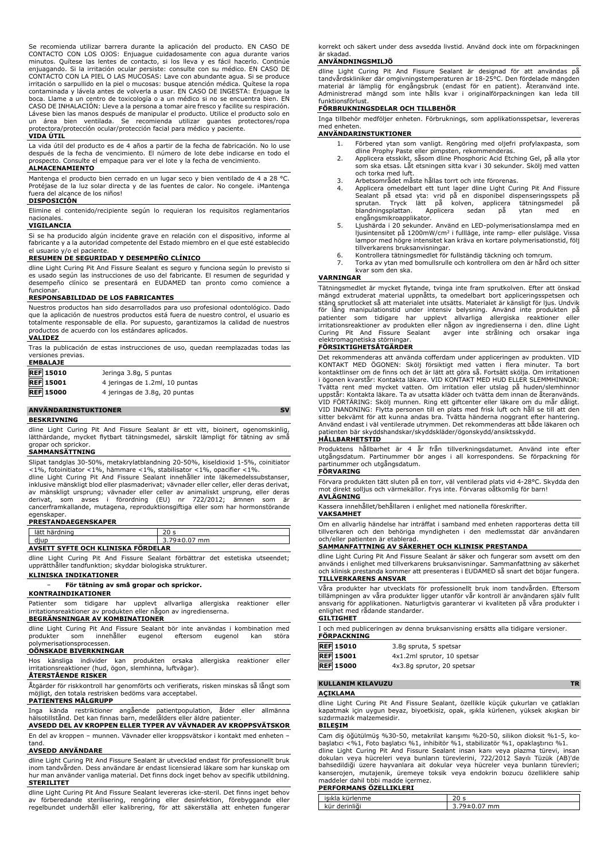Se recomienda utilizar barrera durante la aplicación del producto. EN CASO DE CONTACTO CON LOS OJOS: Enjuague cuidadosamente con agua durante varios minutos. Quítese las lentes de contacto, si los lleva y es fácil hacerlo. Continúe enjuagando. Si la irritación ocular persiste: consulte con su médico. EN CASO DE CONTACTO CON LA PIEL O LAS MUCOSAS: Lave con abundante agua. Si se produce irritación o sarpullido en la piel o mucosas: busque atención médica. Quítese la ropa contaminada y lávela antes de volverla a usar. EN CASO DE INGESTA: Enjuague boca. Llame a un centro de toxicología o a un médico si no se encuentra bien. EN CASO DE INHALACIÓN: Lleve a la persona a tomar aire fresco y facilite su respiración. Lávese bien las manos después de manipular el producto. Utilice el producto solo en un área bien ventilada. Se recomienda utilizar guantes protectores/ropa protectora/protección ocular/protección facial para médico y paciente.

#### **VIDA ÚTIL**

La vida útil del producto es de 4 años a partir de la fecha de fabricación. No lo use después de la fecha de vencimiento. El número de lote debe indicarse en todo el prospecto. Consulte el empaque para ver el lote y la fecha de vencimiento.

### **ALMACENAMIENTO**

Mantenga el producto bien cerrado en un lugar seco y bien ventilado de 4 a 28 °C. Protéjase de la luz solar directa y de las fuentes de calor. No congele. ¡Mantenga fuera del alcance de los niños!

## **DISPOSICIÓN**

Elimine el contenido/recipiente según lo requieran los requisitos reglamentarios nacionales.

#### **VIGILANCIA**

Si se ha producido algún incidente grave en relación con el dispositivo, informe al fabricante y a la autoridad competente del Estado miembro en el que esté establecido el usuario y/o el paciente.

#### **RESUMEN DE SEGURIDAD Y DESEMPEÑO CLÍNICO**

dline Light Curing Pit And Fissure Sealant es seguro y funciona según lo previsto si es usado según las instrucciones de uso del fabricante. El resumen de seguridad y desempeño clínico se presentará en EUDAMED tan pronto como comience a funcionar.

#### **RESPONSABILIDAD DE LOS FABRICANTES**

Nuestros productos han sido desarrollados para uso profesional odontológico. Dado que la aplicación de nuestros productos está fuera de nuestro control, el usuario es totalmente responsable de ella. Por supuesto, garantizamos la calidad de nuestros productos de acuerdo con los estándares aplicados.

#### **VALIDEZ**

Tras la publicación de estas instrucciones de uso, quedan reemplazadas todas las versiones previas. **EMBALAJE**

| <b>REF 15010</b> | Jeringa 3.8g, 5 puntas         |
|------------------|--------------------------------|
| <b>REF 15001</b> | 4 jeringas de 1.2ml, 10 puntas |
| <b>REF 15000</b> | 4 jeringas de 3.8g, 20 puntas  |

## **ANVÄNDARINSTUKTIONER SV**

**BESKRIVNING**

dline Light Curing Pit And Fissure Sealant är ett vitt, bioinert, ogenomskinlig, lätthärdande, mycket flytbart tätningsmedel, särskilt lämpligt för tätning av små gropar och sprickor.

#### **SAMMANSÄTTNING**

Slipat tandglas 30-50%, metakrylatblandning 20-50%, kiseldioxid 1-5%, coinitiator <1%, fotoinitiator <1%, hämmare <1%, stabilisator <1%, opacifier <1%. dline Light Curing Pit And Fissure Sealant innehåller inte läkemedelssubstanser,

inklusive mänskligt blod eller plasmaderivat; vävnader eller celler, eller deras derivat, av mänskligt ursprung; vävnader eller celler av animaliskt ursprung, eller deras derivat, som avses i förordning (EU) nr 722/2012; ämnen som är cancerframkallande, mutagena, reproduktionsgiftiga eller som har hormonstörande egenskaper. **PRESTANDAEGENSKAPER**

| lätt härdning                            | 20 s               |
|------------------------------------------|--------------------|
| diup                                     | $3.79 \pm 0.07$ mm |
| --<br>AVSETT SYFTE OCH KLINISKA FORDELAR |                    |

dline Light Curing Pit And Fissure Sealant förbättrar det estetiska utseendet; upprätthåller tandfunktion; skyddar biologiska strukturer. **KLINISKA INDIKATIONER**

## − **För tätning av små gropar och sprickor.**

### **KONTRAINDIKATIONER**

Patienter som tidigare har upplevt allvarliga allergiska reaktioner eller irritationsreaktioner av produkten eller någon av ingredienserna.

## **BEGRÄNSNINGAR AV KOMBINATIONER**

dline Light Curing Pit And Fissure Sealant bör inte användas i kombination med produkter som innehåller eugenol eftersom eugenol kan störa produkter som innehåller eugenol eftersom eugenol kan störa polymerisationsprocessen.

## **OÖNSKADE BIVERKNINGAR**

Hos känsliga individer kan produkten orsaka allergiska reaktioner eller irritationsreaktioner (hud, ögon, slemhinna, luftvägar). **ÅTERSTÅENDE RISKER**

Åtgärder för riskkontroll har genomförts och verifierats, risken minskas så långt som möjligt, den totala restrisken bedöms vara acceptabel.

## **PATIENTENS MÅLGRUPP**

Inga kända restriktioner angående patientpopulation, ålder eller allmänna hälsotillstånd. Det kan finnas barn, medelålders eller äldre patienter.

**AVSEDD DEL AV KROPPEN ELLER TYPER AV VÄVNADER AV KROPPSVÄTSKOR** En del av kroppen – munnen. Vävnader eller kroppsvätskor i kontakt med enheten – tand.

## **AVSEDD ANVÄNDARE**

dline Light Curing Pit And Fissure Sealant är utvecklad endast för professionellt bruk inom tandvården. Dess användare är endast licensierad läkare som har kunskap om hur man använder vanliga material. Det finns dock inget behov av specifik utbildning. **STERILITET**

dline Light Curing Pit And Fissure Sealant levereras icke-steril. Det finns inget behov av förberedande sterilisering, rengöring eller desinfektion, förebyggande eller regelbundet underhåll eller kalibrering, för att säkerställa att enheten fungerar korrekt och säkert under dess avsedda livstid. Använd dock inte om förpackningen är skadad.

### **ANVÄNDNINGSMILJÖ**

dline Light Curing Pit And Fissure Sealant är designad för att användas på tandvårdskliniker där omgivningstemperaturen är 18-25°C. Den fördelade mängden material är lämplig för engångsbruk (endast för en patient). Återanvänd inte. Administrerad mängd som inte hålls kvar i originalförpackningen kan leda till funktionsförlust.

## **FÖRBRUKNINGSDELAR OCH TILLBEHÖR**

Inga tillbehör medföljer enheten. Förbruknings, som applikationsspetsar, levereras med enheten.

- **ANVÄNDARINSTUKTIONER**
	- 1. Förbered ytan som vanligt. Rengöring med oljefri profylaxpasta, som
	- dline Prophy Paste eller pimpsten, rekommenderas. 2. Applicera etsskikt, såsom dline Phosphoric Acid Etching Gel, på alla ytor som ska etsas. Låt etsningen sitta kvar i 30 sekunder. Skölj med vatten
	- och torka med luft. 3. Arbetsområdet måste hållas torrt och inte förorenas.
	- 4. Applicera omedelbart ett tunt lager dline Light Curing Pit And Fissure<br>Sealant på etsad yta: vrid på en disponibel dispenseringsspets på<br>sprutan. Tryck lätt på kolven, applicera tätningsmedel på<br>blandningsplattan. Appli engångsmikroapplikator.
	- 5. Ljushärda i 20 sekunder. Använd en LED-polymerisationslampa med en ljusintensitet på 1200mW/cm<sup>2</sup> i fullläge, inte ramp- eller pulsläge. Vissa lampor med högre intensitet kan kräva en kortare polymerisationstid, följ
	-
	- tillverkarens bruksanvisningar. 6. Kontrollera tätningsmedlet för fullständig täckning och tomrum. 7. Torka av ytan med bomullsrulle och kontrollera om den är hård och sitter kvar som den ska.

### **VARNINGAR**

Tätningsmedlet är mycket flytande, tvinga inte fram sprutkolven. Efter att önskad mängd extruderat material uppnåtts, ta omedelbart bort appliceringsspetsen och stäng sprutlocket să att materialet inte utsätts. Materialet är känsligt för ljus. Undvik<br>för lång manipulationstid under intensiv belysning. Använd inte produkten på<br>patienter som tidigare har upplevt a irritationsreaktioner av produkten eller någon av ingredienserna i den. dline Light Curing Pit And Fissure Sealant avger inte strålning och orsakar inga elektromagnetiska störningar.

#### **FÖRSIKTIGHETSÅTGÄRDER**

Det rekommenderas att använda cofferdam under appliceringen av produkten. VID KONTAKT MED OGONEN: Skölj försiktigt med vatten i flera minuter. Ta bort<br>kontaktlinser om de finns och det är lätt att göra så. Fortsätt skölja. Om irritationen<br>i ögonen kvarstår: Kontakta läkare. VID KONTAKT MED HUD ELLER Tvätta rent med mycket vatten. Om irritation eller utslag på huden/slemhinnor uppstår: Kontakta läkare. Ta av utsatta kläder och tvätta dem innan de återanvänds. VID FÖRTÄRING: Skölj munnen. Ring ett giftcenter eller läkare om du mår dåligt. VID INANDNING: Flytta personen till en plats med frisk luft och håll se till att den sitter bekvämt för att kunna andas bra. Tvätta händerna noggrant efter hantering. Använd endast i väl ventilerade utrymmen. Det rekommenderas att både läkaren och patienten bär skyddshandskar/skyddskläder/ögonskydd/ansiktsskydd. **HÅLLBARHETSTID**

Produktens hållbarhet är 4 år från tillverkningsdatumet. Använd inte efter utgångsdatum. Partinummer bör anges i all korrespondens. Se förpackning för partinummer och utgångsdatum.

#### **FÖRVARING**

Förvara produkten tätt sluten på en torr, väl ventilerad plats vid 4-28°C. Skydda den mot direkt solljus och värmekällor. Frys inte. Förvaras oåtkomlig för barn! **AVLÄGNING**

Kassera innehållet/behållaren i enlighet med nationella föreskrifter.

**VAKSAMHET** Om en allvarlig händelse har inträffat i samband med enheten rapporteras detta till

tillverkaren och den behöriga myndigheten i den medlemsstat där användaren och/eller patienten är etablerad.

## **SAMMANFATTNING AV SÄKERHET OCH KLINISK PRESTANDA**

dline Light Curing Pit And Fissure Sealant är säker och fungerar som avsett om den används i enlighet med tillverkarens bruksanvisningar. Sammanfattning av säkerhet och klinisk prestanda kommer att presenteras i EUDAMED så snart det böjar fungera. **TILLVERKARENS ANSVAR**

Våra produkter har utvecklats för professionellt bruk inom tandvården. Eftersom tillämpningen av våra produkter ligger utanför vår kontroll är användaren själv fullt ansvarig för applikationen. Naturligtvis garanterar vi kvaliteten på våra produkter i enlighet med rådande standarder. **GILTIGHET** 

| I och med publiceringen av denna bruksanvisning ersätts alla tidigare versioner.<br>FÖRPACKNING |  |                             |
|-------------------------------------------------------------------------------------------------|--|-----------------------------|
| <b>REF 15010</b>                                                                                |  | 3.8q spruta, 5 spetsar      |
| <b>REF 15001</b>                                                                                |  | 4x1.2ml sprutor, 10 spetsar |
| <b>REF 15000</b>                                                                                |  | 4x3.8q sprutor, 20 spetsar  |
|                                                                                                 |  |                             |

## **KULLANIM KILAVUZU TR**

**AÇIKLAMA**

dline Light Curing Pit And Fissure Sealant, özellikle küçük çukurları ve çatlakları kapatmak için uygun beyaz, biyoetkisiz, opak, ışıkla kürlenen, yüksek akışkan bir sızdırmazlık malzemesidir.

#### **BILEŞIM**

Cam diş öğütülmüş %30-50, metakrilat karışımı %20-50, silikon dioksit %1-5, ko-başlatıcı <%1, Foto başlatıcı %1, inhibitör %1, stabilizatör %1, opaklaştırıcı %1. dline Light Curing Pit And Fissure Sealant insan kanı veya plazma türevi, insan<br>dokuları veya hücreleri veya bunların türevlerini, 722/2012 Sayılı Tüzük (AB)'de<br>bahsedildiği üzere hayvanlara ait dokular veya hücreler veya kanserojen, mutajenik, üremeye toksik veya endokrin bozucu özelliklere sahip

# maddeler dahil tıbbi madde içermez. **PERFORMANS ÖZELLIKLERI**

| <b>FERFURMANS UZELLIRLERI</b> |    |
|-------------------------------|----|
| ïrlenme                       |    |
| <br>derinliği<br>ĸür          | mm |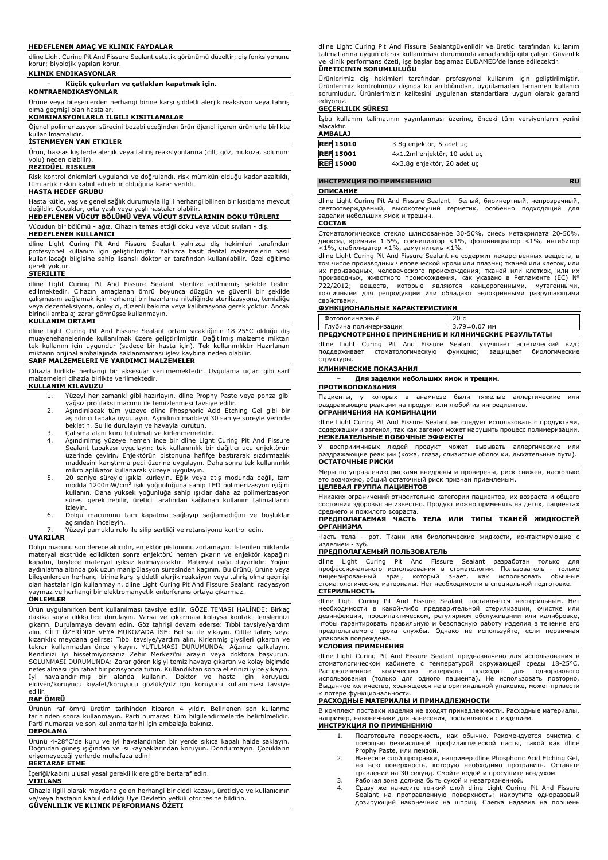#### **HEDEFLENEN AMAÇ VE KLINIK FAYDALAR**

dline Light Curing Pit And Fissure Sealant estetik görünümü düzeltir; diş fonksiyonunu korur; biyolojik yapıları korur.

**KLINIK ENDIKASYONLAR**

## − **Küçük çukurları ve çatlakları kapatmak için.**

**KONTRAENDIKASYONLAR**

Ürüne veya bileşenlerden herhangi birine karşı şiddetli alerjik reaksiyon veya tahriş olma geçmişi olan hastalar.

## **KOMBINASYONLARLA ILGILI KISITLAMALAR**

Öjenol polimerizasyon sürecini bozabileceğinden ürün öjenol içeren ürünlerle birlikte kullanılmamalıdır.

#### **İSTENMEYEN YAN ETKILER**

Ürün, hassas kişilerde alerjik veya tahriş reaksiyonlarına (cilt, göz, mukoza, solunum yolu) neden olabilir).

#### **REZIDÜEL RISKLER**

Risk kontrol önlemleri uygulandı ve doğrulandı, risk mümkün olduğu kadar azaltıldı, tüm artık riskin kabul edilebilir olduğuna karar verildi.

#### **HASTA HEDEF GRUBU**

Hasta kütle, yaş ve genel sağlık durumuyla ilgili herhangi bilinen bir kısıtlama mevcut değildir. Çocuklar, orta yaşlı veya yaşlı hastalar olabilir.

# **HEDEFLENEN VÜCUT BÖLÜMÜ VEYA VÜCUT SIVILARININ DOKU TÜRLERI**

Vücudun bir bölümü - ağız. Cihazın temas ettiği doku veya vücut sıvıları - diş. **HEDEFLENEN KULLANICI**

dline Light Curing Pit And Fissure Sealant yalnızca diş hekimleri tarafından profesyonel kullanım için geliştirilmiştir. Yalnızca basit dental malzemelerin nasıl kullanılacağı bilgisine sahip lisanslı doktor er tarafından kullanılabilir. Özel eğitime gerek yoktur.

#### **STERILITE**

dline Light Curing Pit And Fissure Sealant sterilize edilmemiş şekilde teslim edilmektedir. Cihazın amaçlanan ömrü boyunca düzgün ve güvenli bir şekilde çalışmasını sağlamak için herhangi bir hazırlama niteliğinde sterilizasyona, temizliğe veya dezenfeksiyona, önleyici, düzenli bakıma veya kalibrasyona gerek yoktur. Ancak birincil ambalaj zarar görmüşse kullanmayın.

#### **KULLANIM ORTAMI**

dline Light Curing Pit And Fissure Sealant ortam sıcaklığının 18-25°C olduğu diş<br>muayenehanelerinde kullanılmak üzere geliştirilmiştir. Dağıtılmış malzeme miktarı<br>tek kullanım için uygundur (sadece bir hasta için). Tek kul

## **SARF MALZEMELERI VE YARDIMCI MALZEMELER**

Cihazla birlikte herhangi bir aksesuar verilmemektedir. Uygulama uçları gibi sarf malzemeleri cihazla birlikte verilmektedir. **KULLANIM KILAVUZU**

- 1. Yüzeyi her zamanki gibi hazırlayın. dline Prophy Paste veya ponza gibi
- yağsız profilaksi macunu ile temizlenmesi tavsiye edilir. 2. Aşındırılacak tüm yüzeye dline Phosphoric Acid Etching Gel gibi bir aşındırıcı tabaka uygulayın. Aşındırıcı maddeyi 30 saniye süreyle yerinde
- bekletin. Su ile durulayın ve havayla kurutun. 3. Çalışma alanı kuru tutulmalı ve kirlenmemelidir.
- 4. Aşındırılmış yüzeye hemen ince bir dline Light Curing Pit And Fissure Sealant tabakası uygulayın: tek kullanımlık bir dağıtıcı ucu enjektörün üzerinde çevirin. Enjektörün pistonuna hafifçe bastırarak sızdırmazlık maddesini karıştırma pedi üzerine uygulayın. Daha sonra tek kullanımlık mikro aplikatör kullanarak yüzeye uygulayın.
- 5. 20 saniye süreyle ışıkla kürleyin. Eğik veya atış modunda değil, tam<br>modda 1200mW/cm<sup>2</sup> ışık yoğunluğuna sahip LED polimerizasyon ışığını<br>kullanın. Daha yüksek yoğunluğa sahip ışıklar daha az polimerizasyon süresi gerektirebilir, üretici tarafından sağlanan kullanım talimatlarını izleyin.
- 6. Dolgu macununu tam kapatma sağlayıp sağlamadığını ve boşluklar açısından inceleyin.
- 7. Yüzeyi pamuklu rulo ile silip sertliği ve retansiyonu kontrol edin.

#### **UYARILAR**

Dolgu macunu son derece akıcıdır, enjektör pistonunu zorlamayın. İstenilen miktarda materyal ekstrüde edildikten sonra enjektörü hemen çıkarın ve enjektör kapağını kapatın, böylece materyal ışıksız kalmayacaktır. Materyal ışığa duyarlıdır. Yoğun aydınlatma altında çok uzun manipülasyon süresinden kaçının. Bu ürünü, ürüne veya bileşenlerden herhangi birine karşı şiddetli alerjik reaksiyon veya tahriş olma geçmişi olan hastalar için kullanmayın. dline Light Curing Pit And Fissure Sealant radyasyon yaymaz ve herhangi bir elektromanyetik enterferans ortaya çıkarmaz.

# **ÖNLEMLER**

Ürün uygulanırken bent kullanılması tavsiye edilir. GÖZE TEMASI HALİNDE: Birkaç dakika suyla dikkatlice durulayın. Varsa ve çıkarması kolaysa kontakt lenslerinizi<br>çıkarın. Durulamaya devam edin. Göz tahrişi devam ederse: Tıbbi tavsiye/yardım<br>alın. CİLT ÜZERİNDE VEYA MUKOZADA İSE: Bol su ile yıkayın. C kızarıklık meydana gelirse: Tıbbı tavsiye/yardım alın. Kirlenmiş giysileri çıkartın ve tekrar kullanmadan önce yıkayın. YUTULMASI DURUMUNDA: Ağzınızı çalkalayın. Kendinizi iyi hissetmiyorsanız Zehir Merkezi'ni arayın veya doktora başvurun. SOLUNMASI DURUMUNDA: Zarar gören kişiyi temiz havaya çıkartın ve kolay biçimde nefes alması için rahat bir pozisyonda tutun. Kullandıktan sonra ellerinizi iyice yıkayın.<br>İyi havalandırılmış bir alanda kullanın. Doktor ve hasta için koruyucu<br>eldiven/koruyucu kıyafet/koruyucu göz edilir.

### **RAF ÖMRÜ**

Ürünün raf ömrü üretim tarihinden itibaren 4 yıldır. Belirlenen son kullanma tarihinden sonra kullanmayın. Parti numarası tüm bilgilendirmelerde belirtilmelidir. Parti numarası ve son kullanma tarihi için ambalaja bakınız.

#### **DEPOLAMA**

Ürünü 4-28°C'de kuru ve iyi havalandırılan bir yerde sıkıca kapalı halde saklayın. Doğrudan güneş ışığından ve ısı kaynaklarından koruyun. Dondurmayın. Çocukların erişemeyeceği yerlerde muhafaza edin!

## **BERTARAF ETME**

İçeriği/kabını ulusal yasal gerekliliklere göre bertaraf edin. **VIJILANS**

Cihazla ilgili olarak meydana gelen herhangi bir ciddi kazayı, üreticiye ve kullanıcının ve/veya hastanın kabul edildiği Üye Devletin yetkili otoritesine bildirin. **GÜVENLILIK VE KLINIK PERFORMANS ÖZETI**

dline Light Curing Pit And Fissure Sealantgüvenlidir ve üretici tarafından kullanım talimatlarına uygun olarak kullanılması durumunda amaçlandığı gibi çalışır. Güvenlik ve klinik performans özeti, işe başlar başlamaz EUDAMED'de lanse edilecektir.

## **ÜRETICININ SORUMLULUĞU**

Ürünlerimiz diş hekimleri tarafından profesyonel kullanım için geliştirilmiştir. Ürünlerimiz kontrolümüz dışında kullanıldığından, uygulamadan tamamen kullanıcı sorumludur. Ürünlerimizin kalitesini uygulanan standartlara uygun olarak garanti ediyoruz.

#### **GEÇERLILIK SÜRESI**

İşbu kullanım talimatının yayınlanması üzerine, önceki tüm versiyonların yerini alacaktır.

| <b>AMBALAJ</b>   |                              |
|------------------|------------------------------|
| <b>REF 15010</b> | 3.8q enjektör, 5 adet uc     |
| <b>REF</b> 15001 | 4x1.2ml enjektör, 10 adet uc |
| <b>REF 15000</b> | 4x3.8q enjektör, 20 adet uc  |

**ИНСТРУКЦИЯ ПО ПРИМЕНЕНИЮ RU**

#### **ОПИСАНИЕ**

dline Light Curing Pit And Fissure Sealant - белый, биоинертный, непрозрачный, светоотверждаемый, высокотекучий гермати, особенно подходящий для высокотекучий герметик, особенно подходящий для заделки небольших ямок и трещин.

### **СОСТАВ**

Стоматологическое стекло шлифованное 30-50%, смесь метакрилата 20-50%, диоксид кремния 1-5%, соинициатор <1%, фотоинициатор <1%, ингибитор<br><1%, стабилизатор <1%, замутнитель <1%.<br>dline Light Curing Pit And Fissure Sealant не содержит лекарственных веществ, в

том числе производных человеческой крови или плазмы; тканей или клеток, или их производных, человеческого происхождения; тканей или клеткок, или их производных, животного происхождения, как указано в Регламенте (ЕС) № 722/2012; веществ, которые являются канцерогенными, мутагенными, токсичными для репродукции или обладают эндокринными разрушающими свойствами.

## **ФУНКЦИОНАЛЬНЫЕ ХАРАКТЕРИСТИКИ**

| Фотополимерный                                      | 20 с         |  |
|-----------------------------------------------------|--------------|--|
| Глубина полимеризации                               | 3.79±0.07 мм |  |
| ПРЕДУСМОТРЕННОЕ ПРИМЕНЕНИЕ И КЛИНИЧЕСКИЕ РЕЗУЛЬТАТЫ |              |  |

dline Light Curing Pit And Fissure Sealant улучшает эстетический вид;<br>поддерживает стоматологическую функцию; защищает биологические ть<br>стоматологическую структуры.

#### **КЛИНИЧЕСКИЕ ПОКАЗАНИЯ**

− **Для заделки небольших ямок и трещин.**

## **ПРОТИВОПОКАЗАНИЯ**

Пациенты, у которых в анамнезе были тяжелые аллергические или раздражающие реакции на продукт или любой из ингредиентов. **ОГРАНИЧЕНИЯ НА КОМБИНАЦИИ**

dline Light Curing Pit And Fissure Sealant не следует использовать с продуктами, содержащими эвгенол, так как эвгенол может нарушить процесс полимеризации. **НЕЖЕЛАТЕЛЬНЫЕ ПОБОЧНЫЕ ЭФФЕКТЫ**

У восприимчивых людей продукт может вызывать аллергические или раздражающие реакции (кожа, глаза, слизистые оболочки, дыхательные пути). **ОСТАТОЧНЫЕ РИСКИ**

Меры по управлению рисками внедрены и проверены, риск снижен, насколько это возможно, общий остаточный риск признан приемлемым.

## **ЦЕЛЕВАЯ ГРУППА ПАЦИЕНТОВ**

Никаких ограничений относительно категории пациентов, их возраста и общего состояния здоровья не известно. Продукт можно применять на детях, пациентах среднего и пожилого возраста.

**ПРЕДПОЛАГАЕМАЯ ЧАСТЬ ТЕЛА ИЛИ ТИПЫ ТКАНЕЙ ЖИДКОСТЕЙ ОРГАНИЗМА**

Часть тела - рот. Ткани или биологические жидкости, контактирующие с<br>изделием - зуб.

# изделием - зуб. **ПРЕДПОЛАГАЕМЫЙ ПОЛЬЗОВАТЕЛЬ**

dline Light Curing Pit And Fissure Sealant разработан только для профессионального использования в стоматологии. Пользователь - только лицензированный врач, который знает, как использовать обычные стоматологические материалы. Нет необходимости в специальной подготовке. **СТЕРИЛЬНОСТЬ**

dline Light Curing Pit And Fissure Sealant поставляется нестерильным. Нет необходимости в какой-либо предварительной стерилизации, очистке или дезинфекции, профилактическом, регулярном обслуживании или калибровке, чтобы гарантировать правильную и безопасную работу изделия в течение его предполагаемого срока службы. Однако не используйте, если первичная упаковка повреждена.

#### **УСЛОВИЯ ПРИМЕНЕНИЯ**

dline Light Curing Pit And Fissure Sealant предназначено для использования в стоматологическом кабинете с температурой окружающей среды 18-25°C. Распределенное количество материала подходит для одноразового использования (только для одного пациента). Не использовать повторно. Выданное количество, хранящееся не в оригинальной упаковке, может привести к потере функциональности.

## **РАСХОДНЫЕ МАТЕРИАЛЫ И ПРИНАДЛЕЖНОСТИ**

В комплект поставки изделия не входят принадлежности. Расходные материалы, например, наконечники для нанесения, поставляются с изделием. **ИНСТРУКЦИЯ ПО ПРИМЕНЕНИЮ**

- 1. Подготовьте поверхность, как обычно. Рекомендуется очистка с помощью безмасляной профилактической пасты, такой как dline Prophy Paste, или пемзой.
- 2. Нанесите слой протравки, например dline Phosphoric Acid Etching Gel, на всю поверхность, которую необходимо протравить. Оставьте травление на 30 секунд. Смойте водой и просушите воздухом.
- 3. Рабочая зона должна быть сухой и незагрязненной.
- 4. Сразу же нанесите тонкий слой dline Light Curing Pit And Fissure Sealant на протравленную поверхность: накрутите одноразовый дозирующий наконечник на шприц. Слегка надавив на поршень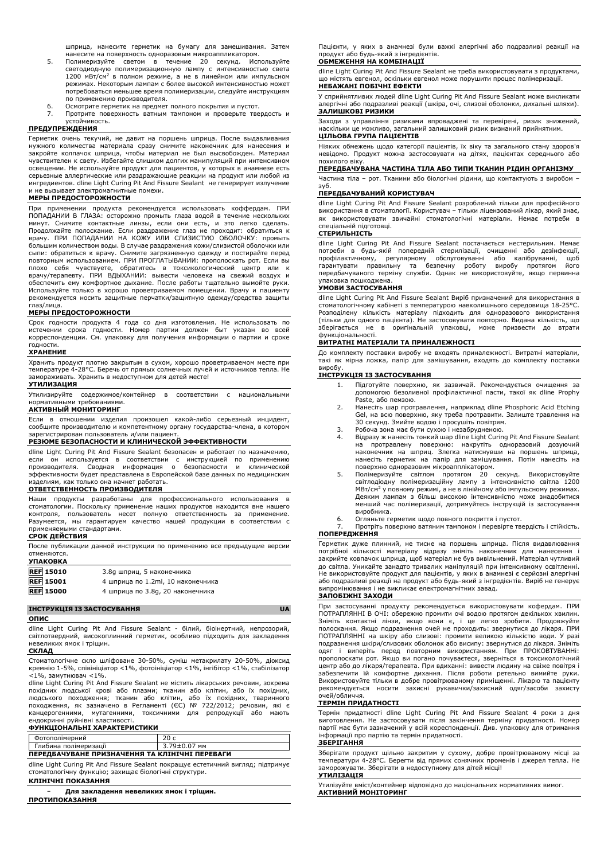шприца, нанесите герметик на бумагу для замешивания. Затем

- нанесите на поверхность одноразовым микроаппликатором. 5. Полимеризуйте светом в течение 20 секунд. Используйте светодиодную полимеризационную лампу с интенсивностью света 1200 мВт/см<sup>2</sup> в полном режиме, а не в линейном или импульсном режимах. Некоторым лампам с более высокой интенсивностью может .<br>потребоваться меньшее время полимеризации, следуйте инструкциям по применению производителя.
- 6. Осмотрите герметик на предмет полного покрытия и пустот.
- 7. Протрите поверхность ватным тампоном и проверьте твердость и устойчивость.

## **ПРЕДУПРЕЖДЕНИЯ**

Герметик очень текучий, не давит на поршень шприца. После выдавливания нужного количества материала сразу снимите наконечник для нанесения и закройте колпачок шприца, чтобы материал не был высвобожден. Материал чувствителен к свету. Избегайте слишком долгих манипуляций при интенсивном освещении. Не используйте продукт для пациентов, у которых в анамнезе есть серьезные аллергические или раздражающие реакции на продукт или любой из ингредиентов. dline Light Curing Pit And Fissure Sealant не генерирует излучение и не вызывает электромагнитные помехи.

#### **МЕРЫ ПРЕДОСТОРОЖНОСТИ**

При применении продукта рекомендуется использовать коффердам. ПРИ ПОПАДАНИИ В ГЛАЗА: осторожно промыть глаза водой в течение нескольких<br>минут. Снимите контактные линзы, если они есть, и это легко сделать.<br>Продолжайте полоскание. Если раздражение глаз не проходит: обратиться к врачу. ПРИ ПОПАДАНИИ НА КОЖУ ИЛИ СЛИЗИСТУЮ ОБОЛОЧКУ: промыть большим количеством воды. В случае раздражения кожи/слизистой оболочки или сыпи: обратиться к врачу. Снимите загрязненную одежду и постирайте перед повторным использованием. ПРИ ПРОГЛАТЫВАНИИ: прополоскать рот. Если вы плохо себя чувствуете, обратитесь в токсикологический центр или к<br>врачу/терапевту. ПРИ ВДЫХАНИИ: вывести человека на свежий воздух и<br>обеспечитьему-комфортное-дыхание. После-работы-тщательно-вымойтеруки.<br>Используйте-только рекомендуется носить защитные перчатки/защитную одежду/средства защиты глаз/лица.

### **МЕРЫ ПРЕДОСТОРОЖНОСТИ**

Срок годности продукта 4 года со дня изготовления. Не использовать по истечении срока годности. Номер партии должен быт указан во всей корреспонденции. См. упаковку для получения информации о партии и сроке годности.

#### **ХРАНЕНИЕ**

Хранить продукт плотно закрытым в сухом, хорошо проветриваемом месте при температуре 4-28°C. Беречь от прямых солнечных лучей и источников тепла. Не замораживать. Хранить в недоступном для детей месте!

## **УТИЛИЗАЦИЯ**

Утилизируйте содержимое/контейнер в соответствии с национальными нормативными требованиями.

## **АКТИВНЫЙ МОНИТОРИНГ**

Если в отношении изделия произошел какой-либо серьезный инцидент, сообщите производителю и компетентному органу государства-члена, в котором зарегистрирован пользователь и/или пациент.

## **РЕЗЮМЕ БЕЗОПАСНОСТИ И КЛИНИЧЕСКОЙ ЭФФЕКТИВНОСТИ**

dline Light Curing Pit And Fissure Sealant безопасен и работает по назначению, если он используется в соответствии с инструкцией по применению<br>производителя. Сводная информация о безопасности и клинической<br>эффективностибудет представлена в Европейской базе данных по медицинским изделиям, как только она начнет работать.

### **ОТВЕТСТВЕННОСТЬ ПРОИЗВОДИТЕЛЯ**

Наши продукты разработаны для профессионального использования в стоматологии. Поскольку применение наших продуктов находится вне нашего контроля, пользователь несет полную ответственность за применение. Разумеется, мы гарантируем качество нашей продукции в соответствии с применяемыми стандартами. **СРОК ДЕЙСТВИЯ**

После публикации данной инструкции по применению все предыдущие версии отменяются. **УПАКОВКА**

| <b>JIMNUDNA</b>  |                                   |
|------------------|-----------------------------------|
| <b>REF</b> 15010 | 3.8q шприц, 5 наконечника         |
| <b>REF</b> 15001 | 4 шприца по 1.2ml, 10 наконечника |
| <b>REF 15000</b> | 4 шприца по 3.8g, 20 наконечника  |

## **ІНСТРУКЦІЯ ІЗ ЗАСТОСУВАННЯ UA**

**ОПИС**

dline Light Curing Pit And Fissure Sealant - білий, біоінертний, непрозорий, світлотвердний, високоплинний герметик, особливо підходить для закладення невеликих ямок і тріщин.

#### **СКЛАД**

Стоматологічне скло шліфоване 30-50%, суміш метакрилату 20-50%, діоксид кремнію 1-5%, співініціатор <1%, фотоініціатор <1%, інгібітор <1%, стабілізатор  $<$ 1%, замутнювач  $<$ 1%.

dline Light Curing Pit And Fissure Sealant не містить лікарських речовин, зокрема похідних людської крові або плазми; тканин або клітин, або їх похідних, людського походження; тканин або клітин, або їх похідних, тваринного походження, як зазначено в Регламенті (ЄС) № 722/2012; речовин, які є канцерогенними, мутагенними, токсичними для репродукції або мають ендокринні руйнівні властивості.

#### **ФУНКЦІОНАЛЬНІ ХАРАКТЕРИСТИКИ**

| Фотополімерний                                 |              |  |  |  |
|------------------------------------------------|--------------|--|--|--|
| Глибина полімеризації                          | 3.79±0.07 мм |  |  |  |
| ПЕРЕДБАЧУВАНЕ ПРИЗНАЧЕННЯ ТА КЛІНІЧНІ ПЕРЕВАГИ |              |  |  |  |

dline Light Curing Pit And Fissure Sealant покращує естетичний вигляд; підтримує стоматологічну функцію; захищає біологічні структури.

### **КЛІНІЧНІ ПОКАЗАННЯ**

− **Для закладення невеликих ямок і тріщин. ПРОТИПОКАЗАННЯ**

Пацієнти, у яких в анамнезі були важкі алергічні або подразливі реакції на продукт або будь-який з інгредієнтів.

### **ОБМЕЖЕННЯ НА КОМБІНАЦІЇ**

dline Light Curing Pit And Fissure Sealant не треба використовувати з продуктами, що містять евгенол, оскільки евгенол може порушити процес полімеризації. **НЕБАЖАНІ ПОБІЧНІ ЕФЕКТИ**

У сприйнятливих людей dline Light Curing Pit And Fissure Sealant може викликати алергічні або подразливі реакції (шкіра, очі, слизові оболонки, дихальні шляхи). **ЗАЛИШКОВІ РИЗИКИ**

Заходи з управління ризиками впроваджені та перевірені, ризик знижений, наскільки це можливо, загальний залишковий ризик визнаний прийнятним. **ЦІЛЬОВА ГРУПА ПАЦІЄНТІВ**

Ніяких обмежень щодо категорії пацієнтів, їх віку та загального стану здоров'я невідомо. Продукт можна застосовувати на дітях, пацієнтах середнього або похилого віку.

#### **ПЕРЕДБАЧУВАНА ЧАСТИНА ТІЛА АБО ТИПИ ТКАНИН РІДИН ОРГАНІЗМУ**

Частина тіла – рот. Тканини або біологічні рідини, що контактують з виробом – зуб.

#### **ПЕРЕДБАЧУВАНИЙ КОРИСТУВАЧ**

dline Light Curing Pit And Fissure Sealant розроблений тільки для професійного використання в стоматології. Користувач – тільки ліцензований лікар, який знає, як використовувати звичайні стоматологічні матеріали. Немає потреби в спеціальній підготовці.

#### **СТЕРИЛЬНІСТЬ**

dline Light Curing Pit And Fissure Sealant постачається нестерильним. Немає потреби в будь-якій попередній стерилізації, очищенні або дезінфекції,<br>профілактичному, регулярному обслуговуванні або калібруванні, щоб<br>гарантувати правильну та безпечну роботу виробу протягом його передбачуваного терміну служби. Однак не використовуйте, якщо первинна упаковка пошкоджена.

## **УМОВИ ЗАСТОСУВАННЯ**

dline Light Curing Pit And Fissure Sealant Виріб призначений для використання в стоматологічному кабінеті з температурою навколишнього середовища 18-25°C. Розподілену кількість матеріалу підходить для одноразового використання (тільки для одного пацієнта). Не застосовувати повторно. Видана кількість, що зберігається не в оригінальній упаковці, може призвести до втрати функціональності.

### **ВИТРАТНІ МАТЕРІАЛИ ТА ПРИНАЛЕЖНОСТІ**

До комплекту поставки виробу не входять приналежності. Витратні матеріали, такі як мірна ложка, папір для замішування, входять до комплекту поставки виробу.

## **ІНСТРУКЦІЯ ІЗ ЗАСТОСУВАННЯ**

- 1. Підготуйте поверхню, як зазвичай. Рекомендується очищення за допомогою безоливної профілактичної пасти, такої як dline Prophy Paste, або пемзою.
- 2. Нанесіть шар протравлення, наприклад dline Phosphoric Acid Etching Gel, на всю поверхню, яку треба протравити. Залиште травлення на 30 секунд. Змийте водою і просушіть повітрям.
- 3. Робоча зона має бути сухою і незабрудненою.
- 4. Відразу ж нанесіть тонкий шар dline Light Curing Pit And Fissure Sealant<br>на протравлену поверхню: накрутіть одноразовий дозуючий<br>наконечник на шприц. Злегка натиснувши на поршень шприца,<br>нанесіть герметик на папір для поверхню одноразовим мікроапплікатором.
- 5. Полімеризуйте світлом протягом 20 секунд. Використовуйте<br>світлодіодну полімеризаційну лампу з інтенсивністю світла 1200<br>МВт/см<sup>2</sup>у повному режимі, а не в лінійному або імпульсному режимах. Деяким лампам з більш високою інтенсивністю може знадобитися менший час полімеризації, дотримуйтесь інструкцій із застосування виробника.

#### 6. Огляньте герметик щодо повного покриття і пустот.

7. Протріть поверхню ватяним тампоном і перевірте твердість і стійкість. **ПОПЕРЕДЖЕННЯ**

Герметик дуже плинний, не тисне на поршень шприца. Після видавлювання потрібної кількості матеріалу відразу зніміть наконечник для нанесення і закрийте ковпачок шприца, щоб матеріал не був вивільнений. Матеріал чутливий до світла. Уникайте занадто тривалих маніпуляцій при інтенсивному освітленні. Не використовуйте продукт для пацієнтів, у яких в анамнезі є серйозні алергічні або подразливі реакції на продукт або будь-який з інгредієнтів. Виріб не генерує випромінювання і не викликає електромагнітних завад.

## **ЗАПОБІЖНІ ЗАХОДИ**

При застосуванні продукту рекомендується використовувати кофердам. ПРИ ПОТРАПЛЯННІ В ОЧІ: обережно промити очі водою протягом декількох хвилин. Зніміть контактні лінзи, якщо вони є, і це легко зробити. Продовжуйте полоскання. Якщо подразнення очей не проходить: звернутися до лікаря. ПРИ ПОТРАПЛЯННІ на шкіру або слизові: промити великою кількістю води. подразнення шкіри/слизових оболонок або висипу: звернутися до лікаря. Зніміть одяг і виперіть перед повторним використанням. При ПРОКОВТУВАННі: прополоскати рот. Якщо ви погано почуваєтеся, зверніться в токсикологічний центр або до лікаря/терапевта. При вдиханні: вивести людину на свіже повітря і забезпечити їй комфортне дихання. Після роботи ретельно вимийте руки. Використовуйте тільки в добре провітрюваному приміщенні. Лікарю та пацієнту рекомендується носити захисні рукавички/захисний одяг/засоби захисту очей/обличчя.

## **ТЕРМІН ПРИДАТНОСТІ**

Термін придатності dline Light Curing Pit And Fissure Sealant 4 роки з дня виготовлення. Не застосовувати після закінчення терміну придатності. Номер партії має бути зазначений у всій кореспонденції. Див. упаковку для отримання інформації про партію та термін придатності. **ЗБЕРІГАННЯ**

Зберігати продукт щільно закритим у сухому, добре провітрюваному місці за температури 4-28°C. Берегти від прямих сонячних променів і джерел тепла. Не заморожувати. Зберігати в недоступному для дітей місці! **УТИЛІЗАЦІЯ**

#### Утилізуйте вміст/контейнер відповідно до національних нормативних вимог. **АКТИВНИЙ МОНІТОРИНГ**